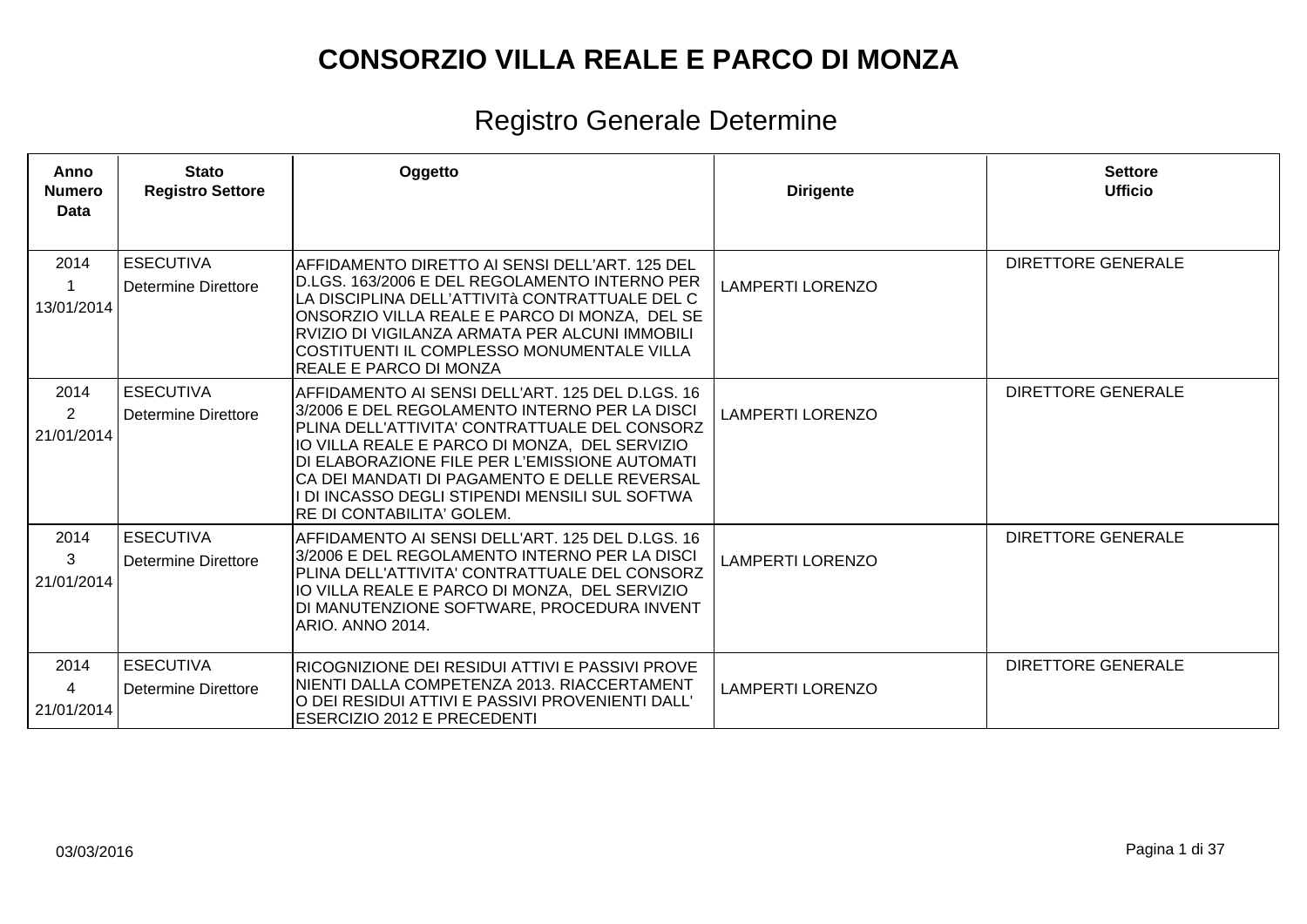| Anno<br><b>Numero</b><br><b>Data</b> | <b>Stato</b><br><b>Registro Settore</b>        | Oggetto                                                                                                                                                                                                                                                                                                                                                                               | <b>Dirigente</b>        | <b>Settore</b><br><b>Ufficio</b> |
|--------------------------------------|------------------------------------------------|---------------------------------------------------------------------------------------------------------------------------------------------------------------------------------------------------------------------------------------------------------------------------------------------------------------------------------------------------------------------------------------|-------------------------|----------------------------------|
| 2014<br>13/01/2014                   | <b>ESECUTIVA</b><br><b>Determine Direttore</b> | IAFFIDAMENTO DIRETTO AI SENSI DELL'ART. 125 DEL<br>D.LGS. 163/2006 E DEL REGOLAMENTO INTERNO PER<br>LA DISCIPLINA DELL'ATTIVITà CONTRATTUALE DEL C<br>ONSORZIO VILLA REALE E PARCO DI MONZA, DEL SE<br>IRVIZIO DI VIGILANZA ARMATA PER ALCUNI IMMOBILI<br>COSTITUENTI IL COMPLESSO MONUMENTALE VILLA<br>IREALE E PARCO DI MONZA                                                       | <b>LAMPERTI LORENZO</b> | <b>DIRETTORE GENERALE</b>        |
| 2014<br>2<br>21/01/2014              | <b>ESECUTIVA</b><br>Determine Direttore        | AFFIDAMENTO AI SENSI DELL'ART. 125 DEL D.LGS. 16<br>3/2006 E DEL REGOLAMENTO INTERNO PER LA DISCI<br> PLINA DELL'ATTIVITA' CONTRATTUALE DEL CONSORZ<br>IO VILLA REALE E PARCO DI MONZA, DEL SERVIZIO<br>DI ELABORAZIONE FILE PER L'EMISSIONE AUTOMATI<br>CA DEI MANDATI DI PAGAMENTO E DELLE REVERSAL<br>I DI INCASSO DEGLI STIPENDI MENSILI SUL SOFTWA<br>IRE DI CONTABILITA' GOLEM. | <b>LAMPERTI LORENZO</b> | <b>DIRETTORE GENERALE</b>        |
| 2014<br>3<br>21/01/2014              | <b>ESECUTIVA</b><br>Determine Direttore        | AFFIDAMENTO AI SENSI DELL'ART. 125 DEL D.LGS. 16<br>3/2006 E DEL REGOLAMENTO INTERNO PER LA DISCI<br>PLINA DELL'ATTIVITA' CONTRATTUALE DEL CONSORZ<br>IO VILLA REALE E PARCO DI MONZA, DEL SERVIZIO<br>DI MANUTENZIONE SOFTWARE, PROCEDURA INVENT<br> ARIO. ANNO 2014.                                                                                                                | <b>LAMPERTI LORENZO</b> | <b>DIRETTORE GENERALE</b>        |
| 2014<br>21/01/2014                   | <b>ESECUTIVA</b><br>Determine Direttore        | RICOGNIZIONE DEI RESIDUI ATTIVI E PASSIVI PROVE<br>NIENTI DALLA COMPETENZA 2013. RIACCERTAMENT<br>O DEI RESIDUI ATTIVI E PASSIVI PROVENIENTI DALL'<br><b>ESERCIZIO 2012 E PRECEDENTI</b>                                                                                                                                                                                              | <b>LAMPERTI LORENZO</b> | <b>DIRETTORE GENERALE</b>        |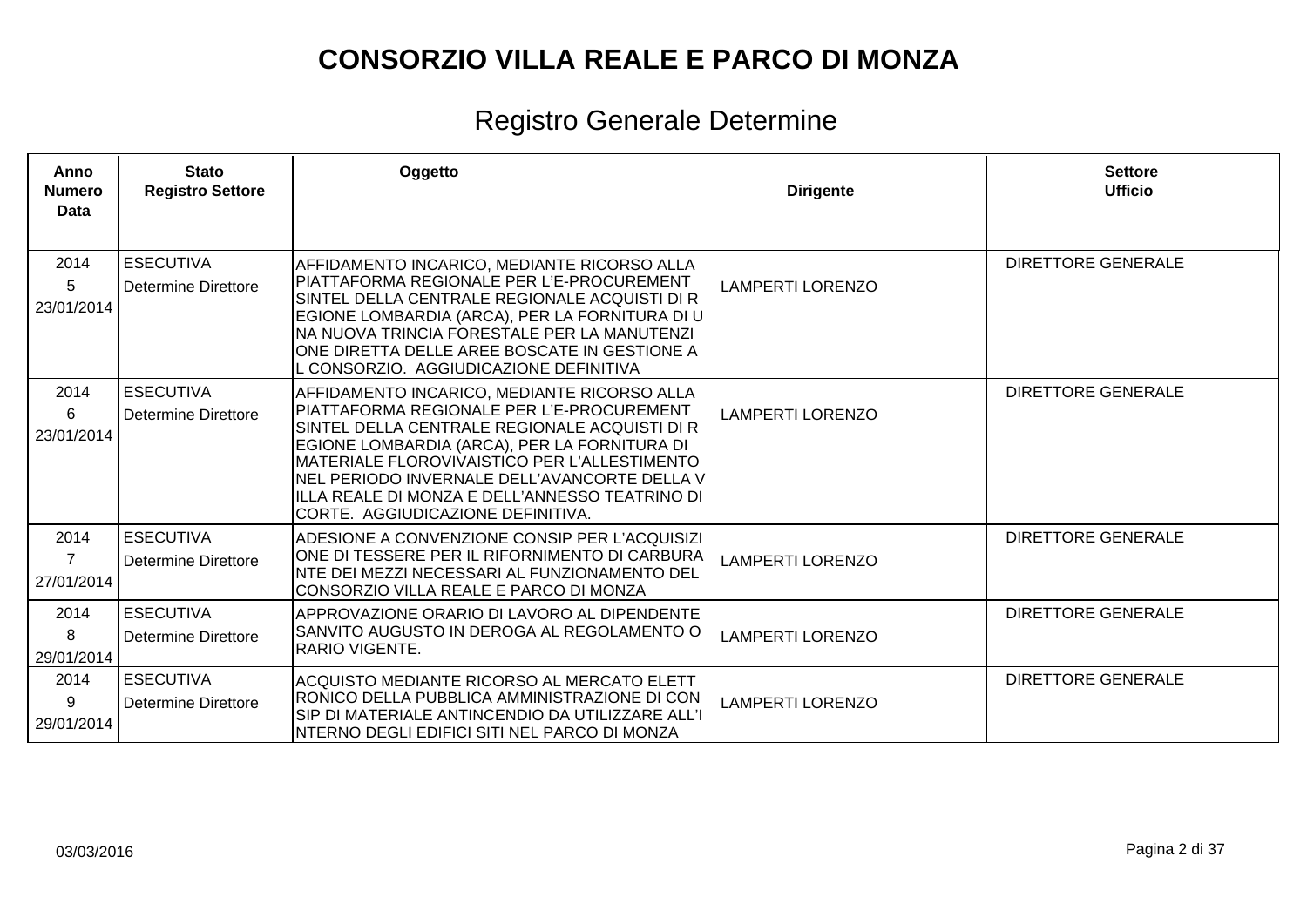| Anno<br><b>Numero</b><br><b>Data</b> | <b>Stato</b><br><b>Registro Settore</b>        | Oggetto                                                                                                                                                                                                                                                                                                                                                                          | <b>Dirigente</b>        | <b>Settore</b><br><b>Ufficio</b> |
|--------------------------------------|------------------------------------------------|----------------------------------------------------------------------------------------------------------------------------------------------------------------------------------------------------------------------------------------------------------------------------------------------------------------------------------------------------------------------------------|-------------------------|----------------------------------|
| 2014<br>5<br>23/01/2014              | <b>ESECUTIVA</b><br><b>Determine Direttore</b> | AFFIDAMENTO INCARICO, MEDIANTE RICORSO ALLA<br>PIATTAFORMA REGIONALE PER L'E-PROCUREMENT<br>SINTEL DELLA CENTRALE REGIONALE ACQUISTI DI R<br>EGIONE LOMBARDIA (ARCA), PER LA FORNITURA DI U<br>NA NUOVA TRINCIA FORESTALE PER LA MANUTENZI<br>ONE DIRETTA DELLE AREE BOSCATE IN GESTIONE A<br>L CONSORZIO. AGGIUDICAZIONE DEFINITIVA                                             | <b>LAMPERTI LORENZO</b> | <b>DIRETTORE GENERALE</b>        |
| 2014<br>6<br>23/01/2014              | <b>ESECUTIVA</b><br>Determine Direttore        | AFFIDAMENTO INCARICO, MEDIANTE RICORSO ALLA<br>PIATTAFORMA REGIONALE PER L'E-PROCUREMENT<br>SINTEL DELLA CENTRALE REGIONALE ACQUISTI DI R<br>EGIONE LOMBARDIA (ARCA), PER LA FORNITURA DI<br>MATERIALE FLOROVIVAISTICO PER L'ALLESTIMENTO<br>NEL PERIODO INVERNALE DELL'AVANCORTE DELLA V<br>ILLA REALE DI MONZA E DELL'ANNESSO TEATRINO DI<br>CORTE. AGGIUDICAZIONE DEFINITIVA. | <b>LAMPERTI LORENZO</b> | <b>DIRETTORE GENERALE</b>        |
| 2014<br>$\overline{7}$<br>27/01/2014 | <b>ESECUTIVA</b><br><b>Determine Direttore</b> | ADESIONE A CONVENZIONE CONSIP PER L'ACQUISIZI<br>ONE DI TESSERE PER IL RIFORNIMENTO DI CARBURA<br>NTE DEI MEZZI NECESSARI AL FUNZIONAMENTO DEL<br>CONSORZIO VILLA REALE E PARCO DI MONZA                                                                                                                                                                                         | <b>LAMPERTI LORENZO</b> | <b>DIRETTORE GENERALE</b>        |
| 2014<br>8<br>29/01/2014              | <b>ESECUTIVA</b><br>Determine Direttore        | APPROVAZIONE ORARIO DI LAVORO AL DIPENDENTE<br>SANVITO AUGUSTO IN DEROGA AL REGOLAMENTO O<br><b>RARIO VIGENTE.</b>                                                                                                                                                                                                                                                               | <b>LAMPERTI LORENZO</b> | <b>DIRETTORE GENERALE</b>        |
| 2014<br>9<br>29/01/2014              | <b>ESECUTIVA</b><br>Determine Direttore        | ACQUISTO MEDIANTE RICORSO AL MERCATO ELETT<br>RONICO DELLA PUBBLICA AMMINISTRAZIONE DI CON<br>SIP DI MATERIALE ANTINCENDIO DA UTILIZZARE ALL'I<br>NTERNO DEGLI EDIFICI SITI NEL PARCO DI MONZA                                                                                                                                                                                   | <b>LAMPERTI LORENZO</b> | <b>DIRETTORE GENERALE</b>        |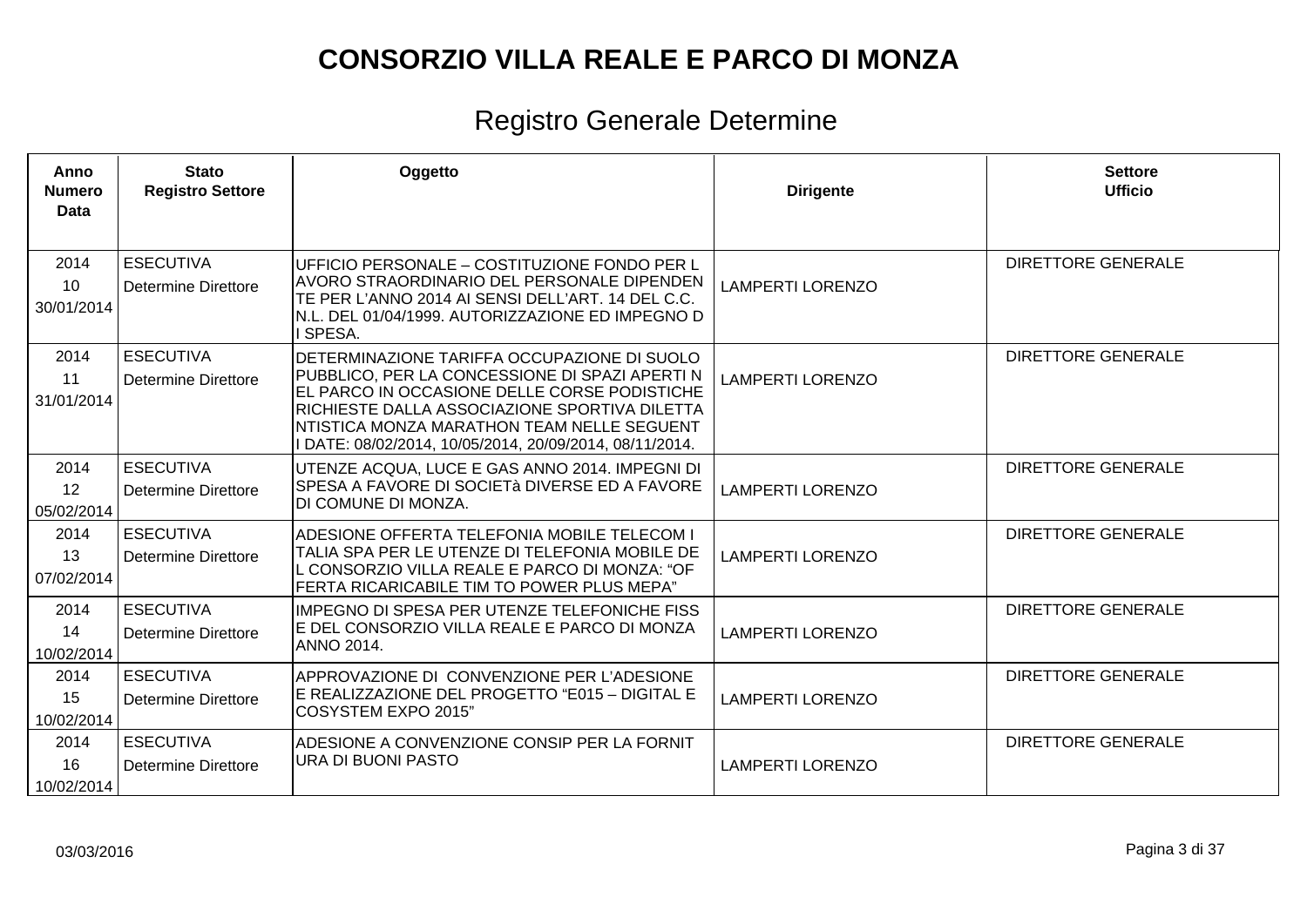| Anno<br><b>Numero</b><br><b>Data</b> | <b>Stato</b><br><b>Registro Settore</b>        | Oggetto                                                                                                                                                                                                                                                                                               | <b>Dirigente</b>        | <b>Settore</b><br><b>Ufficio</b> |
|--------------------------------------|------------------------------------------------|-------------------------------------------------------------------------------------------------------------------------------------------------------------------------------------------------------------------------------------------------------------------------------------------------------|-------------------------|----------------------------------|
| 2014<br>10<br>30/01/2014             | <b>ESECUTIVA</b><br>Determine Direttore        | UFFICIO PERSONALE - COSTITUZIONE FONDO PER L<br>AVORO STRAORDINARIO DEL PERSONALE DIPENDEN<br>TE PER L'ANNO 2014 AI SENSI DELL'ART. 14 DEL C.C.<br>N.L. DEL 01/04/1999. AUTORIZZAZIONE ED IMPEGNO D<br><b>SPESA.</b>                                                                                  | <b>LAMPERTI LORENZO</b> | <b>DIRETTORE GENERALE</b>        |
| 2014<br>11<br>31/01/2014             | <b>ESECUTIVA</b><br><b>Determine Direttore</b> | DETERMINAZIONE TARIFFA OCCUPAZIONE DI SUOLO<br>PUBBLICO, PER LA CONCESSIONE DI SPAZI APERTI N<br>EL PARCO IN OCCASIONE DELLE CORSE PODISTICHE<br>RICHIESTE DALLA ASSOCIAZIONE SPORTIVA DILETTA<br>NTISTICA MONZA MARATHON TEAM NELLE SEGUENT<br>DATE: 08/02/2014, 10/05/2014, 20/09/2014, 08/11/2014. | <b>LAMPERTI LORENZO</b> | <b>DIRETTORE GENERALE</b>        |
| 2014<br>12<br>05/02/2014             | <b>ESECUTIVA</b><br><b>Determine Direttore</b> | UTENZE ACQUA, LUCE E GAS ANNO 2014. IMPEGNI DI<br>SPESA A FAVORE DI SOCIETà DIVERSE ED A FAVORE<br>DI COMUNE DI MONZA.                                                                                                                                                                                | <b>LAMPERTI LORENZO</b> | <b>DIRETTORE GENERALE</b>        |
| 2014<br>13<br>07/02/2014             | <b>ESECUTIVA</b><br><b>Determine Direttore</b> | ADESIONE OFFERTA TELEFONIA MOBILE TELECOM I<br>TALIA SPA PER LE UTENZE DI TELEFONIA MOBILE DE<br>L CONSORZIO VILLA REALE E PARCO DI MONZA: "OF<br>FERTA RICARICABILE TIM TO POWER PLUS MEPA"                                                                                                          | <b>LAMPERTI LORENZO</b> | <b>DIRETTORE GENERALE</b>        |
| 2014<br>14<br>10/02/2014             | <b>ESECUTIVA</b><br>Determine Direttore        | IMPEGNO DI SPESA PER UTENZE TELEFONICHE FISS<br>E DEL CONSORZIO VILLA REALE E PARCO DI MONZA<br>ANNO 2014.                                                                                                                                                                                            | <b>LAMPERTI LORENZO</b> | <b>DIRETTORE GENERALE</b>        |
| 2014<br>15<br>10/02/2014             | <b>ESECUTIVA</b><br>Determine Direttore        | APPROVAZIONE DI CONVENZIONE PER L'ADESIONE<br>E REALIZZAZIONE DEL PROGETTO "E015 – DIGITAL E<br>COSYSTEM EXPO 2015"                                                                                                                                                                                   | <b>LAMPERTI LORENZO</b> | <b>DIRETTORE GENERALE</b>        |
| 2014<br>16<br>10/02/2014             | <b>ESECUTIVA</b><br>Determine Direttore        | ADESIONE A CONVENZIONE CONSIP PER LA FORNIT<br>URA DI BUONI PASTO                                                                                                                                                                                                                                     | <b>LAMPERTI LORENZO</b> | <b>DIRETTORE GENERALE</b>        |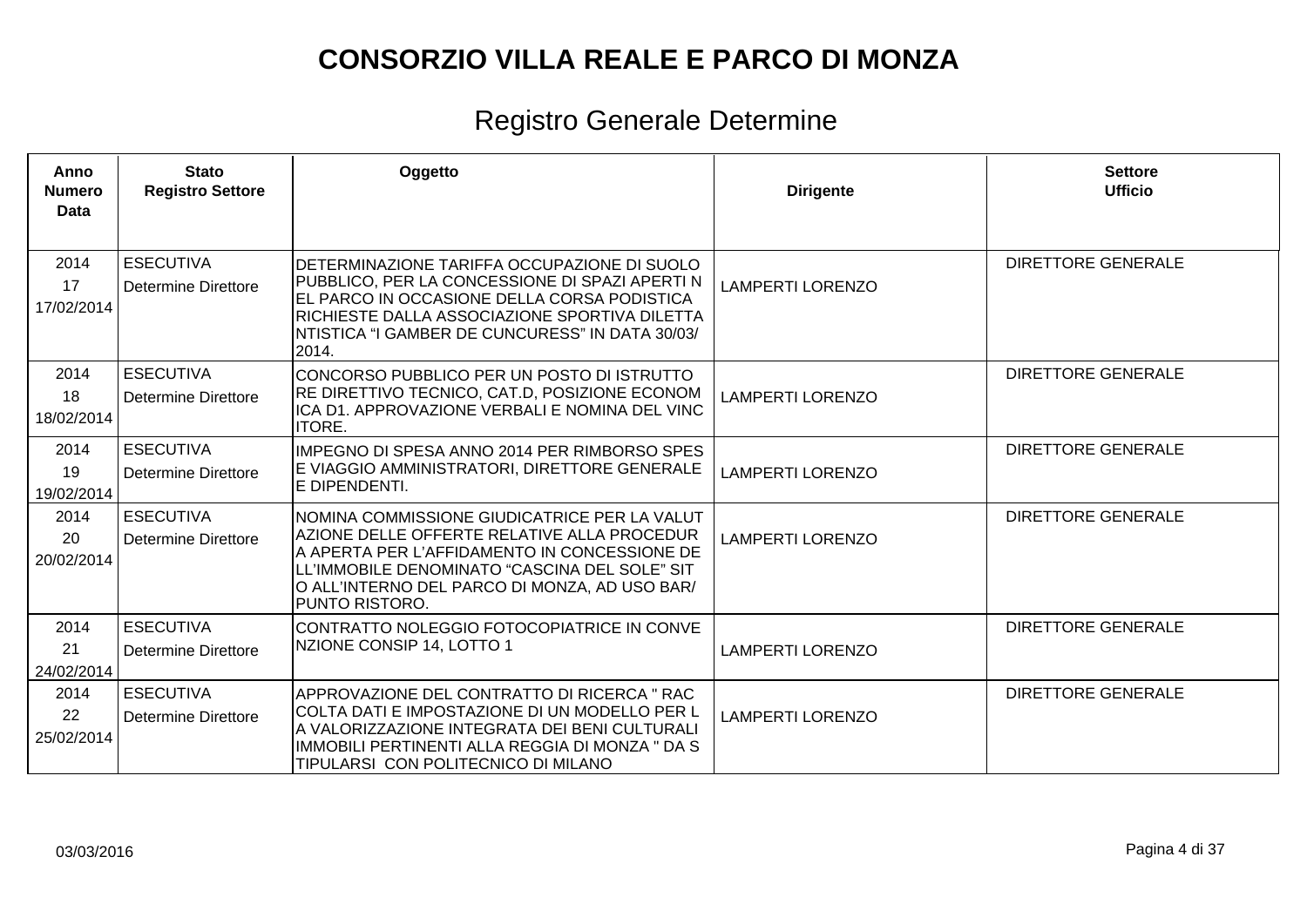| Anno<br><b>Numero</b><br>Data | <b>Stato</b><br><b>Registro Settore</b>        | Oggetto                                                                                                                                                                                                                                                          | <b>Dirigente</b>        | <b>Settore</b><br><b>Ufficio</b> |
|-------------------------------|------------------------------------------------|------------------------------------------------------------------------------------------------------------------------------------------------------------------------------------------------------------------------------------------------------------------|-------------------------|----------------------------------|
| 2014<br>17<br>17/02/2014      | <b>ESECUTIVA</b><br>Determine Direttore        | DETERMINAZIONE TARIFFA OCCUPAZIONE DI SUOLO<br>PUBBLICO, PER LA CONCESSIONE DI SPAZI APERTI N<br>EL PARCO IN OCCASIONE DELLA CORSA PODISTICA<br>RICHIESTE DALLA ASSOCIAZIONE SPORTIVA DILETTA<br>NTISTICA "I GAMBER DE CUNCURESS" IN DATA 30/03/<br>2014.        | <b>LAMPERTI LORENZO</b> | <b>DIRETTORE GENERALE</b>        |
| 2014<br>18<br>18/02/2014      | <b>ESECUTIVA</b><br>Determine Direttore        | CONCORSO PUBBLICO PER UN POSTO DI ISTRUTTO<br>RE DIRETTIVO TECNICO, CAT.D, POSIZIONE ECONOM<br>ICA D1. APPROVAZIONE VERBALI E NOMINA DEL VINC<br>ITORE.                                                                                                          | <b>LAMPERTI LORENZO</b> | <b>DIRETTORE GENERALE</b>        |
| 2014<br>19<br>19/02/2014      | <b>ESECUTIVA</b><br>Determine Direttore        | IMPEGNO DI SPESA ANNO 2014 PER RIMBORSO SPES<br>E VIAGGIO AMMINISTRATORI, DIRETTORE GENERALE<br>IE DIPENDENTI.                                                                                                                                                   | <b>LAMPERTI LORENZO</b> | <b>DIRETTORE GENERALE</b>        |
| 2014<br>20<br>20/02/2014      | <b>ESECUTIVA</b><br>Determine Direttore        | NOMINA COMMISSIONE GIUDICATRICE PER LA VALUT<br>AZIONE DELLE OFFERTE RELATIVE ALLA PROCEDUR<br>A APERTA PER L'AFFIDAMENTO IN CONCESSIONE DE<br>LL'IMMOBILE DENOMINATO "CASCINA DEL SOLE" SIT<br>O ALL'INTERNO DEL PARCO DI MONZA, AD USO BAR/<br>IPUNTO RISTORO. | <b>LAMPERTI LORENZO</b> | <b>DIRETTORE GENERALE</b>        |
| 2014<br>21<br>24/02/2014      | <b>ESECUTIVA</b><br><b>Determine Direttore</b> | CONTRATTO NOLEGGIO FOTOCOPIATRICE IN CONVE<br>NZIONE CONSIP 14, LOTTO 1                                                                                                                                                                                          | <b>LAMPERTI LORENZO</b> | <b>DIRETTORE GENERALE</b>        |
| 2014<br>22<br>25/02/2014      | <b>ESECUTIVA</b><br>Determine Direttore        | APPROVAZIONE DEL CONTRATTO DI RICERCA " RAC<br> COLTA DATI E IMPOSTAZIONE DI UN MODELLO PER L<br>A VALORIZZAZIONE INTEGRATA DEI BENI CULTURALI<br>IMMOBILI PERTINENTI ALLA REGGIA DI MONZA " DA S<br>TIPULARSI CON POLITECNICO DI MILANO                         | <b>LAMPERTI LORENZO</b> | <b>DIRETTORE GENERALE</b>        |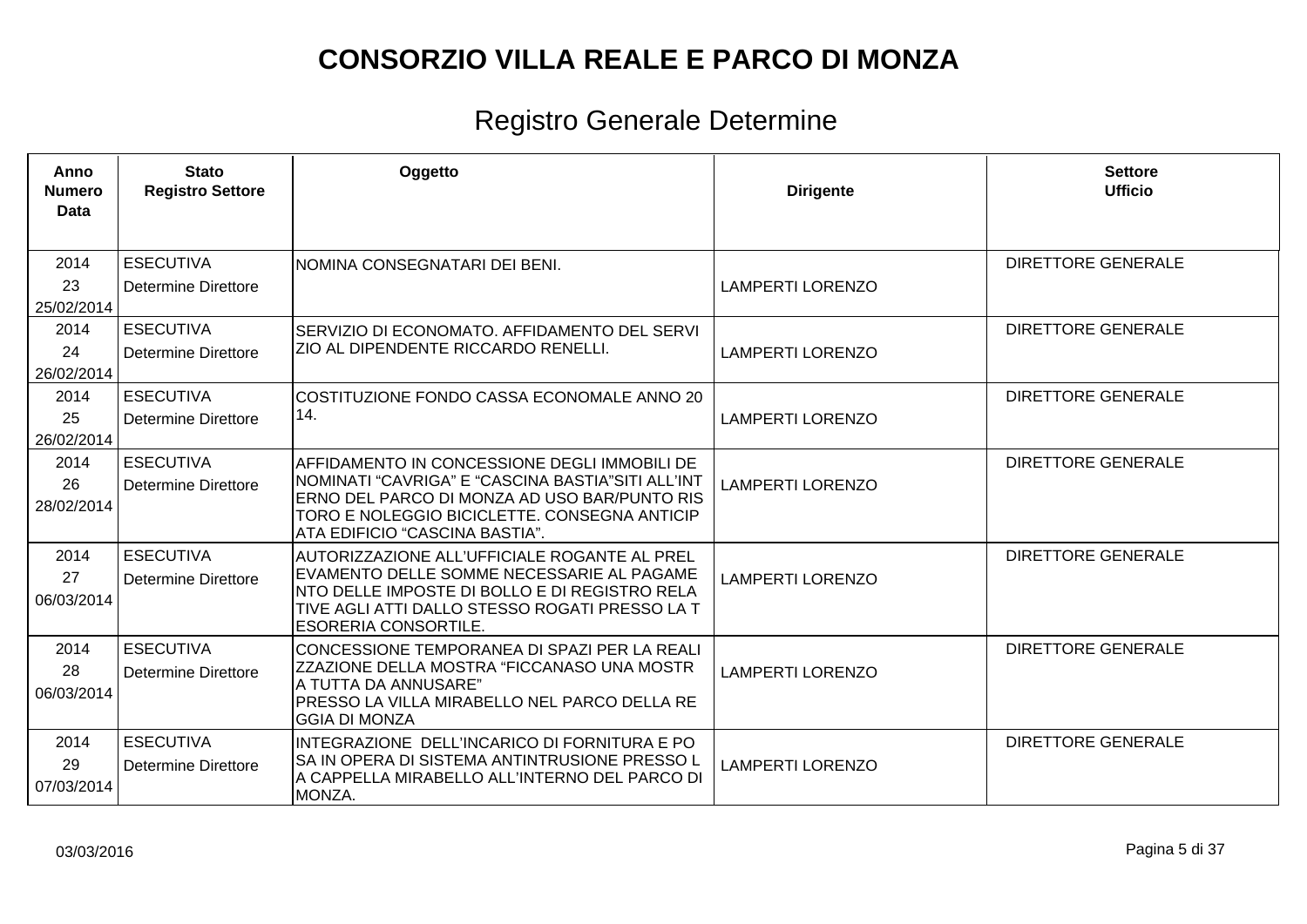| Anno<br><b>Numero</b><br>Data | <b>Stato</b><br><b>Registro Settore</b>        | Oggetto                                                                                                                                                                                                                             | <b>Dirigente</b>        | <b>Settore</b><br><b>Ufficio</b> |
|-------------------------------|------------------------------------------------|-------------------------------------------------------------------------------------------------------------------------------------------------------------------------------------------------------------------------------------|-------------------------|----------------------------------|
| 2014<br>23<br>25/02/2014      | <b>ESECUTIVA</b><br>Determine Direttore        | NOMINA CONSEGNATARI DEI BENI.                                                                                                                                                                                                       | <b>LAMPERTI LORENZO</b> | <b>DIRETTORE GENERALE</b>        |
| 2014<br>24<br>26/02/2014      | <b>ESECUTIVA</b><br>Determine Direttore        | SERVIZIO DI ECONOMATO. AFFIDAMENTO DEL SERVI<br>ZIO AL DIPENDENTE RICCARDO RENELLI.                                                                                                                                                 | <b>LAMPERTI LORENZO</b> | <b>DIRETTORE GENERALE</b>        |
| 2014<br>25<br>26/02/2014      | <b>ESECUTIVA</b><br>Determine Direttore        | COSTITUZIONE FONDO CASSA ECONOMALE ANNO 20<br>14.                                                                                                                                                                                   | <b>LAMPERTI LORENZO</b> | <b>DIRETTORE GENERALE</b>        |
| 2014<br>26<br>28/02/2014      | <b>ESECUTIVA</b><br>Determine Direttore        | AFFIDAMENTO IN CONCESSIONE DEGLI IMMOBILI DE<br>NOMINATI "CAVRIGA" E "CASCINA BASTIA"SITI ALL'INT<br>ERNO DEL PARCO DI MONZA AD USO BAR/PUNTO RIS<br>TORO E NOLEGGIO BICICLETTE. CONSEGNA ANTICIP<br>ATA EDIFICIO "CASCINA BASTIA". | <b>LAMPERTI LORENZO</b> | <b>DIRETTORE GENERALE</b>        |
| 2014<br>27<br>06/03/2014      | <b>ESECUTIVA</b><br><b>Determine Direttore</b> | AUTORIZZAZIONE ALL'UFFICIALE ROGANTE AL PREL<br>EVAMENTO DELLE SOMME NECESSARIE AL PAGAME<br>NTO DELLE IMPOSTE DI BOLLO E DI REGISTRO RELA<br>TIVE AGLI ATTI DALLO STESSO ROGATI PRESSO LA T<br><b>ESORERIA CONSORTILE</b>          | <b>LAMPERTI LORENZO</b> | <b>DIRETTORE GENERALE</b>        |
| 2014<br>28<br>06/03/2014      | <b>ESECUTIVA</b><br><b>Determine Direttore</b> | CONCESSIONE TEMPORANEA DI SPAZI PER LA REALI<br><b>ZZAZIONE DELLA MOSTRA "FICCANASO UNA MOSTR</b><br>A TUTTA DA ANNUSARE"<br>PRESSO LA VILLA MIRABELLO NEL PARCO DELLA RE<br><b>GGIA DI MONZA</b>                                   | <b>LAMPERTI LORENZO</b> | <b>DIRETTORE GENERALE</b>        |
| 2014<br>29<br>07/03/2014      | <b>ESECUTIVA</b><br>Determine Direttore        | INTEGRAZIONE DELL'INCARICO DI FORNITURA E PO<br>SA IN OPERA DI SISTEMA ANTINTRUSIONE PRESSO L<br>A CAPPELLA MIRABELLO ALL'INTERNO DEL PARCO DI<br>MONZA.                                                                            | <b>LAMPERTI LORENZO</b> | <b>DIRETTORE GENERALE</b>        |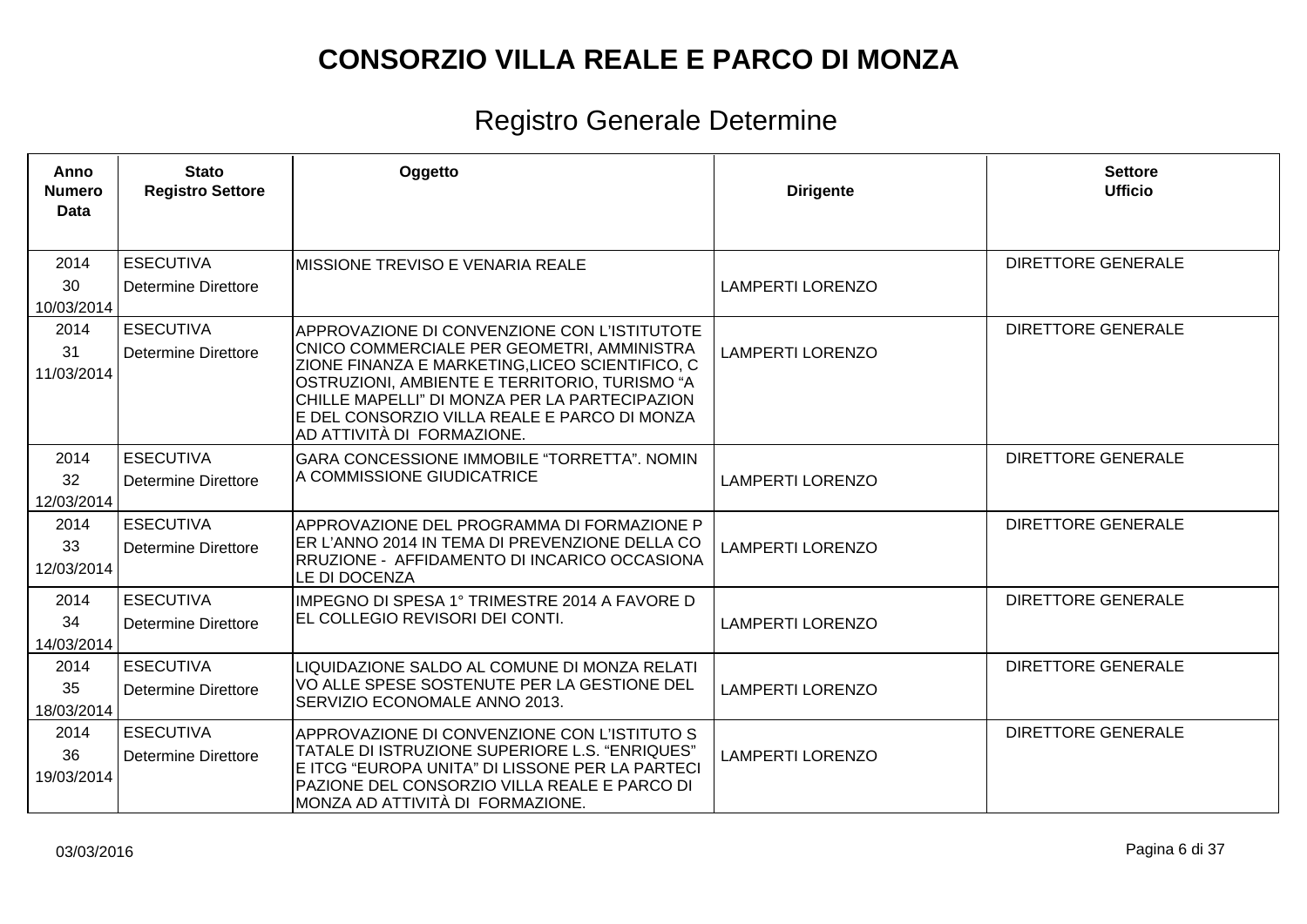| Anno<br><b>Numero</b><br>Data | <b>Stato</b><br><b>Registro Settore</b>        | Oggetto                                                                                                                                                                                                                                                                                                                             | <b>Dirigente</b>        | <b>Settore</b><br><b>Ufficio</b> |
|-------------------------------|------------------------------------------------|-------------------------------------------------------------------------------------------------------------------------------------------------------------------------------------------------------------------------------------------------------------------------------------------------------------------------------------|-------------------------|----------------------------------|
| 2014<br>30<br>10/03/2014      | <b>ESECUTIVA</b><br>Determine Direttore        | IMISSIONE TREVISO E VENARIA REALE                                                                                                                                                                                                                                                                                                   | <b>LAMPERTI LORENZO</b> | <b>DIRETTORE GENERALE</b>        |
| 2014<br>31<br>11/03/2014      | <b>ESECUTIVA</b><br>Determine Direttore        | <b>APPROVAZIONE DI CONVENZIONE CON L'ISTITUTOTE</b><br>CNICO COMMERCIALE PER GEOMETRI, AMMINISTRA<br>ZIONE FINANZA E MARKETING,LICEO SCIENTIFICO, C<br>OSTRUZIONI, AMBIENTE E TERRITORIO, TURISMO "A<br>CHILLE MAPELLI" DI MONZA PER LA PARTECIPAZION<br>E DEL CONSORZIO VILLA REALE E PARCO DI MONZA<br>AD ATTIVITÀ DI FORMAZIONE. | <b>LAMPERTI LORENZO</b> | <b>DIRETTORE GENERALE</b>        |
| 2014<br>32<br>12/03/2014      | <b>ESECUTIVA</b><br>Determine Direttore        | GARA CONCESSIONE IMMOBILE "TORRETTA". NOMIN<br>A COMMISSIONE GIUDICATRICE                                                                                                                                                                                                                                                           | <b>LAMPERTI LORENZO</b> | <b>DIRETTORE GENERALE</b>        |
| 2014<br>33<br>12/03/2014      | <b>ESECUTIVA</b><br><b>Determine Direttore</b> | APPROVAZIONE DEL PROGRAMMA DI FORMAZIONE P<br>ER L'ANNO 2014 IN TEMA DI PREVENZIONE DELLA CO<br>RRUZIONE - AFFIDAMENTO DI INCARICO OCCASIONA<br>LE DI DOCENZA                                                                                                                                                                       | <b>LAMPERTI LORENZO</b> | <b>DIRETTORE GENERALE</b>        |
| 2014<br>34<br>14/03/2014      | <b>ESECUTIVA</b><br><b>Determine Direttore</b> | IMPEGNO DI SPESA 1º TRIMESTRE 2014 A FAVORE D<br>EL COLLEGIO REVISORI DEI CONTI.                                                                                                                                                                                                                                                    | <b>LAMPERTI LORENZO</b> | <b>DIRETTORE GENERALE</b>        |
| 2014<br>35<br>18/03/2014      | <b>ESECUTIVA</b><br>Determine Direttore        | LIQUIDAZIONE SALDO AL COMUNE DI MONZA RELATI<br>VO ALLE SPESE SOSTENUTE PER LA GESTIONE DEL<br>SERVIZIO ECONOMALE ANNO 2013.                                                                                                                                                                                                        | <b>LAMPERTI LORENZO</b> | <b>DIRETTORE GENERALE</b>        |
| 2014<br>36<br>19/03/2014      | <b>ESECUTIVA</b><br>Determine Direttore        | APPROVAZIONE DI CONVENZIONE CON L'ISTITUTO S<br>TATALE DI ISTRUZIONE SUPERIORE L.S. "ENRIQUES"<br>E ITCG "EUROPA UNITA" DI LISSONE PER LA PARTECI<br>PAZIONE DEL CONSORZIO VILLA REALE E PARCO DI<br> MONZA AD ATTIVITÀ DI_FORMAZIONE.                                                                                              | <b>LAMPERTI LORENZO</b> | <b>DIRETTORE GENERALE</b>        |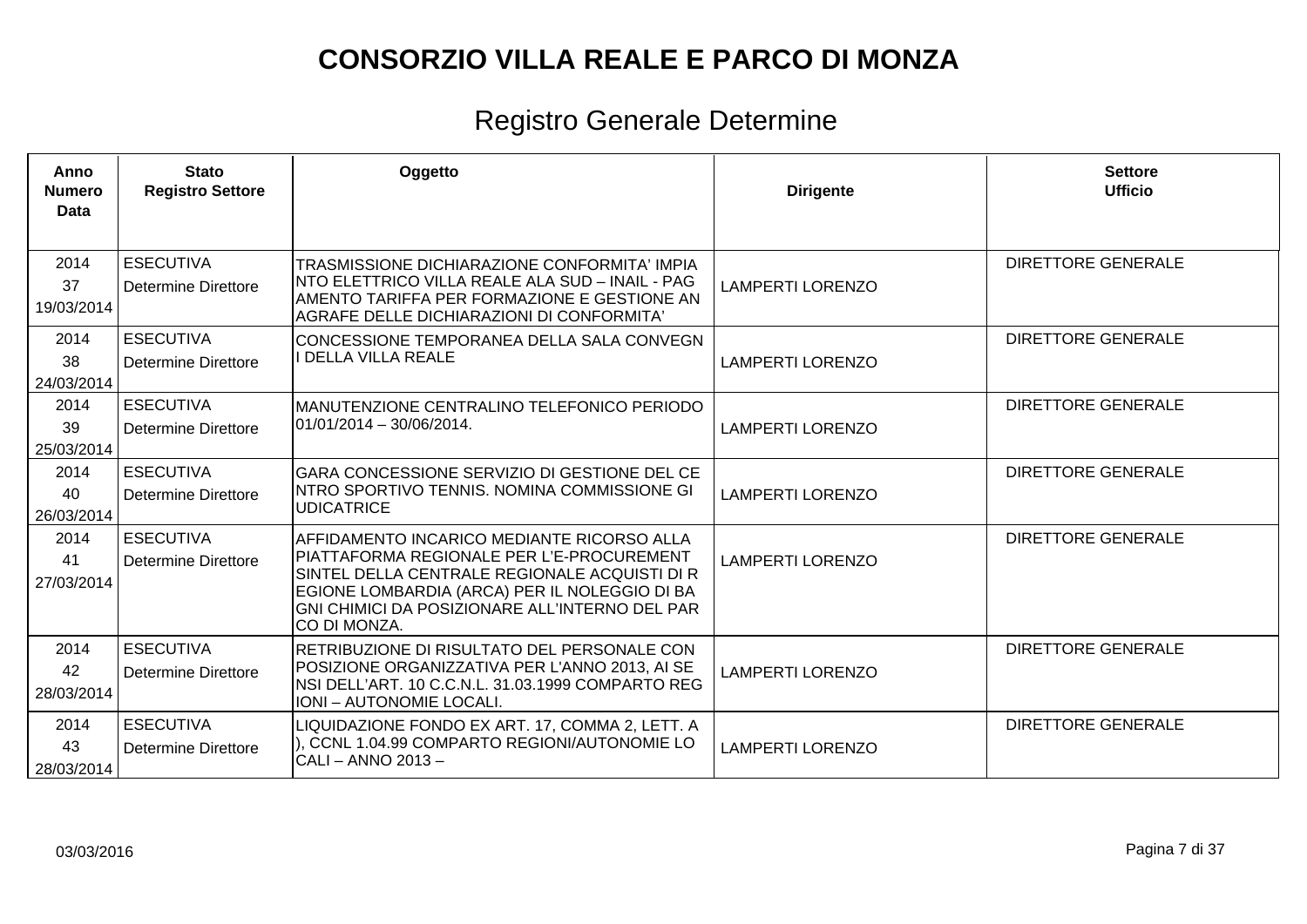| Anno<br><b>Numero</b><br>Data | <b>Stato</b><br><b>Registro Settore</b>        | Oggetto                                                                                                                                                                                                                                                            | <b>Dirigente</b>        | <b>Settore</b><br><b>Ufficio</b> |
|-------------------------------|------------------------------------------------|--------------------------------------------------------------------------------------------------------------------------------------------------------------------------------------------------------------------------------------------------------------------|-------------------------|----------------------------------|
| 2014<br>37<br>19/03/2014      | <b>ESECUTIVA</b><br>Determine Direttore        | TRASMISSIONE DICHIARAZIONE CONFORMITA' IMPIA<br>INTO ELETTRICO VILLA REALE ALA SUD – INAIL - PAG<br>AMENTO TARIFFA PER FORMAZIONE E GESTIONE AN<br>AGRAFE DELLE DICHIARAZIONI DI CONFORMITA'                                                                       | <b>LAMPERTI LORENZO</b> | <b>DIRETTORE GENERALE</b>        |
| 2014<br>38<br>24/03/2014      | <b>ESECUTIVA</b><br>Determine Direttore        | CONCESSIONE TEMPORANEA DELLA SALA CONVEGN<br>I DELLA VILLA REALE                                                                                                                                                                                                   | <b>LAMPERTI LORENZO</b> | <b>DIRETTORE GENERALE</b>        |
| 2014<br>39<br>25/03/2014      | <b>ESECUTIVA</b><br>Determine Direttore        | IMANUTENZIONE CENTRALINO TELEFONICO PERIODO<br> 01/01/2014 – 30/06/2014.                                                                                                                                                                                           | <b>LAMPERTI LORENZO</b> | <b>DIRETTORE GENERALE</b>        |
| 2014<br>40<br>26/03/2014      | <b>ESECUTIVA</b><br>Determine Direttore        | GARA CONCESSIONE SERVIZIO DI GESTIONE DEL CE<br>INTRO SPORTIVO TENNIS. NOMINA COMMISSIONE GI<br><b>UDICATRICE</b>                                                                                                                                                  | <b>LAMPERTI LORENZO</b> | <b>DIRETTORE GENERALE</b>        |
| 2014<br>41<br>27/03/2014      | <b>ESECUTIVA</b><br><b>Determine Direttore</b> | AFFIDAMENTO INCARICO MEDIANTE RICORSO ALLA<br>PIATTAFORMA REGIONALE PER L'E-PROCUREMENT<br>SINTEL DELLA CENTRALE REGIONALE ACQUISTI DI R<br>EGIONE LOMBARDIA (ARCA) PER IL NOLEGGIO DI BA<br>GNI CHIMICI DA POSIZIONARE ALL'INTERNO DEL PAR<br><b>CO DI MONZA.</b> | <b>LAMPERTI LORENZO</b> | <b>DIRETTORE GENERALE</b>        |
| 2014<br>42<br>28/03/2014      | <b>ESECUTIVA</b><br>Determine Direttore        | RETRIBUZIONE DI RISULTATO DEL PERSONALE CON<br>POSIZIONE ORGANIZZATIVA PER L'ANNO 2013, AI SE<br>NSI DELL'ART. 10 C.C.N.L. 31.03.1999 COMPARTO REG<br>IONI – AUTONOMIE LOCALI.                                                                                     | <b>LAMPERTI LORENZO</b> | <b>DIRETTORE GENERALE</b>        |
| 2014<br>43<br>28/03/2014      | <b>ESECUTIVA</b><br>Determine Direttore        | LIQUIDAZIONE FONDO EX ART. 17, COMMA 2, LETT. A<br>), CCNL 1.04.99 COMPARTO REGIONI/AUTONOMIE LO<br>CALI - ANNO 2013 -                                                                                                                                             | <b>LAMPERTI LORENZO</b> | <b>DIRETTORE GENERALE</b>        |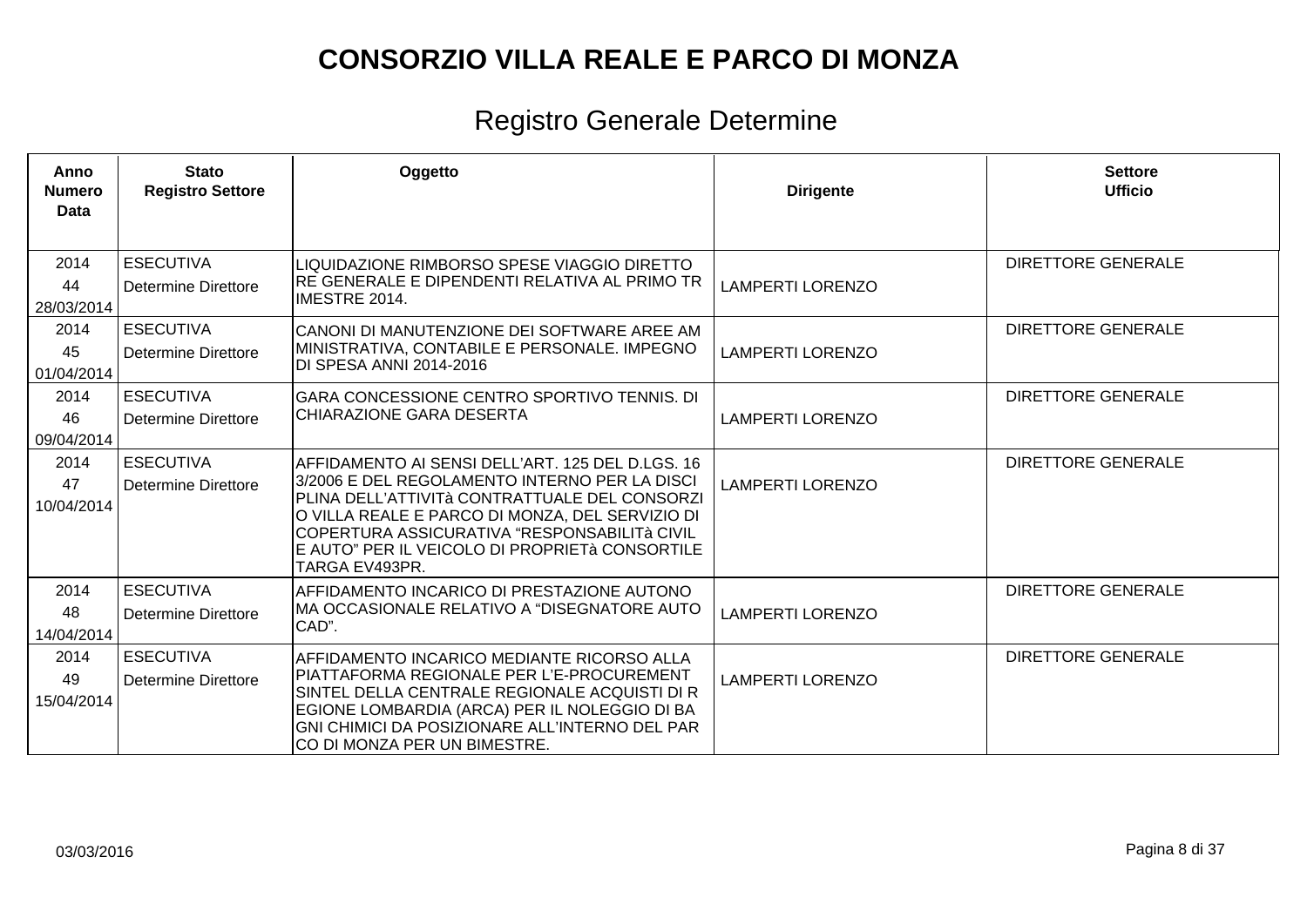| Anno<br><b>Numero</b><br><b>Data</b> | <b>Stato</b><br><b>Registro Settore</b>        | Oggetto                                                                                                                                                                                                                                                                                                                    | <b>Dirigente</b>        | <b>Settore</b><br><b>Ufficio</b> |
|--------------------------------------|------------------------------------------------|----------------------------------------------------------------------------------------------------------------------------------------------------------------------------------------------------------------------------------------------------------------------------------------------------------------------------|-------------------------|----------------------------------|
| 2014<br>44<br>28/03/2014             | <b>ESECUTIVA</b><br>Determine Direttore        | LIQUIDAZIONE RIMBORSO SPESE VIAGGIO DIRETTO<br>RE GENERALE E DIPENDENTI RELATIVA AL PRIMO TR<br><b>IMESTRE 2014.</b>                                                                                                                                                                                                       | <b>LAMPERTI LORENZO</b> | <b>DIRETTORE GENERALE</b>        |
| 2014<br>45<br>01/04/2014             | <b>ESECUTIVA</b><br>Determine Direttore        | CANONI DI MANUTENZIONE DEI SOFTWARE AREE AM<br>MINISTRATIVA, CONTABILE E PERSONALE. IMPEGNO<br>IDI SPESA ANNI 2014-2016                                                                                                                                                                                                    | <b>LAMPERTI LORENZO</b> | <b>DIRETTORE GENERALE</b>        |
| 2014<br>46<br>09/04/2014             | <b>ESECUTIVA</b><br>Determine Direttore        | GARA CONCESSIONE CENTRO SPORTIVO TENNIS. DI<br>CHIARAZIONE GARA DESERTA                                                                                                                                                                                                                                                    | <b>LAMPERTI LORENZO</b> | <b>DIRETTORE GENERALE</b>        |
| 2014<br>47<br>10/04/2014             | <b>ESECUTIVA</b><br>Determine Direttore        | AFFIDAMENTO AI SENSI DELL'ART. 125 DEL D.LGS. 16<br>3/2006 E DEL REGOLAMENTO INTERNO PER LA DISCI<br>PLINA DELL'ATTIVITà CONTRATTUALE DEL CONSORZI<br>O VILLA REALE E PARCO DI MONZA, DEL SERVIZIO DI<br>COPERTURA ASSICURATIVA "RESPONSABILITà CIVIL<br>E AUTO" PER IL VEICOLO DI PROPRIETà CONSORTILE<br> TARGA EV493PR. | <b>LAMPERTI LORENZO</b> | <b>DIRETTORE GENERALE</b>        |
| 2014<br>48<br>14/04/2014             | <b>ESECUTIVA</b><br><b>Determine Direttore</b> | IAFFIDAMENTO INCARICO DI PRESTAZIONE AUTONO<br>MA OCCASIONALE RELATIVO A "DISEGNATORE AUTO<br>CAD".                                                                                                                                                                                                                        | <b>LAMPERTI LORENZO</b> | <b>DIRETTORE GENERALE</b>        |
| 2014<br>49<br>15/04/2014             | <b>ESECUTIVA</b><br>Determine Direttore        | AFFIDAMENTO INCARICO MEDIANTE RICORSO ALLA<br>PIATTAFORMA REGIONALE PER L'E-PROCUREMENT<br>SINTEL DELLA CENTRALE REGIONALE ACQUISTI DI R<br>EGIONE LOMBARDIA (ARCA) PER IL NOLEGGIO DI BA<br>GNI CHIMICI DA POSIZIONARE ALL'INTERNO DEL PAR<br>CO DI MONZA PER UN BIMESTRE.                                                | <b>LAMPERTI LORENZO</b> | <b>DIRETTORE GENERALE</b>        |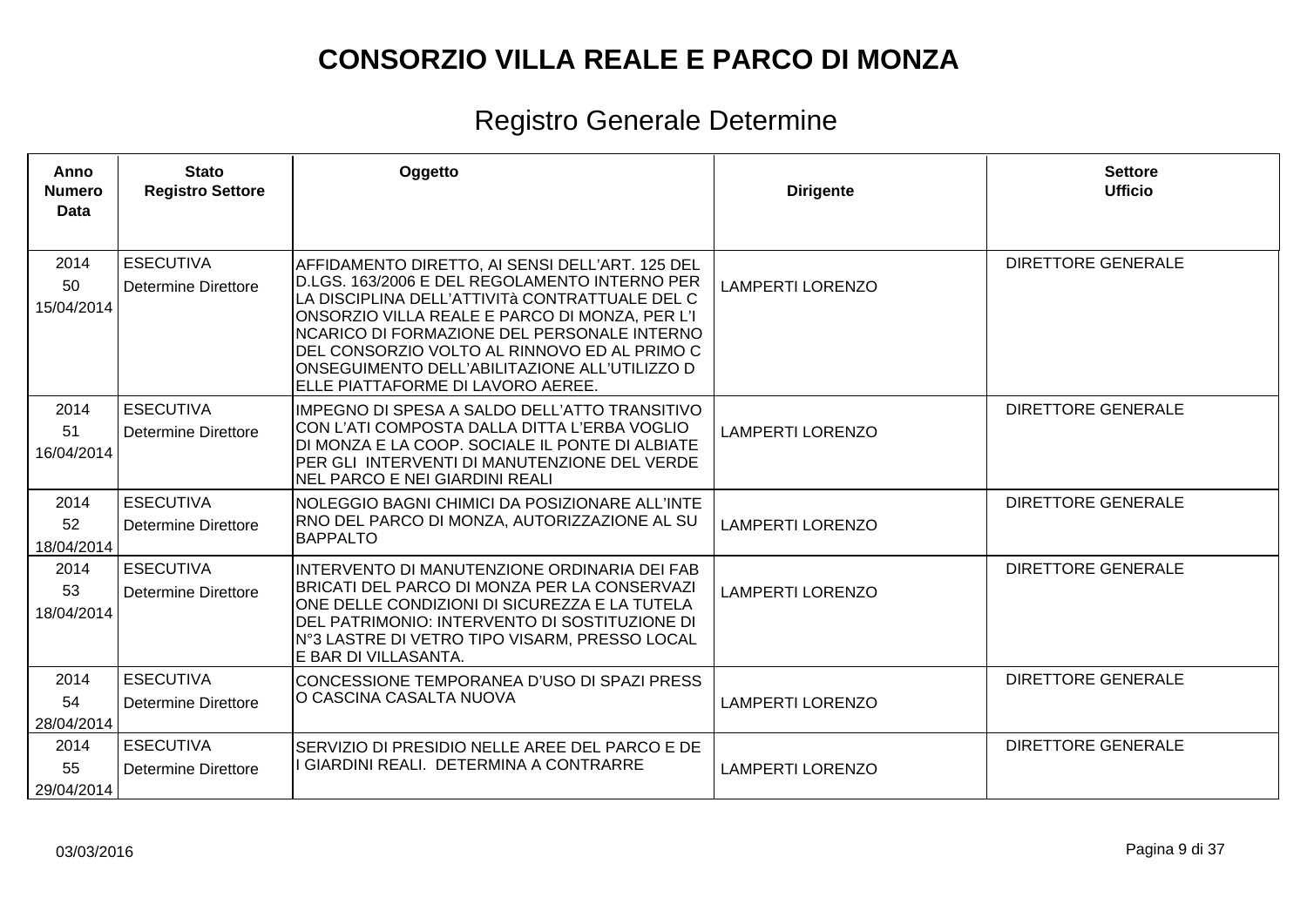| Anno<br><b>Numero</b><br>Data | <b>Stato</b><br><b>Registro Settore</b>        | Oggetto                                                                                                                                                                                                                                                                                                                                                                                   | <b>Dirigente</b>        | <b>Settore</b><br><b>Ufficio</b> |
|-------------------------------|------------------------------------------------|-------------------------------------------------------------------------------------------------------------------------------------------------------------------------------------------------------------------------------------------------------------------------------------------------------------------------------------------------------------------------------------------|-------------------------|----------------------------------|
| 2014<br>50<br>15/04/2014      | <b>ESECUTIVA</b><br>Determine Direttore        | AFFIDAMENTO DIRETTO, AI SENSI DELL'ART. 125 DEL<br>D.LGS. 163/2006 E DEL REGOLAMENTO INTERNO PER<br>LA DISCIPLINA DELL'ATTIVITà CONTRATTUALE DEL C<br>ONSORZIO VILLA REALE E PARCO DI MONZA, PER L'I<br>NCARICO DI FORMAZIONE DEL PERSONALE INTERNO<br>DEL CONSORZIO VOLTO AL RINNOVO ED AL PRIMO C<br>ONSEGUIMENTO DELL'ABILITAZIONE ALL'UTILIZZO D<br>ELLE PIATTAFORME DI LAVORO AEREE. | <b>LAMPERTI LORENZO</b> | <b>DIRETTORE GENERALE</b>        |
| 2014<br>51<br>16/04/2014      | <b>ESECUTIVA</b><br><b>Determine Direttore</b> | IMPEGNO DI SPESA A SALDO DELL'ATTO TRANSITIVO<br>CON L'ATI COMPOSTA DALLA DITTA L'ERBA VOGLIO<br>DI MONZA E LA COOP. SOCIALE IL PONTE DI ALBIATE<br>PER GLI INTERVENTI DI MANUTENZIONE DEL VERDE<br>NEL PARCO E NEI GIARDINI REALI                                                                                                                                                        | <b>LAMPERTI LORENZO</b> | <b>DIRETTORE GENERALE</b>        |
| 2014<br>52<br>18/04/2014      | <b>ESECUTIVA</b><br>Determine Direttore        | NOLEGGIO BAGNI CHIMICI DA POSIZIONARE ALL'INTE<br>RNO DEL PARCO DI MONZA, AUTORIZZAZIONE AL SU<br><b>BAPPALTO</b>                                                                                                                                                                                                                                                                         | <b>LAMPERTI LORENZO</b> | <b>DIRETTORE GENERALE</b>        |
| 2014<br>53<br>18/04/2014      | <b>ESECUTIVA</b><br>Determine Direttore        | INTERVENTO DI MANUTENZIONE ORDINARIA DEI FAB<br>BRICATI DEL PARCO DI MONZA PER LA CONSERVAZI<br>ONE DELLE CONDIZIONI DI SICUREZZA E LA TUTELA<br>DEL PATRIMONIO: INTERVENTO DI SOSTITUZIONE DI<br>N°3 LASTRE DI VETRO TIPO VISARM, PRESSO LOCAL<br>E BAR DI VILLASANTA.                                                                                                                   | <b>LAMPERTI LORENZO</b> | <b>DIRETTORE GENERALE</b>        |
| 2014<br>54<br>28/04/2014      | <b>ESECUTIVA</b><br><b>Determine Direttore</b> | CONCESSIONE TEMPORANEA D'USO DI SPAZI PRESS<br>O CASCINA CASALTA NUOVA                                                                                                                                                                                                                                                                                                                    | <b>LAMPERTI LORENZO</b> | <b>DIRETTORE GENERALE</b>        |
| 2014<br>55<br>29/04/2014      | <b>ESECUTIVA</b><br>Determine Direttore        | SERVIZIO DI PRESIDIO NELLE AREE DEL PARCO E DE<br>II GIARDINI REALI. DETERMINA A CONTRARRE                                                                                                                                                                                                                                                                                                | <b>LAMPERTI LORENZO</b> | <b>DIRETTORE GENERALE</b>        |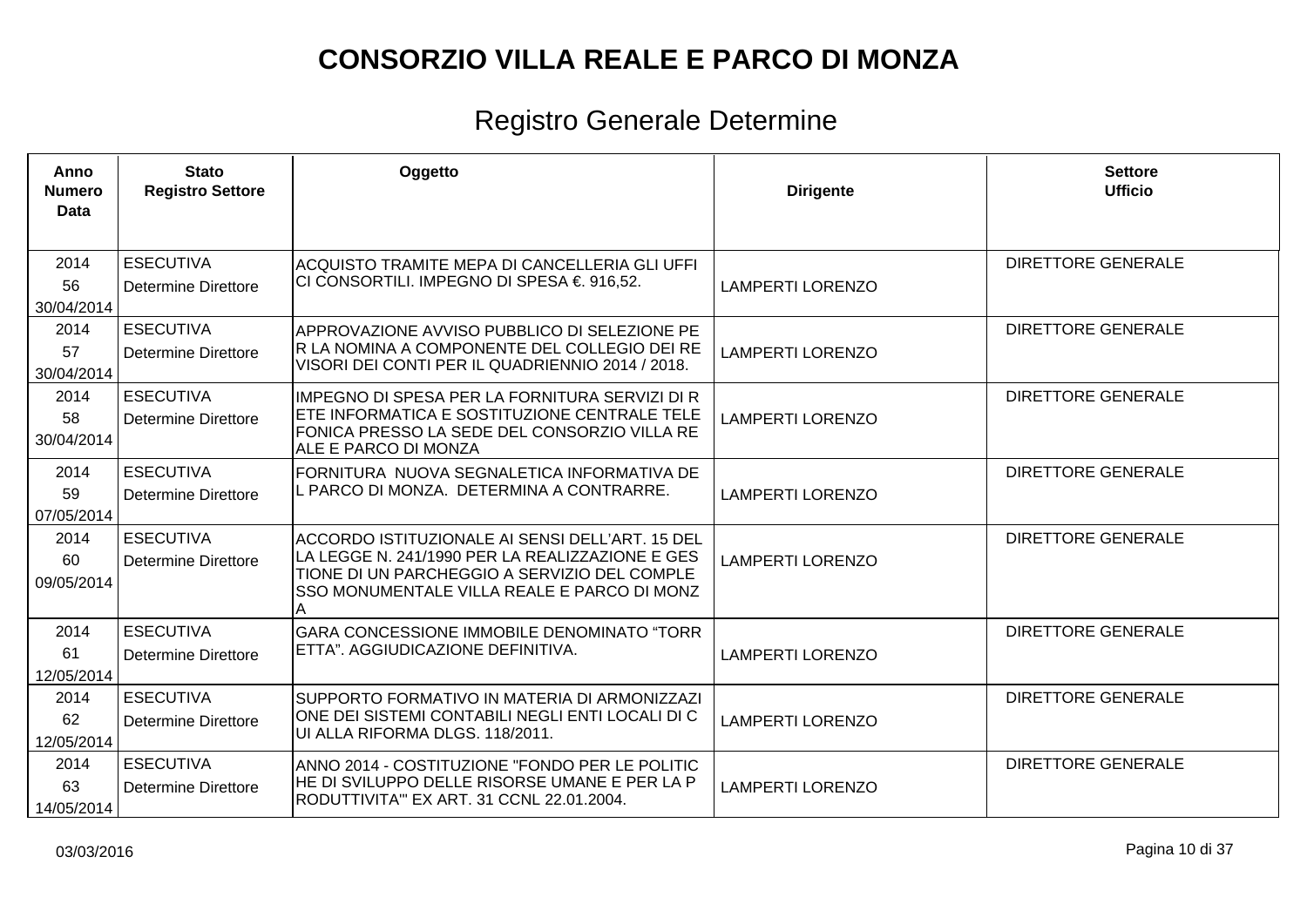| Anno<br><b>Numero</b><br>Data | <b>Stato</b><br><b>Registro Settore</b>        | Oggetto                                                                                                                                                                                           | <b>Dirigente</b>        | <b>Settore</b><br><b>Ufficio</b> |
|-------------------------------|------------------------------------------------|---------------------------------------------------------------------------------------------------------------------------------------------------------------------------------------------------|-------------------------|----------------------------------|
| 2014<br>56<br>30/04/2014      | <b>ESECUTIVA</b><br>Determine Direttore        | IACQUISTO TRAMITE MEPA DI CANCELLERIA GLI UFFI<br>CI CONSORTILI. IMPEGNO DI SPESA € 916,52.                                                                                                       | <b>LAMPERTI LORENZO</b> | <b>DIRETTORE GENERALE</b>        |
| 2014<br>57<br>30/04/2014      | <b>ESECUTIVA</b><br>Determine Direttore        | APPROVAZIONE AVVISO PUBBLICO DI SELEZIONE PE<br>R LA NOMINA A COMPONENTE DEL COLLEGIO DEI RE<br>VISORI DEI CONTI PER IL QUADRIENNIO 2014 / 2018.                                                  | <b>LAMPERTI LORENZO</b> | <b>DIRETTORE GENERALE</b>        |
| 2014<br>58<br>30/04/2014      | <b>ESECUTIVA</b><br>Determine Direttore        | IMPEGNO DI SPESA PER LA FORNITURA SERVIZI DI R<br>ETE INFORMATICA E SOSTITUZIONE CENTRALE TELE<br>FONICA PRESSO LA SEDE DEL CONSORZIO VILLA RE<br>ALE E PARCO DI MONZA                            | <b>LAMPERTI LORENZO</b> | <b>DIRETTORE GENERALE</b>        |
| 2014<br>59<br>07/05/2014      | <b>ESECUTIVA</b><br>Determine Direttore        | FORNITURA NUOVA SEGNALETICA INFORMATIVA DE<br>IL PARCO DI MONZA.  DETERMINA A CONTRARRE.                                                                                                          | <b>LAMPERTI LORENZO</b> | <b>DIRETTORE GENERALE</b>        |
| 2014<br>60<br>09/05/2014      | <b>ESECUTIVA</b><br><b>Determine Direttore</b> | ACCORDO ISTITUZIONALE AI SENSI DELL'ART. 15 DEL<br>LA LEGGE N. 241/1990 PER LA REALIZZAZIONE E GES<br>TIONE DI UN PARCHEGGIO A SERVIZIO DEL COMPLE<br>SSO MONUMENTALE VILLA REALE E PARCO DI MONZ | <b>LAMPERTI LORENZO</b> | <b>DIRETTORE GENERALE</b>        |
| 2014<br>61<br>12/05/2014      | <b>ESECUTIVA</b><br>Determine Direttore        | GARA CONCESSIONE IMMOBILE DENOMINATO "TORR<br> ETTA". AGGIUDICAZIONE DEFINITIVA.                                                                                                                  | <b>LAMPERTI LORENZO</b> | <b>DIRETTORE GENERALE</b>        |
| 2014<br>62<br>12/05/2014      | <b>ESECUTIVA</b><br><b>Determine Direttore</b> | SUPPORTO FORMATIVO IN MATERIA DI ARMONIZZAZI<br>ONE DEI SISTEMI CONTABILI NEGLI ENTI LOCALI DI C<br>UI ALLA RIFORMA DLGS. 118/2011.                                                               | <b>LAMPERTI LORENZO</b> | <b>DIRETTORE GENERALE</b>        |
| 2014<br>63<br>14/05/2014      | <b>ESECUTIVA</b><br>Determine Direttore        | ANNO 2014 - COSTITUZIONE "FONDO PER LE POLITIC<br>HE DI SVILUPPO DELLE RISORSE UMANE E PER LA P<br>RODUTTIVITA" EX ART. 31 CCNL 22.01.2004.                                                       | <b>LAMPERTI LORENZO</b> | <b>DIRETTORE GENERALE</b>        |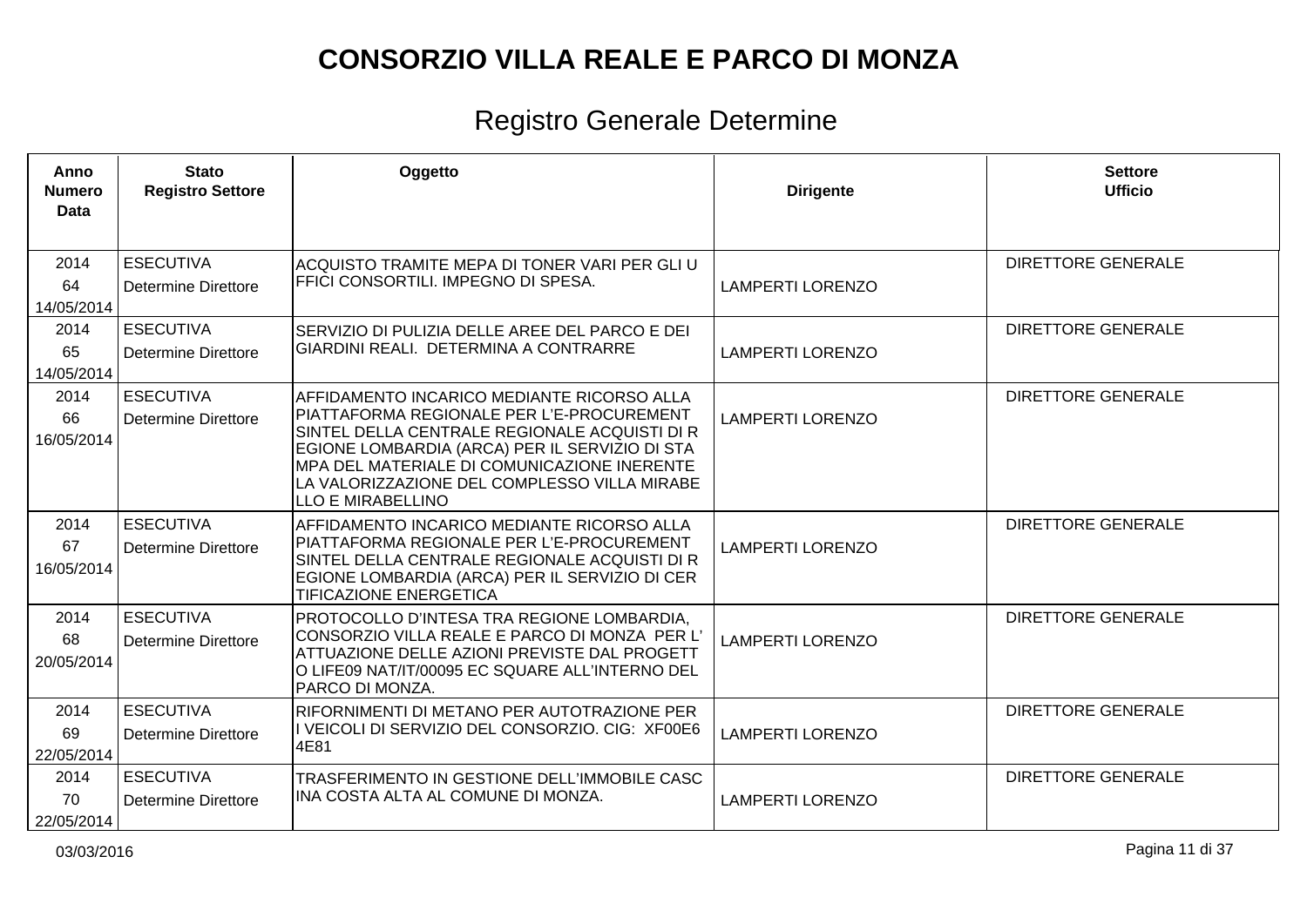| Anno<br><b>Numero</b><br><b>Data</b> | <b>Stato</b><br><b>Registro Settore</b>        | Oggetto                                                                                                                                                                                                                                                                                                                | <b>Dirigente</b>        | <b>Settore</b><br><b>Ufficio</b> |
|--------------------------------------|------------------------------------------------|------------------------------------------------------------------------------------------------------------------------------------------------------------------------------------------------------------------------------------------------------------------------------------------------------------------------|-------------------------|----------------------------------|
| 2014<br>64<br>14/05/2014             | <b>ESECUTIVA</b><br><b>Determine Direttore</b> | ACQUISTO TRAMITE MEPA DI TONER VARI PER GLI U<br>FFICI CONSORTILI. IMPEGNO DI SPESA.                                                                                                                                                                                                                                   | <b>LAMPERTI LORENZO</b> | <b>DIRETTORE GENERALE</b>        |
| 2014<br>65<br>14/05/2014             | <b>ESECUTIVA</b><br><b>Determine Direttore</b> | SERVIZIO DI PULIZIA DELLE AREE DEL PARCO E DEI<br>GIARDINI REALI. DETERMINA A CONTRARRE                                                                                                                                                                                                                                | <b>LAMPERTI LORENZO</b> | <b>DIRETTORE GENERALE</b>        |
| 2014<br>66<br>16/05/2014             | <b>ESECUTIVA</b><br><b>Determine Direttore</b> | AFFIDAMENTO INCARICO MEDIANTE RICORSO ALLA<br>PIATTAFORMA REGIONALE PER L'E-PROCUREMENT<br>SINTEL DELLA CENTRALE REGIONALE ACQUISTI DI R<br>EGIONE LOMBARDIA (ARCA) PER IL SERVIZIO DI STA<br>MPA DEL MATERIALE DI COMUNICAZIONE INERENTE<br>LA VALORIZZAZIONE DEL COMPLESSO VILLA MIRABE<br><b>ILLO E MIRABELLINO</b> | <b>LAMPERTI LORENZO</b> | <b>DIRETTORE GENERALE</b>        |
| 2014<br>67<br>16/05/2014             | <b>ESECUTIVA</b><br><b>Determine Direttore</b> | AFFIDAMENTO INCARICO MEDIANTE RICORSO ALLA<br>PIATTAFORMA REGIONALE PER L'E-PROCUREMENT<br>SINTEL DELLA CENTRALE REGIONALE ACQUISTI DI R<br>EGIONE LOMBARDIA (ARCA) PER IL SERVIZIO DI CER<br><b>TIFICAZIONE ENERGETICA</b>                                                                                            | <b>LAMPERTI LORENZO</b> | <b>DIRETTORE GENERALE</b>        |
| 2014<br>68<br>20/05/2014             | <b>ESECUTIVA</b><br><b>Determine Direttore</b> | PROTOCOLLO D'INTESA TRA REGIONE LOMBARDIA,<br>CONSORZIO VILLA REALE E PARCO DI MONZA PER L'<br>ATTUAZIONE DELLE AZIONI PREVISTE DAL PROGETT<br>O LIFE09 NAT/IT/00095 EC SQUARE ALL'INTERNO DEL<br>PARCO DI MONZA.                                                                                                      | <b>LAMPERTI LORENZO</b> | <b>DIRETTORE GENERALE</b>        |
| 2014<br>69<br>22/05/2014             | <b>ESECUTIVA</b><br><b>Determine Direttore</b> | RIFORNIMENTI DI METANO PER AUTOTRAZIONE PER<br>I VEICOLI DI SERVIZIO DEL CONSORZIO. CIG: XF00E6<br>4E81                                                                                                                                                                                                                | <b>LAMPERTI LORENZO</b> | <b>DIRETTORE GENERALE</b>        |
| 2014<br>70<br>22/05/2014             | <b>ESECUTIVA</b><br>Determine Direttore        | TRASFERIMENTO IN GESTIONE DELL'IMMOBILE CASC<br>INA COSTA ALTA AL COMUNE DI MONZA.                                                                                                                                                                                                                                     | <b>LAMPERTI LORENZO</b> | <b>DIRETTORE GENERALE</b>        |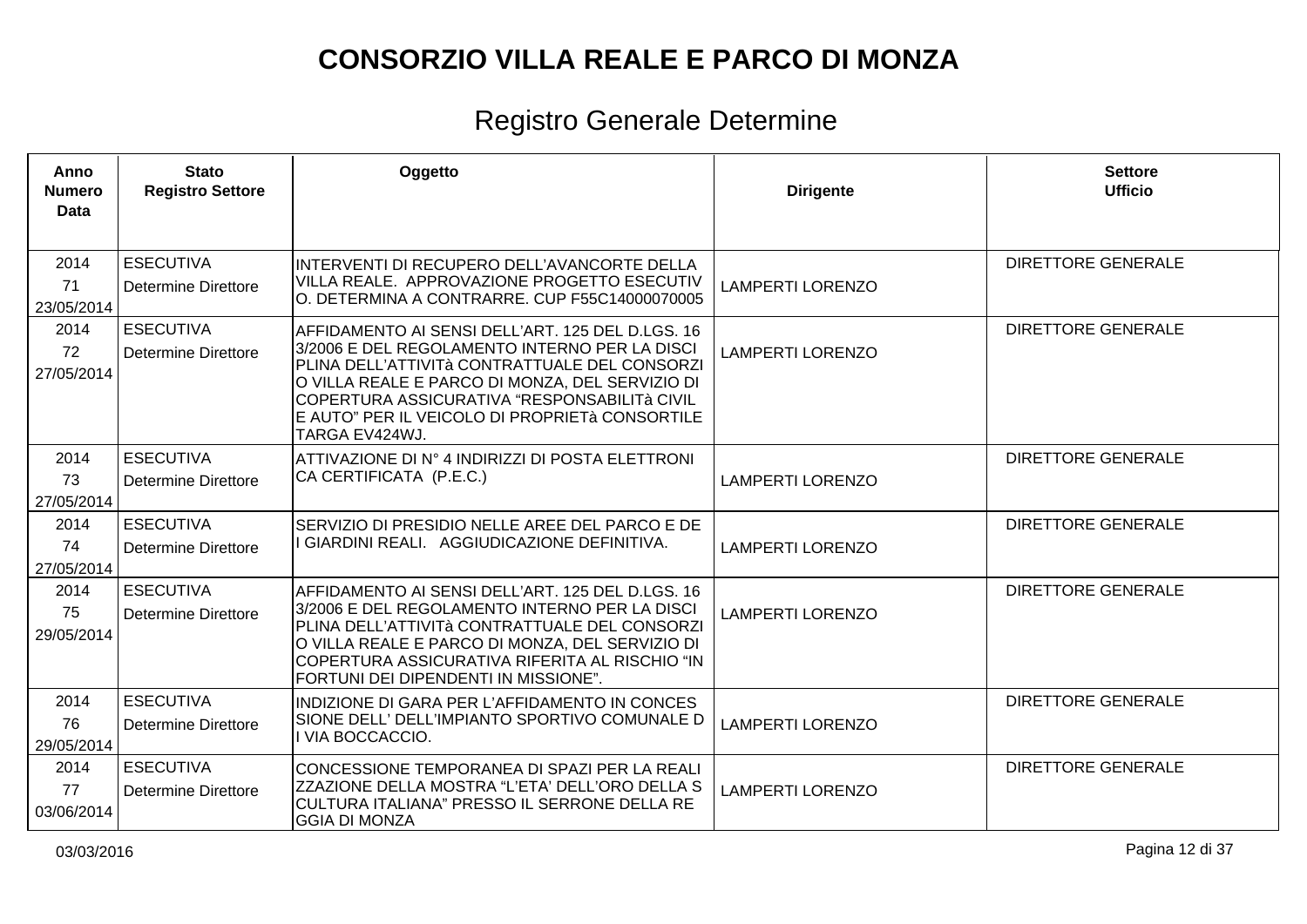| Anno<br><b>Numero</b><br><b>Data</b> | <b>Stato</b><br><b>Registro Settore</b>        | Oggetto                                                                                                                                                                                                                                                                                                                   | <b>Dirigente</b>        | <b>Settore</b><br><b>Ufficio</b> |
|--------------------------------------|------------------------------------------------|---------------------------------------------------------------------------------------------------------------------------------------------------------------------------------------------------------------------------------------------------------------------------------------------------------------------------|-------------------------|----------------------------------|
| 2014<br>71<br>23/05/2014             | <b>ESECUTIVA</b><br><b>Determine Direttore</b> | INTERVENTI DI RECUPERO DELL'AVANCORTE DELLA<br>VILLA REALE. APPROVAZIONE PROGETTO ESECUTIV<br>O. DETERMINA A CONTRARRE. CUP F55C14000070005                                                                                                                                                                               | <b>LAMPERTI LORENZO</b> | <b>DIRETTORE GENERALE</b>        |
| 2014<br>72<br>27/05/2014             | <b>ESECUTIVA</b><br><b>Determine Direttore</b> | AFFIDAMENTO AI SENSI DELL'ART. 125 DEL D.LGS. 16<br>3/2006 E DEL REGOLAMENTO INTERNO PER LA DISCI<br>PLINA DELL'ATTIVITà CONTRATTUALE DEL CONSORZI<br>O VILLA REALE E PARCO DI MONZA, DEL SERVIZIO DI<br>COPERTURA ASSICURATIVA "RESPONSABILITà CIVIL<br>E AUTO" PER IL VEICOLO DI PROPRIETà CONSORTILE<br>TARGA EV424WJ. | <b>LAMPERTI LORENZO</b> | <b>DIRETTORE GENERALE</b>        |
| 2014<br>73<br>27/05/2014             | <b>ESECUTIVA</b><br><b>Determine Direttore</b> | ATTIVAZIONE DI Nº 4 INDIRIZZI DI POSTA ELETTRONI<br>CA CERTIFICATA (P.E.C.)                                                                                                                                                                                                                                               | <b>LAMPERTI LORENZO</b> | <b>DIRETTORE GENERALE</b>        |
| 2014<br>74<br>27/05/2014             | <b>ESECUTIVA</b><br><b>Determine Direttore</b> | SERVIZIO DI PRESIDIO NELLE AREE DEL PARCO E DE<br>I GIARDINI REALI. AGGIUDICAZIONE DEFINITIVA.                                                                                                                                                                                                                            | <b>LAMPERTI LORENZO</b> | <b>DIRETTORE GENERALE</b>        |
| 2014<br>75<br>29/05/2014             | <b>ESECUTIVA</b><br><b>Determine Direttore</b> | AFFIDAMENTO AI SENSI DELL'ART. 125 DEL D.LGS. 16<br>3/2006 E DEL REGOLAMENTO INTERNO PER LA DISCI<br>PLINA DELL'ATTIVITà CONTRATTUALE DEL CONSORZI<br>O VILLA REALE E PARCO DI MONZA, DEL SERVIZIO DI<br>COPERTURA ASSICURATIVA RIFERITA AL RISCHIO "IN<br>FORTUNI DEI DIPENDENTI IN MISSIONE".                           | <b>LAMPERTI LORENZO</b> | <b>DIRETTORE GENERALE</b>        |
| 2014<br>76<br>29/05/2014             | <b>ESECUTIVA</b><br><b>Determine Direttore</b> | INDIZIONE DI GARA PER L'AFFIDAMENTO IN CONCES<br>SIONE DELL' DELL'IMPIANTO SPORTIVO COMUNALE D<br>I VIA BOCCACCIO.                                                                                                                                                                                                        | <b>LAMPERTI LORENZO</b> | <b>DIRETTORE GENERALE</b>        |
| 2014<br>77<br>03/06/2014             | <b>ESECUTIVA</b><br><b>Determine Direttore</b> | CONCESSIONE TEMPORANEA DI SPAZI PER LA REALI<br>ZZAZIONE DELLA MOSTRA "L'ETA' DELL'ORO DELLA S<br>CULTURA ITALIANA" PRESSO IL SERRONE DELLA RE<br><b>GGIA DI MONZA</b>                                                                                                                                                    | <b>LAMPERTI LORENZO</b> | <b>DIRETTORE GENERALE</b>        |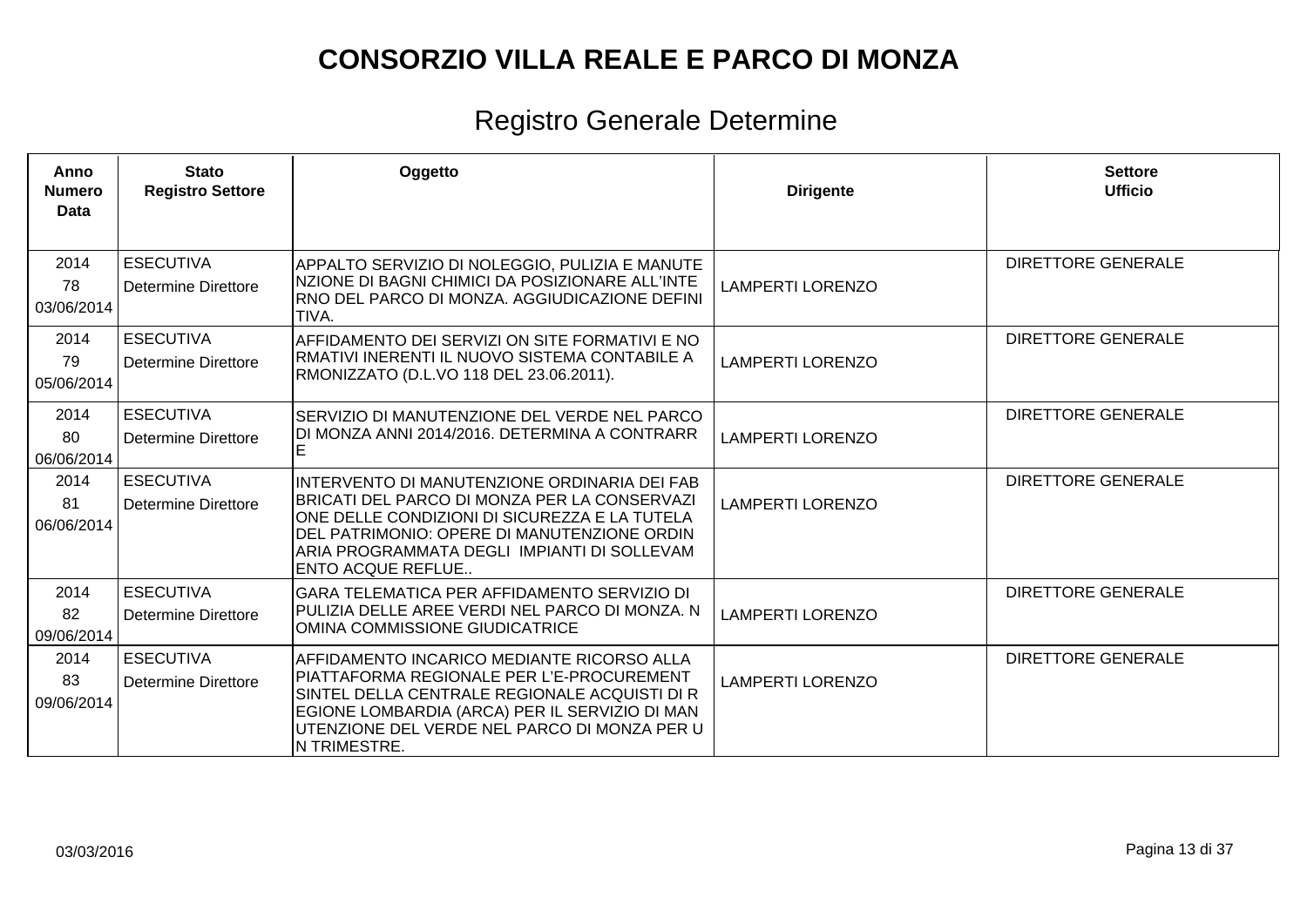| Anno<br><b>Numero</b><br>Data | <b>Stato</b><br><b>Registro Settore</b>        | Oggetto                                                                                                                                                                                                                                                          | <b>Dirigente</b>        | <b>Settore</b><br><b>Ufficio</b> |
|-------------------------------|------------------------------------------------|------------------------------------------------------------------------------------------------------------------------------------------------------------------------------------------------------------------------------------------------------------------|-------------------------|----------------------------------|
| 2014<br>78<br>03/06/2014      | <b>ESECUTIVA</b><br>Determine Direttore        | APPALTO SERVIZIO DI NOLEGGIO, PULIZIA E MANUTE<br>NZIONE DI BAGNI CHIMICI DA POSIZIONARE ALL'INTE<br>IRNO DEL PARCO DI MONZA. AGGIUDICAZIONE DEFINI<br> TIVA.                                                                                                    | <b>LAMPERTI LORENZO</b> | <b>DIRETTORE GENERALE</b>        |
| 2014<br>79<br>05/06/2014      | <b>ESECUTIVA</b><br>Determine Direttore        | AFFIDAMENTO DEI SERVIZI ON SITE FORMATIVI E NO<br>RMATIVI INERENTI IL NUOVO SISTEMA CONTABILE A<br>RMONIZZATO (D.L.VO 118 DEL 23.06.2011).                                                                                                                       | <b>LAMPERTI LORENZO</b> | <b>DIRETTORE GENERALE</b>        |
| 2014<br>80<br>06/06/2014      | <b>ESECUTIVA</b><br>Determine Direttore        | ISERVIZIO DI MANUTENZIONE DEL VERDE NEL PARCO<br>DI MONZA ANNI 2014/2016. DETERMINA A CONTRARR<br>ΙE                                                                                                                                                             | <b>LAMPERTI LORENZO</b> | <b>DIRETTORE GENERALE</b>        |
| 2014<br>81<br>06/06/2014      | <b>ESECUTIVA</b><br>Determine Direttore        | INTERVENTO DI MANUTENZIONE ORDINARIA DEI FAB<br>BRICATI DEL PARCO DI MONZA PER LA CONSERVAZI<br>ONE DELLE CONDIZIONI DI SICUREZZA E LA TUTELA<br>DEL PATRIMONIO: OPERE DI MANUTENZIONE ORDIN<br>ARIA PROGRAMMATA DEGLI IMPIANTI DI SOLLEVAM<br>ENTO ACQUE REFLUE | <b>LAMPERTI LORENZO</b> | <b>DIRETTORE GENERALE</b>        |
| 2014<br>82<br>09/06/2014      | <b>ESECUTIVA</b><br><b>Determine Direttore</b> | GARA TELEMATICA PER AFFIDAMENTO SERVIZIO DI<br>PULIZIA DELLE AREE VERDI NEL PARCO DI MONZA. N<br>OMINA COMMISSIONE GIUDICATRICE                                                                                                                                  | <b>LAMPERTI LORENZO</b> | <b>DIRETTORE GENERALE</b>        |
| 2014<br>83<br>09/06/2014      | <b>ESECUTIVA</b><br>Determine Direttore        | AFFIDAMENTO INCARICO MEDIANTE RICORSO ALLA<br>PIATTAFORMA REGIONALE PER L'E-PROCUREMENT<br>SINTEL DELLA CENTRALE REGIONALE ACQUISTI DI R<br>EGIONE LOMBARDIA (ARCA) PER IL SERVIZIO DI MAN<br>UTENZIONE DEL VERDE NEL PARCO DI MONZA PER U<br>IN TRIMESTRE.      | <b>LAMPERTI LORENZO</b> | <b>DIRETTORE GENERALE</b>        |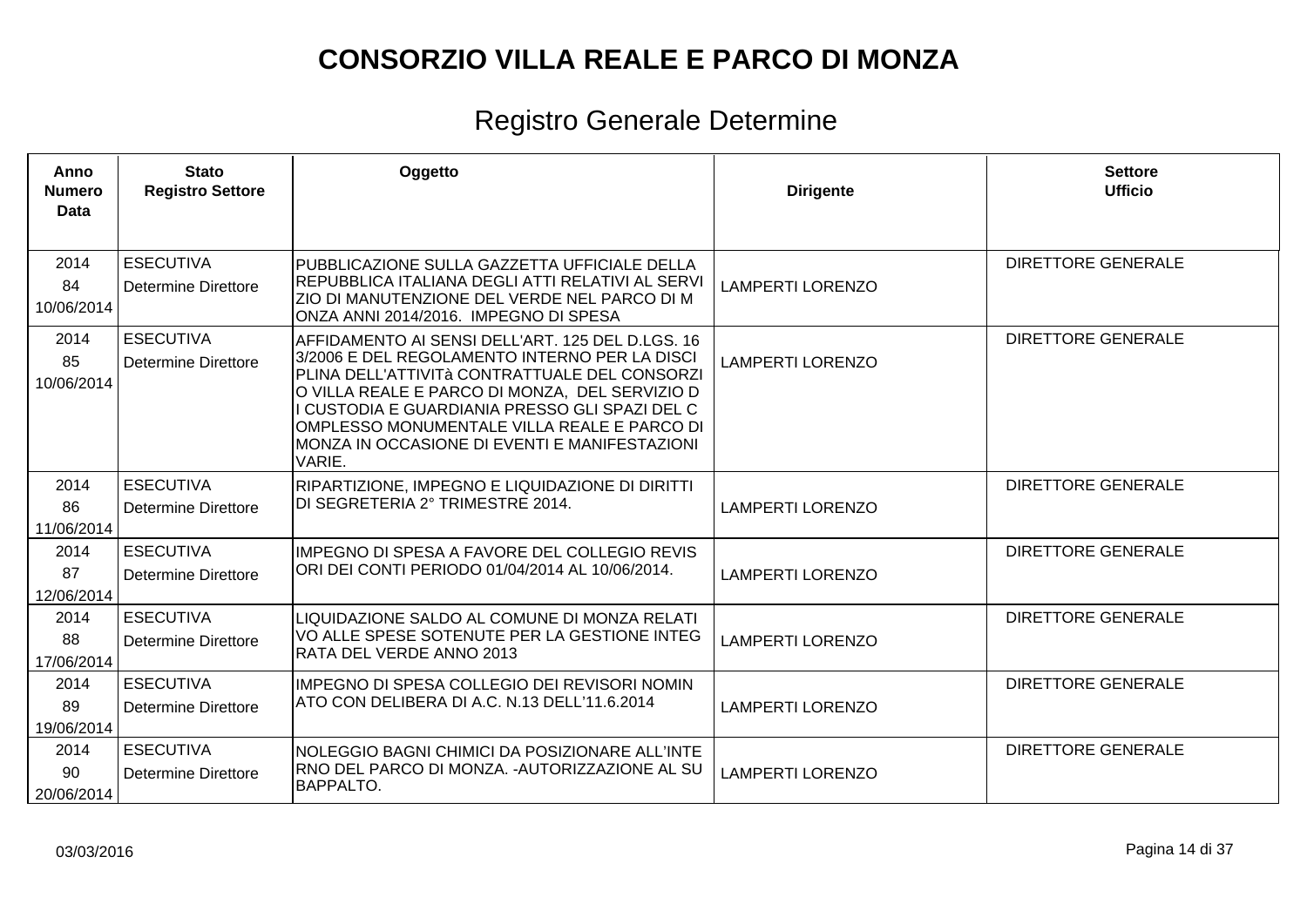| Anno<br><b>Numero</b><br>Data | <b>Stato</b><br><b>Registro Settore</b>        | Oggetto                                                                                                                                                                                                                                                                                                                                                          | <b>Dirigente</b>        | <b>Settore</b><br><b>Ufficio</b> |
|-------------------------------|------------------------------------------------|------------------------------------------------------------------------------------------------------------------------------------------------------------------------------------------------------------------------------------------------------------------------------------------------------------------------------------------------------------------|-------------------------|----------------------------------|
| 2014<br>84<br>10/06/2014      | <b>ESECUTIVA</b><br>Determine Direttore        | PUBBLICAZIONE SULLA GAZZETTA UFFICIALE DELLA<br>REPUBBLICA ITALIANA DEGLI ATTI RELATIVI AL SERVI<br>ZIO DI MANUTENZIONE DEL VERDE NEL PARCO DI M<br>ONZA ANNI 2014/2016. IMPEGNO DI SPESA                                                                                                                                                                        | <b>LAMPERTI LORENZO</b> | <b>DIRETTORE GENERALE</b>        |
| 2014<br>85<br>10/06/2014      | <b>ESECUTIVA</b><br>Determine Direttore        | AFFIDAMENTO AI SENSI DELL'ART. 125 DEL D.LGS. 16<br>3/2006 E DEL REGOLAMENTO INTERNO PER LA DISCI<br>PLINA DELL'ATTIVITà CONTRATTUALE DEL CONSORZI<br>O VILLA REALE E PARCO DI MONZA, DEL SERVIZIO D<br>I CUSTODIA E GUARDIANIA PRESSO GLI SPAZI DEL C<br>OMPLESSO MONUMENTALE VILLA REALE E PARCO DI<br>MONZA IN OCCASIONE DI EVENTI E MANIFESTAZIONI<br>VARIE. | <b>LAMPERTI LORENZO</b> | <b>DIRETTORE GENERALE</b>        |
| 2014<br>86<br>11/06/2014      | <b>ESECUTIVA</b><br>Determine Direttore        | RIPARTIZIONE, IMPEGNO E LIQUIDAZIONE DI DIRITTI<br>DI SEGRETERIA 2° TRIMESTRE 2014.                                                                                                                                                                                                                                                                              | <b>LAMPERTI LORENZO</b> | <b>DIRETTORE GENERALE</b>        |
| 2014<br>87<br>12/06/2014      | <b>ESECUTIVA</b><br><b>Determine Direttore</b> | IMPEGNO DI SPESA A FAVORE DEL COLLEGIO REVIS<br>ORI DEI CONTI PERIODO 01/04/2014 AL 10/06/2014.                                                                                                                                                                                                                                                                  | <b>LAMPERTI LORENZO</b> | <b>DIRETTORE GENERALE</b>        |
| 2014<br>88<br>17/06/2014      | <b>ESECUTIVA</b><br><b>Determine Direttore</b> | LIQUIDAZIONE SALDO AL COMUNE DI MONZA RELATI<br>VO ALLE SPESE SOTENUTE PER LA GESTIONE INTEG<br>RATA DEL VERDE ANNO 2013                                                                                                                                                                                                                                         | <b>LAMPERTI LORENZO</b> | <b>DIRETTORE GENERALE</b>        |
| 2014<br>89<br>19/06/2014      | <b>ESECUTIVA</b><br><b>Determine Direttore</b> | IMPEGNO DI SPESA COLLEGIO DEI REVISORI NOMIN<br>ATO CON DELIBERA DI A.C. N.13 DELL'11.6.2014                                                                                                                                                                                                                                                                     | <b>LAMPERTI LORENZO</b> | <b>DIRETTORE GENERALE</b>        |
| 2014<br>90<br>20/06/2014      | <b>ESECUTIVA</b><br>Determine Direttore        | NOLEGGIO BAGNI CHIMICI DA POSIZIONARE ALL'INTE<br>RNO DEL PARCO DI MONZA. -AUTORIZZAZIONE AL SU<br>IBAPPALTO.                                                                                                                                                                                                                                                    | <b>LAMPERTI LORENZO</b> | <b>DIRETTORE GENERALE</b>        |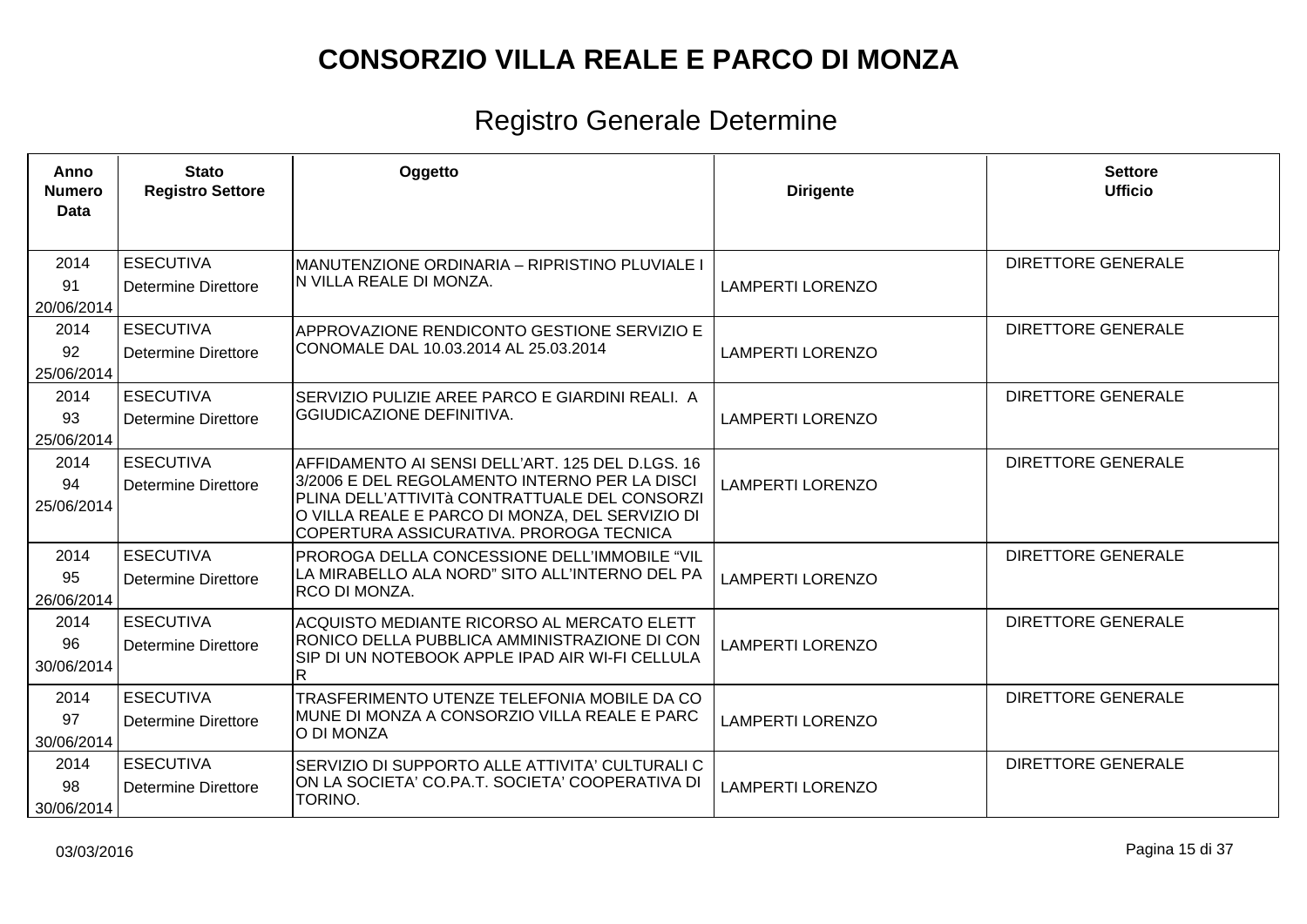| Anno<br><b>Numero</b><br>Data | <b>Stato</b><br><b>Registro Settore</b>        | Oggetto                                                                                                                                                                                                                                          | <b>Dirigente</b>        | <b>Settore</b><br><b>Ufficio</b> |
|-------------------------------|------------------------------------------------|--------------------------------------------------------------------------------------------------------------------------------------------------------------------------------------------------------------------------------------------------|-------------------------|----------------------------------|
| 2014<br>91<br>20/06/2014      | <b>ESECUTIVA</b><br>Determine Direttore        | IMANUTENZIONE ORDINARIA – RIPRISTINO PLUVIALE I<br>N VILLA REALE DI MONZA.                                                                                                                                                                       | <b>LAMPERTI LORENZO</b> | <b>DIRETTORE GENERALE</b>        |
| 2014<br>92<br>25/06/2014      | <b>ESECUTIVA</b><br>Determine Direttore        | APPROVAZIONE RENDICONTO GESTIONE SERVIZIO E<br>CONOMALE DAL 10.03.2014 AL 25.03.2014                                                                                                                                                             | <b>LAMPERTI LORENZO</b> | <b>DIRETTORE GENERALE</b>        |
| 2014<br>93<br>25/06/2014      | <b>ESECUTIVA</b><br>Determine Direttore        | SERVIZIO PULIZIE AREE PARCO E GIARDINI REALI. A<br>GGIUDICAZIONE DEFINITIVA.                                                                                                                                                                     | <b>LAMPERTI LORENZO</b> | <b>DIRETTORE GENERALE</b>        |
| 2014<br>94<br>25/06/2014      | <b>ESECUTIVA</b><br>Determine Direttore        | AFFIDAMENTO AI SENSI DELL'ART. 125 DEL D.LGS. 16<br>3/2006 E DEL REGOLAMENTO INTERNO PER LA DISCI<br>PLINA DELL'ATTIVITà CONTRATTUALE DEL CONSORZI<br>O VILLA REALE E PARCO DI MONZA, DEL SERVIZIO DI<br>COPERTURA ASSICURATIVA. PROROGA TECNICA | <b>LAMPERTI LORENZO</b> | <b>DIRETTORE GENERALE</b>        |
| 2014<br>95<br>26/06/2014      | <b>ESECUTIVA</b><br>Determine Direttore        | PROROGA DELLA CONCESSIONE DELL'IMMOBILE "VIL<br>LA MIRABELLO ALA NORD" SITO ALL'INTERNO DEL PA<br>RCO DI MONZA.                                                                                                                                  | <b>LAMPERTI LORENZO</b> | <b>DIRETTORE GENERALE</b>        |
| 2014<br>96<br>30/06/2014      | <b>ESECUTIVA</b><br><b>Determine Direttore</b> | <b>ACQUISTO MEDIANTE RICORSO AL MERCATO ELETT</b><br>RONICO DELLA PUBBLICA AMMINISTRAZIONE DI CON<br>SIP DI UN NOTEBOOK APPLE IPAD AIR WI-FI CELLULA<br>$\overline{R}$                                                                           | <b>LAMPERTI LORENZO</b> | <b>DIRETTORE GENERALE</b>        |
| 2014<br>97<br>30/06/2014      | <b>ESECUTIVA</b><br>Determine Direttore        | TRASFERIMENTO UTENZE TELEFONIA MOBILE DA CO<br>MUNE DI MONZA A CONSORZIO VILLA REALE E PARC<br>O DI MONZA                                                                                                                                        | <b>LAMPERTI LORENZO</b> | <b>DIRETTORE GENERALE</b>        |
| 2014<br>98<br>30/06/2014      | <b>ESECUTIVA</b><br><b>Determine Direttore</b> | SERVIZIO DI SUPPORTO ALLE ATTIVITA' CULTURALI C<br>ON LA SOCIETA' CO.PA.T. SOCIETA' COOPERATIVA DI<br><b>TORINO.</b>                                                                                                                             | <b>LAMPERTI LORENZO</b> | <b>DIRETTORE GENERALE</b>        |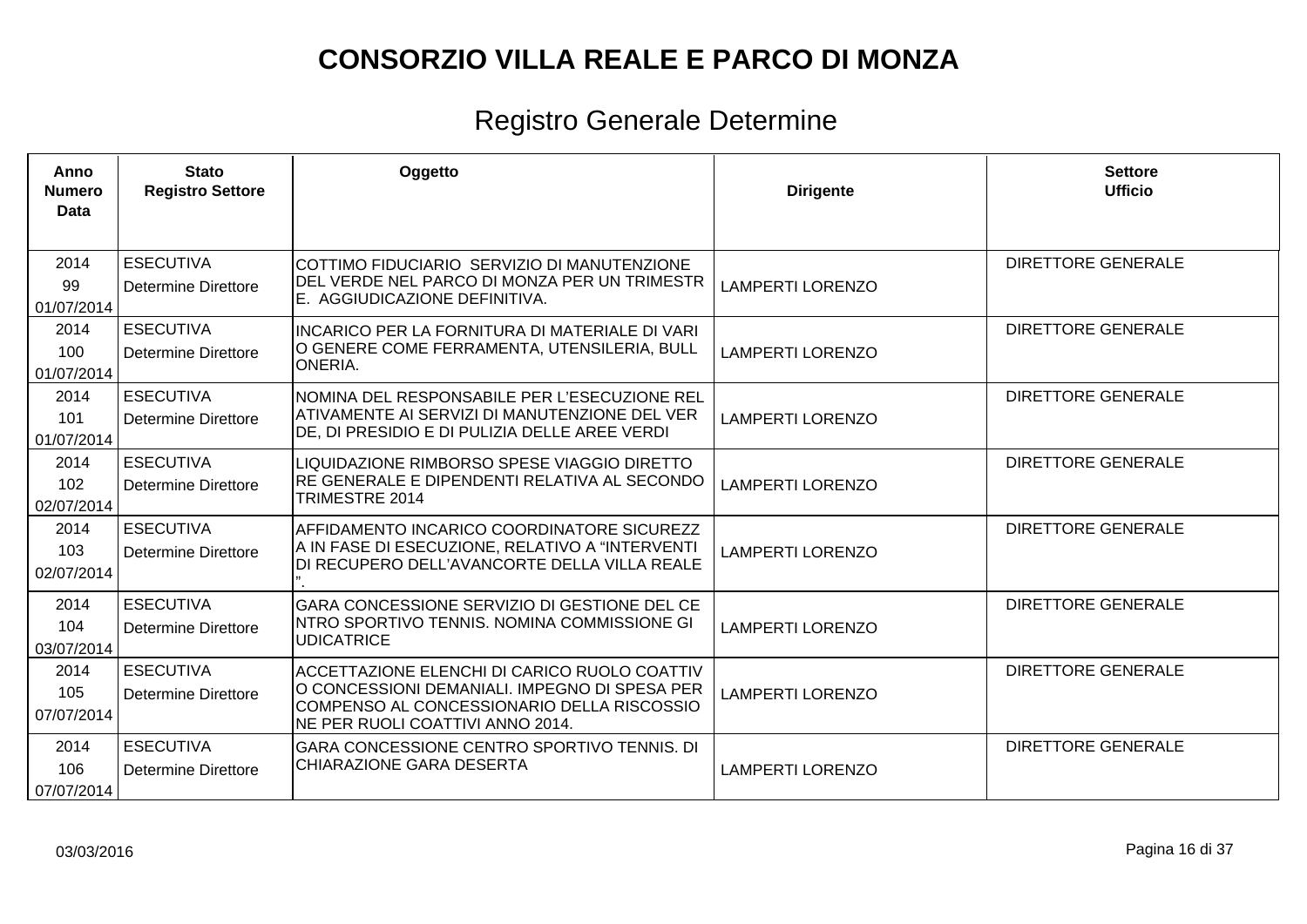| Anno<br><b>Numero</b><br><b>Data</b> | <b>Stato</b><br><b>Registro Settore</b>        | Oggetto                                                                                                                                                                         | <b>Dirigente</b>        | <b>Settore</b><br><b>Ufficio</b> |
|--------------------------------------|------------------------------------------------|---------------------------------------------------------------------------------------------------------------------------------------------------------------------------------|-------------------------|----------------------------------|
| 2014<br>99<br>01/07/2014             | <b>ESECUTIVA</b><br>Determine Direttore        | ICOTTIMO FIDUCIARIO SERVIZIO DI MANUTENZIONE<br>DEL VERDE NEL PARCO DI MONZA PER UN TRIMESTR<br>E. AGGIUDICAZIONE DEFINITIVA.                                                   | <b>LAMPERTI LORENZO</b> | <b>DIRETTORE GENERALE</b>        |
| 2014<br>100<br>01/07/2014            | <b>ESECUTIVA</b><br>Determine Direttore        | INCARICO PER LA FORNITURA DI MATERIALE DI VARI<br>O GENERE COME FERRAMENTA, UTENSILERIA, BULL<br>ONERIA.                                                                        | <b>LAMPERTI LORENZO</b> | <b>DIRETTORE GENERALE</b>        |
| 2014<br>101<br>01/07/2014            | <b>ESECUTIVA</b><br>Determine Direttore        | NOMINA DEL RESPONSABILE PER L'ESECUZIONE REL<br>ATIVAMENTE AI SERVIZI DI MANUTENZIONE DEL VER<br>DE, DI PRESIDIO E DI PULIZIA DELLE AREE VERDI                                  | <b>LAMPERTI LORENZO</b> | <b>DIRETTORE GENERALE</b>        |
| 2014<br>102<br>02/07/2014            | <b>ESECUTIVA</b><br><b>Determine Direttore</b> | LIQUIDAZIONE RIMBORSO SPESE VIAGGIO DIRETTO<br>RE GENERALE E DIPENDENTI RELATIVA AL SECONDO<br>TRIMESTRE 2014                                                                   | <b>LAMPERTI LORENZO</b> | <b>DIRETTORE GENERALE</b>        |
| 2014<br>103<br>02/07/2014            | <b>ESECUTIVA</b><br>Determine Direttore        | AFFIDAMENTO INCARICO COORDINATORE SICUREZZ<br>A IN FASE DI ESECUZIONE, RELATIVO A "INTERVENTI<br>DI RECUPERO DELL'AVANCORTE DELLA VILLA REALE                                   | <b>LAMPERTI LORENZO</b> | <b>DIRETTORE GENERALE</b>        |
| 2014<br>104<br>03/07/2014            | <b>ESECUTIVA</b><br>Determine Direttore        | GARA CONCESSIONE SERVIZIO DI GESTIONE DEL CE<br>NTRO SPORTIVO TENNIS. NOMINA COMMISSIONE GI<br><b>UDICATRICE</b>                                                                | <b>LAMPERTI LORENZO</b> | <b>DIRETTORE GENERALE</b>        |
| 2014<br>105<br>07/07/2014            | <b>ESECUTIVA</b><br>Determine Direttore        | ACCETTAZIONE ELENCHI DI CARICO RUOLO COATTIV<br>O CONCESSIONI DEMANIALI. IMPEGNO DI SPESA PER<br>COMPENSO AL CONCESSIONARIO DELLA RISCOSSIO<br>NE PER RUOLI COATTIVI ANNO 2014. | <b>LAMPERTI LORENZO</b> | <b>DIRETTORE GENERALE</b>        |
| 2014<br>106<br>07/07/2014            | <b>ESECUTIVA</b><br><b>Determine Direttore</b> | GARA CONCESSIONE CENTRO SPORTIVO TENNIS. DI<br>CHIARAZIONE GARA DESERTA                                                                                                         | <b>LAMPERTI LORENZO</b> | <b>DIRETTORE GENERALE</b>        |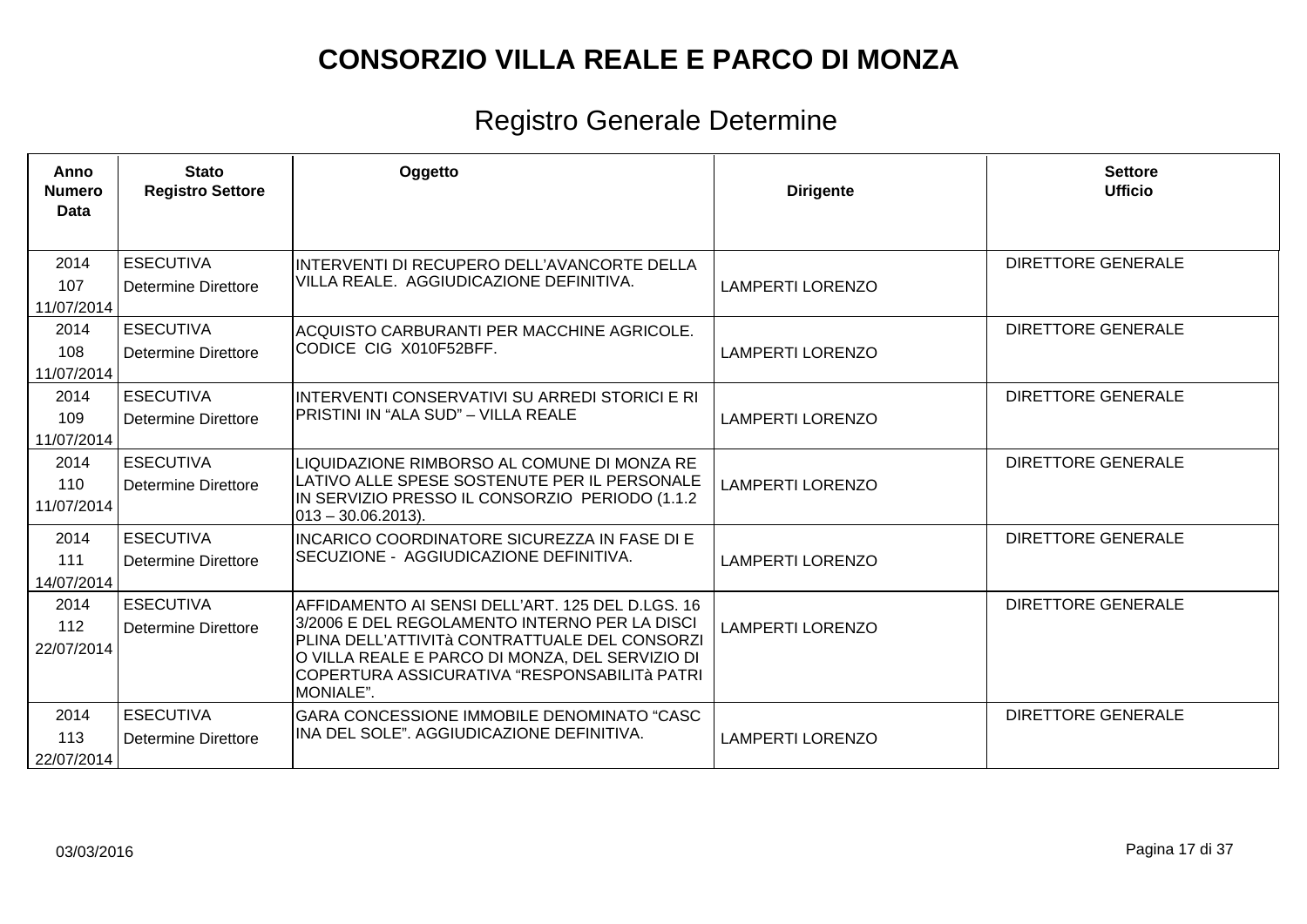| Anno<br><b>Numero</b><br>Data | <b>Stato</b><br><b>Registro Settore</b> | Oggetto                                                                                                                                                                                                                                                             | <b>Dirigente</b>        | <b>Settore</b><br><b>Ufficio</b> |
|-------------------------------|-----------------------------------------|---------------------------------------------------------------------------------------------------------------------------------------------------------------------------------------------------------------------------------------------------------------------|-------------------------|----------------------------------|
| 2014<br>107<br>11/07/2014     | <b>ESECUTIVA</b><br>Determine Direttore | INTERVENTI DI RECUPERO DELL'AVANCORTE DELLA<br>VILLA REALE. AGGIUDICAZIONE DEFINITIVA.                                                                                                                                                                              | <b>LAMPERTI LORENZO</b> | <b>DIRETTORE GENERALE</b>        |
| 2014<br>108<br>11/07/2014     | <b>ESECUTIVA</b><br>Determine Direttore | ACQUISTO CARBURANTI PER MACCHINE AGRICOLE.<br>CODICE CIG X010F52BFF.                                                                                                                                                                                                | <b>LAMPERTI LORENZO</b> | <b>DIRETTORE GENERALE</b>        |
| 2014<br>109<br>11/07/2014     | <b>ESECUTIVA</b><br>Determine Direttore | INTERVENTI CONSERVATIVI SU ARREDI STORICI E RI<br>PRISTINI IN "ALA SUD" – VILLA REALE                                                                                                                                                                               | <b>LAMPERTI LORENZO</b> | <b>DIRETTORE GENERALE</b>        |
| 2014<br>110<br>11/07/2014     | <b>ESECUTIVA</b><br>Determine Direttore | LIQUIDAZIONE RIMBORSO AL COMUNE DI MONZA RE<br>LATIVO ALLE SPESE SOSTENUTE PER IL PERSONALE<br>IN SERVIZIO PRESSO IL CONSORZIO PERIODO (1.1.2<br>$[013 - 30.06.2013]$ .                                                                                             | <b>LAMPERTI LORENZO</b> | <b>DIRETTORE GENERALE</b>        |
| 2014<br>111<br>14/07/2014     | <b>ESECUTIVA</b><br>Determine Direttore | INCARICO COORDINATORE SICUREZZA IN FASE DI E<br>SECUZIONE - AGGIUDICAZIONE DEFINITIVA.                                                                                                                                                                              | <b>LAMPERTI LORENZO</b> | <b>DIRETTORE GENERALE</b>        |
| 2014<br>112<br>22/07/2014     | <b>ESECUTIVA</b><br>Determine Direttore | AFFIDAMENTO AI SENSI DELL'ART. 125 DEL D.LGS. 16<br>3/2006 E DEL REGOLAMENTO INTERNO PER LA DISCI<br>PLINA DELL'ATTIVITà CONTRATTUALE DEL CONSORZI<br>O VILLA REALE E PARCO DI MONZA, DEL SERVIZIO DI<br> COPERTURA ASSICURATIVA "RESPONSABILITà PATRI<br>MONIALE". | <b>LAMPERTI LORENZO</b> | <b>DIRETTORE GENERALE</b>        |
| 2014<br>113<br>22/07/2014     | <b>ESECUTIVA</b><br>Determine Direttore | GARA CONCESSIONE IMMOBILE DENOMINATO "CASC<br>INA DEL SOLE". AGGIUDICAZIONE DEFINITIVA.                                                                                                                                                                             | <b>LAMPERTI LORENZO</b> | <b>DIRETTORE GENERALE</b>        |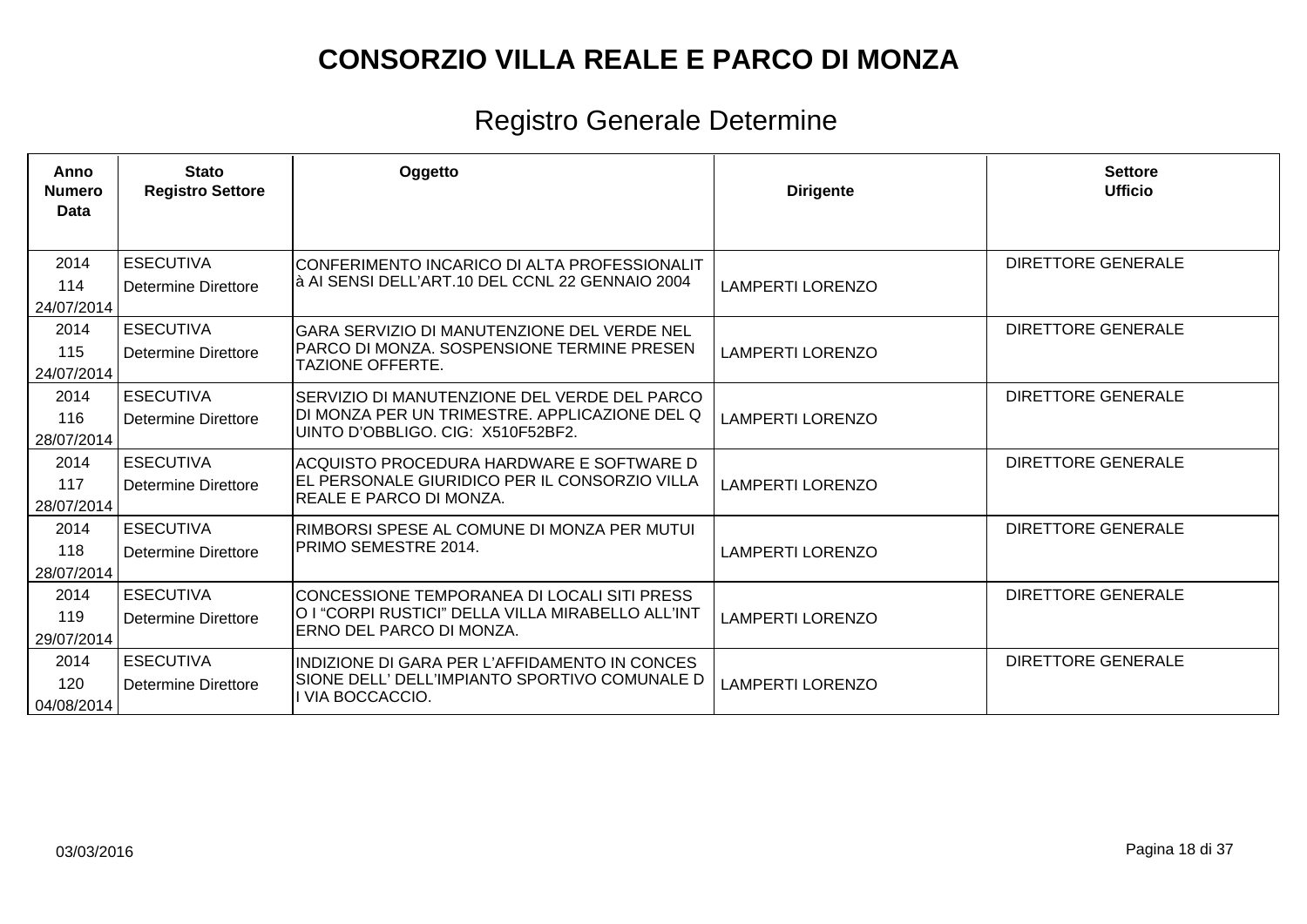| Anno<br><b>Numero</b><br>Data | <b>Stato</b><br><b>Registro Settore</b> | Oggetto                                                            | <b>Dirigente</b>        | <b>Settore</b><br><b>Ufficio</b> |
|-------------------------------|-----------------------------------------|--------------------------------------------------------------------|-------------------------|----------------------------------|
| 2014                          | <b>ESECUTIVA</b>                        | ICONFERIMENTO INCARICO DI ALTA PROFESSIONALIT                      |                         | <b>DIRETTORE GENERALE</b>        |
| 114                           | Determine Direttore                     | ∣à AI SENSI DELL'ART.10 DEL CCNL 22 GENNAIO 2004                   | <b>LAMPERTI LORENZO</b> |                                  |
| 24/07/2014                    |                                         |                                                                    |                         |                                  |
| 2014                          | <b>ESECUTIVA</b>                        | IGARA SERVIZIO DI MANUTENZIONE DEL VERDE NEL                       |                         | <b>DIRETTORE GENERALE</b>        |
| 115                           | Determine Direttore                     | PARCO DI MONZA. SOSPENSIONE TERMINE PRESEN                         | <b>LAMPERTI LORENZO</b> |                                  |
| 24/07/2014                    |                                         | ITAZIONE OFFERTE.                                                  |                         |                                  |
| 2014                          | <b>ESECUTIVA</b>                        | SERVIZIO DI MANUTENZIONE DEL VERDE DEL PARCO                       |                         | <b>DIRETTORE GENERALE</b>        |
| 116                           | Determine Direttore                     | DI MONZA PER UN TRIMESTRE. APPLICAZIONE DEL Q                      | <b>LAMPERTI LORENZO</b> |                                  |
| 28/07/2014                    |                                         | UINTO D'OBBLIGO. CIG: X510F52BF2.                                  |                         |                                  |
| 2014                          | <b>ESECUTIVA</b>                        | ACQUISTO PROCEDURA HARDWARE E SOFTWARE D                           |                         | <b>DIRETTORE GENERALE</b>        |
| 117                           | Determine Direttore                     | EL PERSONALE GIURIDICO PER IL CONSORZIO VILLA                      | <b>LAMPERTI LORENZO</b> |                                  |
| 28/07/2014                    |                                         | IREALE E PARCO DI MONZA.                                           |                         |                                  |
| 2014                          | <b>ESECUTIVA</b>                        | IRIMBORSI SPESE AL COMUNE DI MONZA PER MUTUI                       |                         | <b>DIRETTORE GENERALE</b>        |
| 118                           | Determine Direttore                     | PRIMO SEMESTRE 2014.                                               | <b>LAMPERTI LORENZO</b> |                                  |
| 28/07/2014                    |                                         |                                                                    |                         |                                  |
| 2014                          | <b>ESECUTIVA</b>                        | CONCESSIONE TEMPORANEA DI LOCALI SITI PRESS                        |                         | <b>DIRETTORE GENERALE</b>        |
| 119                           | <b>Determine Direttore</b>              | O I "CORPI RUSTICI" DELLA VILLA MIRABELLO ALL'INT                  | <b>LAMPERTI LORENZO</b> |                                  |
| 29/07/2014                    |                                         | IERNO DEL PARCO DI MONZA.                                          |                         |                                  |
| 2014                          | <b>ESECUTIVA</b>                        | INDIZIONE DI GARA PER L'AFFIDAMENTO IN CONCES                      |                         | <b>DIRETTORE GENERALE</b>        |
| 120                           | Determine Direttore                     | SIONE DELL' DELL'IMPIANTO SPORTIVO COMUNALE D<br>II VIA BOCCACCIO. | <b>LAMPERTI LORENZO</b> |                                  |
| 04/08/2014                    |                                         |                                                                    |                         |                                  |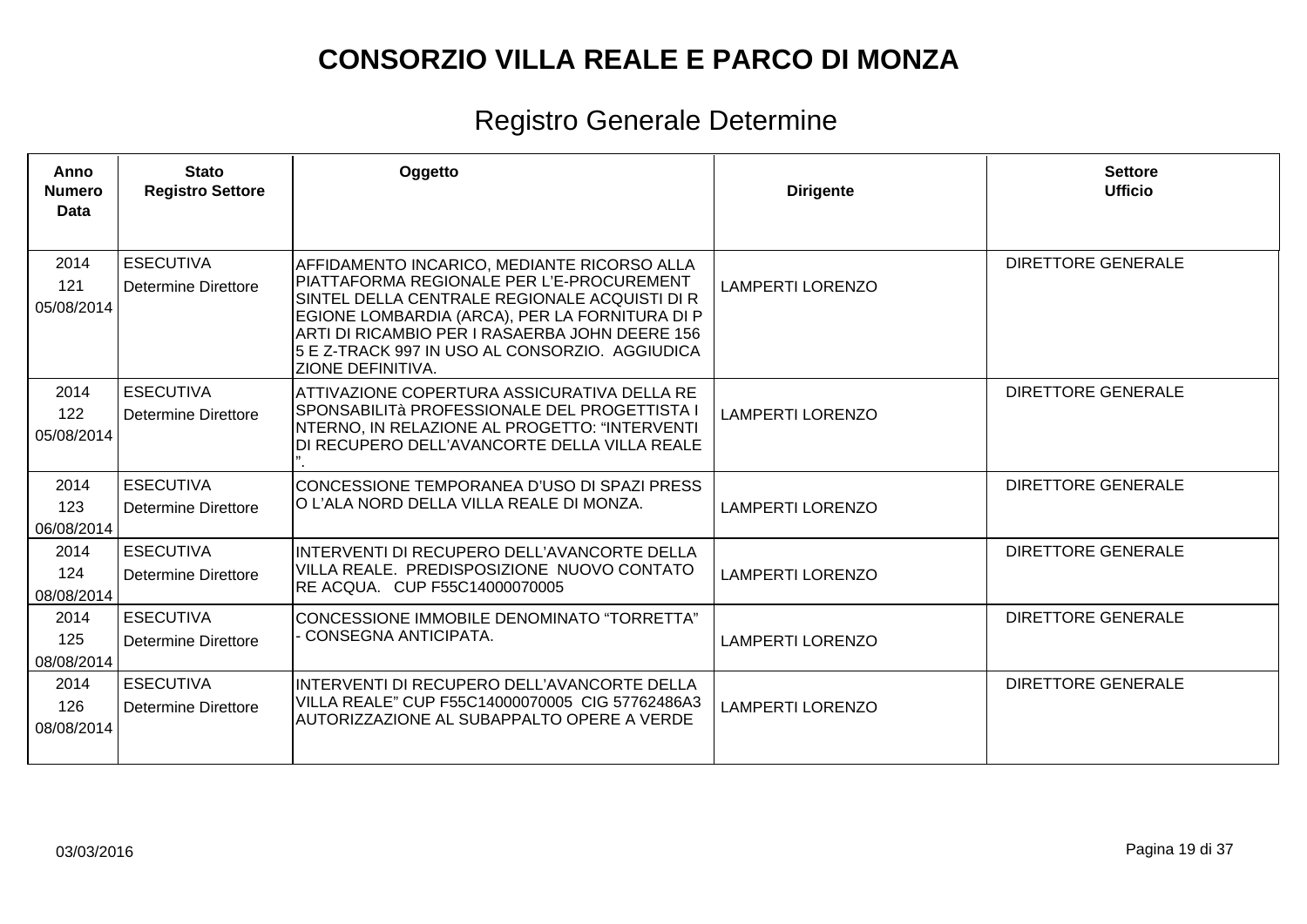| Anno<br><b>Numero</b><br><b>Data</b> | <b>Stato</b><br><b>Registro Settore</b>        | Oggetto                                                                                                                                                                                                                                                                                                                     | <b>Dirigente</b>        | <b>Settore</b><br><b>Ufficio</b> |
|--------------------------------------|------------------------------------------------|-----------------------------------------------------------------------------------------------------------------------------------------------------------------------------------------------------------------------------------------------------------------------------------------------------------------------------|-------------------------|----------------------------------|
| 2014<br>121<br>05/08/2014            | <b>ESECUTIVA</b><br>Determine Direttore        | AFFIDAMENTO INCARICO, MEDIANTE RICORSO ALLA<br>PIATTAFORMA REGIONALE PER L'E-PROCUREMENT<br>SINTEL DELLA CENTRALE REGIONALE ACQUISTI DI R<br>EGIONE LOMBARDIA (ARCA), PER LA FORNITURA DI P<br>ARTI DI RICAMBIO PER I RASAERBA JOHN DEERE 156<br>5 E Z-TRACK 997 IN USO AL CONSORZIO. AGGIUDICA<br><b>ZIONE DEFINITIVA.</b> | <b>LAMPERTI LORENZO</b> | <b>DIRETTORE GENERALE</b>        |
| 2014<br>122<br>05/08/2014            | <b>ESECUTIVA</b><br>Determine Direttore        | IATTIVAZIONE COPERTURA ASSICURATIVA DELLA RE<br>SPONSABILITà PROFESSIONALE DEL PROGETTISTA I<br>NTERNO, IN RELAZIONE AL PROGETTO: "INTERVENTI<br>DI RECUPERO DELL'AVANCORTE DELLA VILLA REALE                                                                                                                               | <b>LAMPERTI LORENZO</b> | <b>DIRETTORE GENERALE</b>        |
| 2014<br>123<br>06/08/2014            | <b>ESECUTIVA</b><br>Determine Direttore        | CONCESSIONE TEMPORANEA D'USO DI SPAZI PRESS<br>IO L'ALA NORD DELLA VILLA REALE DI MONZA.                                                                                                                                                                                                                                    | <b>LAMPERTI LORENZO</b> | <b>DIRETTORE GENERALE</b>        |
| 2014<br>124<br>08/08/2014            | <b>ESECUTIVA</b><br><b>Determine Direttore</b> | INTERVENTI DI RECUPERO DELL'AVANCORTE DELLA<br>VILLA REALE. PREDISPOSIZIONE NUOVO CONTATO<br>RE ACQUA. CUP F55C14000070005                                                                                                                                                                                                  | <b>LAMPERTI LORENZO</b> | <b>DIRETTORE GENERALE</b>        |
| 2014<br>125<br>08/08/2014            | <b>ESECUTIVA</b><br>Determine Direttore        | CONCESSIONE IMMOBILE DENOMINATO "TORRETTA"<br>- CONSEGNA ANTICIPATA.                                                                                                                                                                                                                                                        | <b>LAMPERTI LORENZO</b> | <b>DIRETTORE GENERALE</b>        |
| 2014<br>126<br>08/08/2014            | <b>ESECUTIVA</b><br><b>Determine Direttore</b> | INTERVENTI DI RECUPERO DELL'AVANCORTE DELLA<br>VILLA REALE" CUP F55C14000070005 CIG 57762486A3<br>AUTORIZZAZIONE AL SUBAPPALTO OPERE A VERDE                                                                                                                                                                                | <b>LAMPERTI LORENZO</b> | <b>DIRETTORE GENERALE</b>        |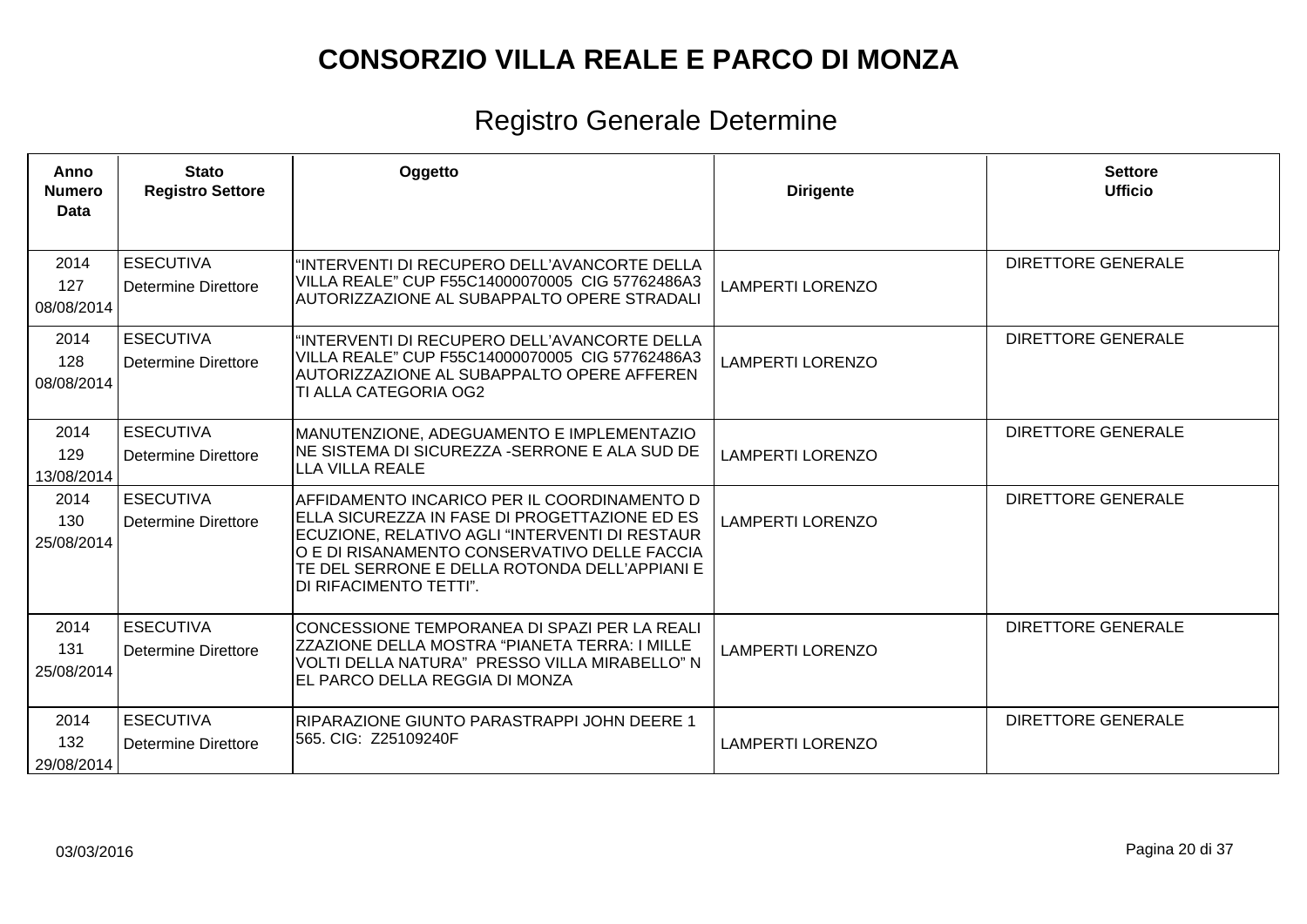| Anno<br><b>Numero</b><br>Data | <b>Stato</b><br><b>Registro Settore</b> | Oggetto                                                                                                                                                                                                                                                                    | <b>Dirigente</b>        | <b>Settore</b><br><b>Ufficio</b> |
|-------------------------------|-----------------------------------------|----------------------------------------------------------------------------------------------------------------------------------------------------------------------------------------------------------------------------------------------------------------------------|-------------------------|----------------------------------|
| 2014<br>127<br>08/08/2014     | <b>ESECUTIVA</b><br>Determine Direttore | "INTERVENTI DI RECUPERO DELL'AVANCORTE DELLA<br>VILLA REALE" CUP F55C14000070005 CIG 57762486A3<br>AUTORIZZAZIONE AL SUBAPPALTO OPERE STRADALI                                                                                                                             | <b>LAMPERTI LORENZO</b> | <b>DIRETTORE GENERALE</b>        |
| 2014<br>128<br>08/08/2014     | <b>ESECUTIVA</b><br>Determine Direttore | 'INTERVENTI DI RECUPERO DELL'AVANCORTE DELLA<br>VILLA REALE" CUP F55C14000070005 CIG 57762486A3<br>AUTORIZZAZIONE AL SUBAPPALTO OPERE AFFEREN<br>TI ALLA CATEGORIA OG2                                                                                                     | <b>LAMPERTI LORENZO</b> | <b>DIRETTORE GENERALE</b>        |
| 2014<br>129<br>13/08/2014     | <b>ESECUTIVA</b><br>Determine Direttore | MANUTENZIONE, ADEGUAMENTO E IMPLEMENTAZIO<br>NE SISTEMA DI SICUREZZA -SERRONE E ALA SUD DE<br>ILLA VILLA REALE                                                                                                                                                             | <b>LAMPERTI LORENZO</b> | <b>DIRETTORE GENERALE</b>        |
| 2014<br>130<br>25/08/2014     | <b>ESECUTIVA</b><br>Determine Direttore | AFFIDAMENTO INCARICO PER IL COORDINAMENTO D<br>ELLA SICUREZZA IN FASE DI PROGETTAZIONE ED ES<br>ECUZIONE, RELATIVO AGLI "INTERVENTI DI RESTAUR<br>O E DI RISANAMENTO CONSERVATIVO DELLE FACCIA<br>TE DEL SERRONE E DELLA ROTONDA DELL'APPIANI E<br>IDI RIFACIMENTO TETTI". | <b>LAMPERTI LORENZO</b> | <b>DIRETTORE GENERALE</b>        |
| 2014<br>131<br>25/08/2014     | <b>ESECUTIVA</b><br>Determine Direttore | CONCESSIONE TEMPORANEA DI SPAZI PER LA REALI<br>ZZAZIONE DELLA MOSTRA "PIANETA TERRA: I MILLE<br>VOLTI DELLA NATURA" PRESSO VILLA MIRABELLO" N<br>EL PARCO DELLA REGGIA DI MONZA                                                                                           | <b>LAMPERTI LORENZO</b> | <b>DIRETTORE GENERALE</b>        |
| 2014<br>132<br>29/08/2014     | <b>ESECUTIVA</b><br>Determine Direttore | RIPARAZIONE GIUNTO PARASTRAPPI JOHN DEERE 1<br>565. CIG: Z25109240F                                                                                                                                                                                                        | <b>LAMPERTI LORENZO</b> | <b>DIRETTORE GENERALE</b>        |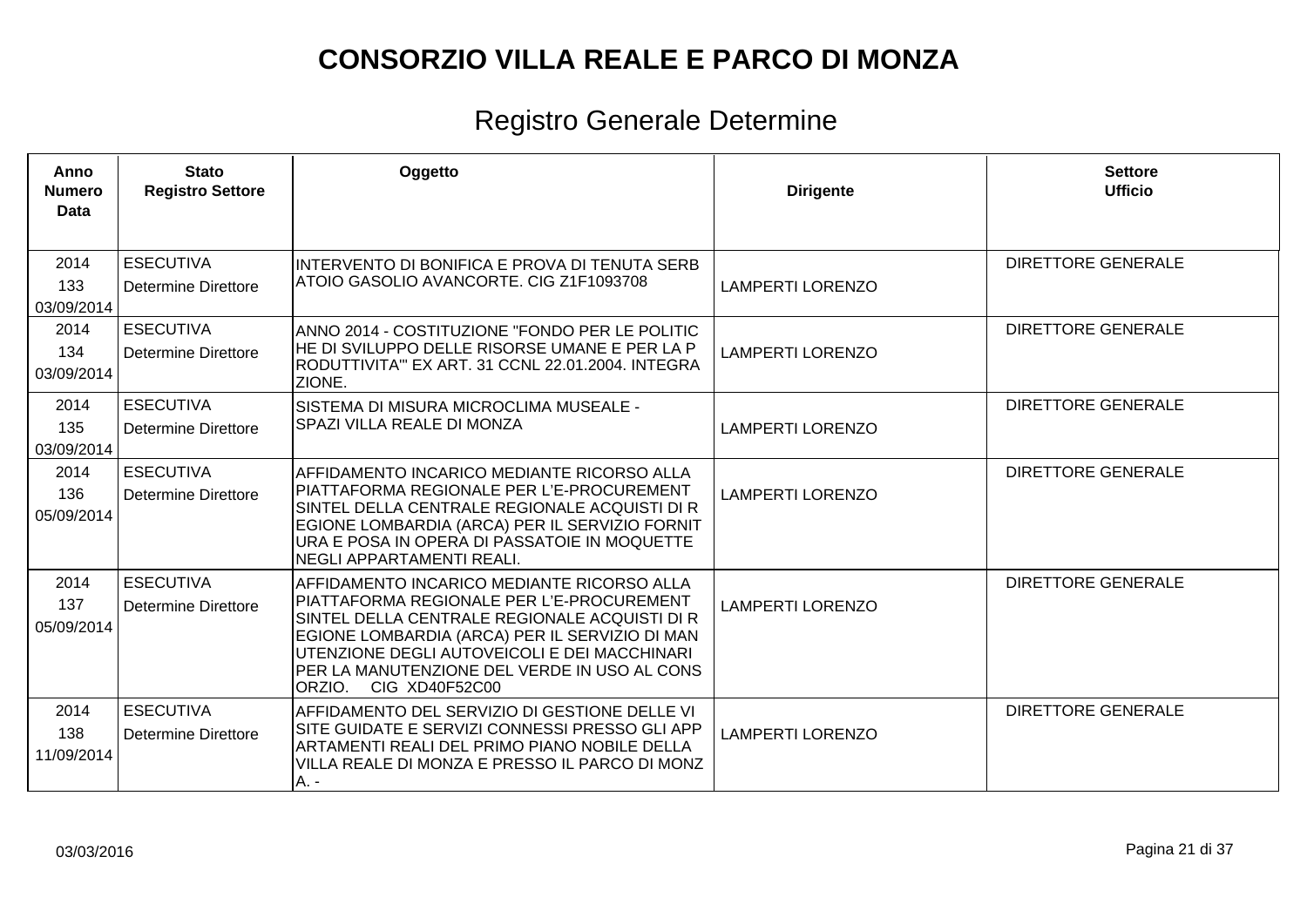| Anno<br><b>Numero</b><br><b>Data</b> | <b>Stato</b><br><b>Registro Settore</b>        | Oggetto                                                                                                                                                                                                                                                                                                                 | <b>Dirigente</b>        | <b>Settore</b><br><b>Ufficio</b> |
|--------------------------------------|------------------------------------------------|-------------------------------------------------------------------------------------------------------------------------------------------------------------------------------------------------------------------------------------------------------------------------------------------------------------------------|-------------------------|----------------------------------|
| 2014<br>133<br>03/09/2014            | <b>ESECUTIVA</b><br>Determine Direttore        | INTERVENTO DI BONIFICA E PROVA DI TENUTA SERB<br>ATOIO GASOLIO AVANCORTE. CIG Z1F1093708                                                                                                                                                                                                                                | <b>LAMPERTI LORENZO</b> | <b>DIRETTORE GENERALE</b>        |
| 2014<br>134<br>03/09/2014            | <b>ESECUTIVA</b><br><b>Determine Direttore</b> | ANNO 2014 - COSTITUZIONE "FONDO PER LE POLITIC<br>HE DI SVILUPPO DELLE RISORSE UMANE E PER LA P<br>RODUTTIVITA'" EX ART. 31 CCNL 22.01.2004. INTEGRA<br>ZIONE.                                                                                                                                                          | <b>LAMPERTI LORENZO</b> | <b>DIRETTORE GENERALE</b>        |
| 2014<br>135<br>03/09/2014            | <b>ESECUTIVA</b><br>Determine Direttore        | SISTEMA DI MISURA MICROCLIMA MUSEALE -<br>SPAZI VILLA REALE DI MONZA                                                                                                                                                                                                                                                    | <b>LAMPERTI LORENZO</b> | <b>DIRETTORE GENERALE</b>        |
| 2014<br>136<br>05/09/2014            | <b>ESECUTIVA</b><br><b>Determine Direttore</b> | AFFIDAMENTO INCARICO MEDIANTE RICORSO ALLA<br>PIATTAFORMA REGIONALE PER L'E-PROCUREMENT<br>SINTEL DELLA CENTRALE REGIONALE ACQUISTI DI R<br>EGIONE LOMBARDIA (ARCA) PER IL SERVIZIO FORNIT<br>URA E POSA IN OPERA DI PASSATOIE IN MOQUETTE<br>NEGLI APPARTAMENTI REALI.                                                 | <b>LAMPERTI LORENZO</b> | <b>DIRETTORE GENERALE</b>        |
| 2014<br>137<br>05/09/2014            | <b>ESECUTIVA</b><br><b>Determine Direttore</b> | AFFIDAMENTO INCARICO MEDIANTE RICORSO ALLA<br>PIATTAFORMA REGIONALE PER L'E-PROCUREMENT<br>SINTEL DELLA CENTRALE REGIONALE ACQUISTI DI R<br>EGIONE LOMBARDIA (ARCA) PER IL SERVIZIO DI MAN<br>UTENZIONE DEGLI AUTOVEICOLI E DEI MACCHINARI<br>PER LA MANUTENZIONE DEL VERDE IN USO AL CONS<br>IORZIO.<br>CIG XD40F52C00 | <b>LAMPERTI LORENZO</b> | <b>DIRETTORE GENERALE</b>        |
| 2014<br>138<br>11/09/2014            | <b>ESECUTIVA</b><br>Determine Direttore        | AFFIDAMENTO DEL SERVIZIO DI GESTIONE DELLE VI<br>SITE GUIDATE E SERVIZI CONNESSI PRESSO GLI APP<br>ARTAMENTI REALI DEL PRIMO PIANO NOBILE DELLA<br>VILLA REALE DI MONZA E PRESSO IL PARCO DI MONZ<br> A. -                                                                                                              | <b>LAMPERTI LORENZO</b> | <b>DIRETTORE GENERALE</b>        |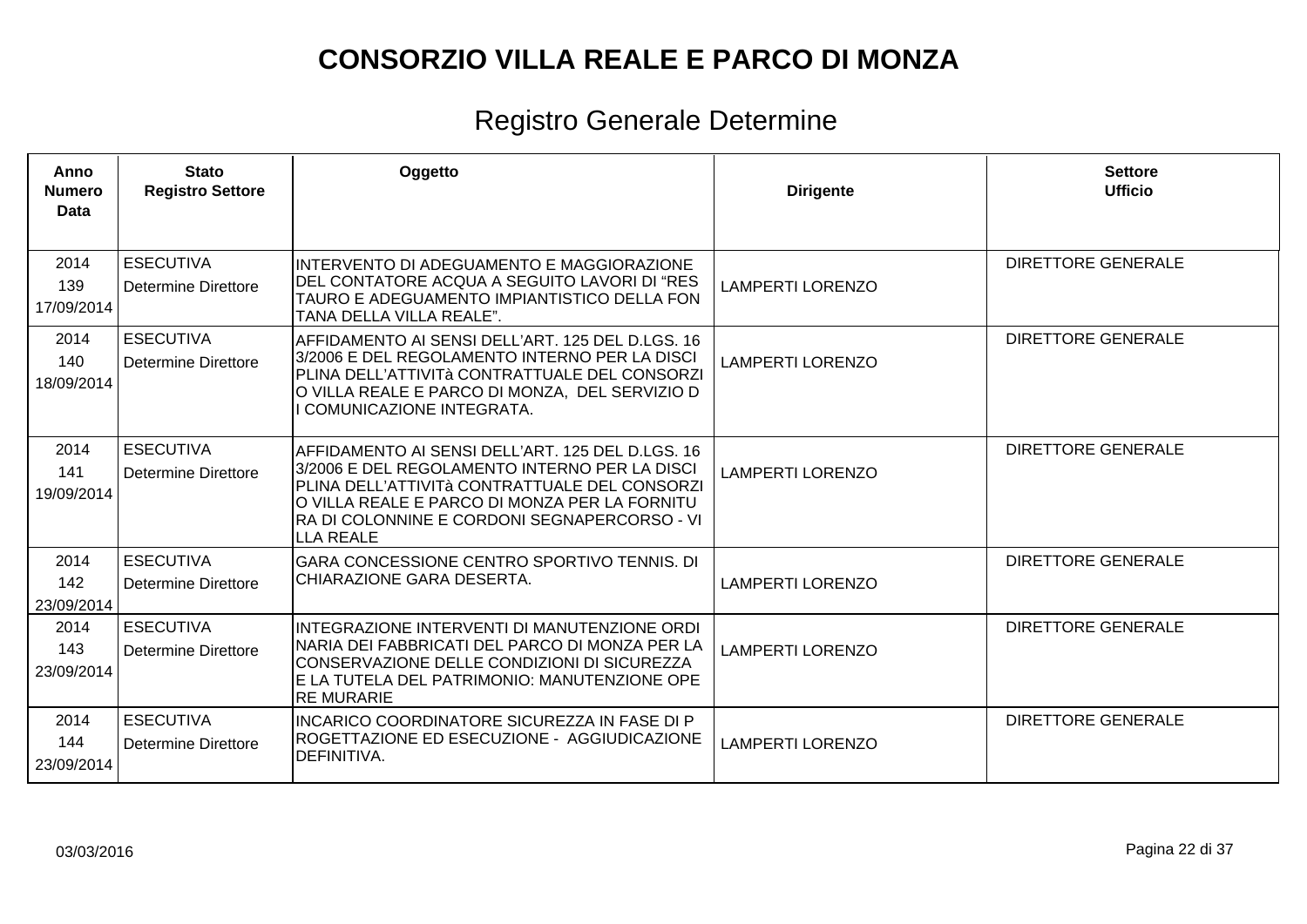| Anno<br><b>Numero</b><br>Data | <b>Stato</b><br><b>Registro Settore</b> | Oggetto                                                                                                                                                                                                                                                                 | <b>Dirigente</b>        | <b>Settore</b><br><b>Ufficio</b> |
|-------------------------------|-----------------------------------------|-------------------------------------------------------------------------------------------------------------------------------------------------------------------------------------------------------------------------------------------------------------------------|-------------------------|----------------------------------|
| 2014<br>139<br>17/09/2014     | <b>ESECUTIVA</b><br>Determine Direttore | INTERVENTO DI ADEGUAMENTO E MAGGIORAZIONE<br>DEL CONTATORE ACQUA A SEGUITO LAVORI DI "RES<br>TAURO E ADEGUAMENTO IMPIANTISTICO DELLA FON<br>TANA DELLA VILLA REALE".                                                                                                    | <b>LAMPERTI LORENZO</b> | <b>DIRETTORE GENERALE</b>        |
| 2014<br>140<br>18/09/2014     | <b>ESECUTIVA</b><br>Determine Direttore | AFFIDAMENTO AI SENSI DELL'ART. 125 DEL D.LGS. 16<br>3/2006 E DEL REGOLAMENTO INTERNO PER LA DISCI<br>PLINA DELL'ATTIVITà CONTRATTUALE DEL CONSORZI<br>O VILLA REALE E PARCO DI MONZA, DEL SERVIZIO D<br>I COMUNICAZIONE INTEGRATA.                                      | <b>LAMPERTI LORENZO</b> | <b>DIRETTORE GENERALE</b>        |
| 2014<br>141<br>19/09/2014     | <b>ESECUTIVA</b><br>Determine Direttore | AFFIDAMENTO AI SENSI DELL'ART. 125 DEL D.LGS. 16<br>3/2006 E DEL REGOLAMENTO INTERNO PER LA DISCI<br>PLINA DELL'ATTIVITà CONTRATTUALE DEL CONSORZI<br>O VILLA REALE E PARCO DI MONZA PER LA FORNITU<br>RA DI COLONNINE E CORDONI SEGNAPERCORSO - VI<br><b>LLA REALE</b> | <b>LAMPERTI LORENZO</b> | <b>DIRETTORE GENERALE</b>        |
| 2014<br>142<br>23/09/2014     | <b>ESECUTIVA</b><br>Determine Direttore | GARA CONCESSIONE CENTRO SPORTIVO TENNIS. DI<br>CHIARAZIONE GARA DESERTA.                                                                                                                                                                                                | <b>LAMPERTI LORENZO</b> | <b>DIRETTORE GENERALE</b>        |
| 2014<br>143<br>23/09/2014     | <b>ESECUTIVA</b><br>Determine Direttore | INTEGRAZIONE INTERVENTI DI MANUTENZIONE ORDI<br>NARIA DEI FABBRICATI DEL PARCO DI MONZA PER LA<br>CONSERVAZIONE DELLE CONDIZIONI DI SICUREZZA<br>E LA TUTELA DEL PATRIMONIO: MANUTENZIONE OPE<br><b>RE MURARIE</b>                                                      | <b>LAMPERTI LORENZO</b> | <b>DIRETTORE GENERALE</b>        |
| 2014<br>144<br>23/09/2014     | <b>ESECUTIVA</b><br>Determine Direttore | INCARICO COORDINATORE SICUREZZA IN FASE DI P<br>ROGETTAZIONE ED ESECUZIONE - AGGIUDICAZIONE<br> DEFINITIVA.                                                                                                                                                             | <b>LAMPERTI LORENZO</b> | <b>DIRETTORE GENERALE</b>        |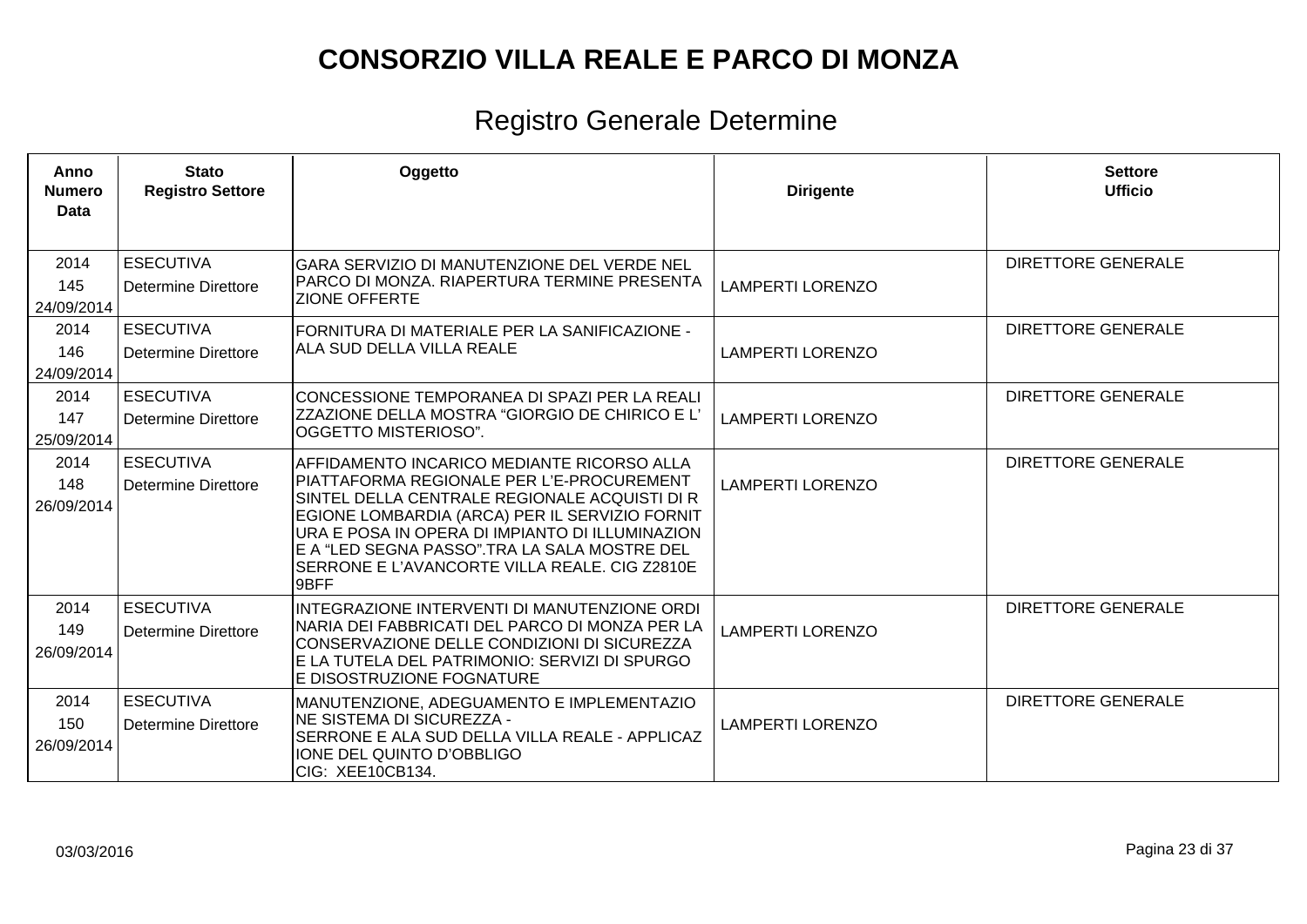| Anno<br><b>Numero</b><br>Data | <b>Stato</b><br><b>Registro Settore</b>        | Oggetto                                                                                                                                                                                                                                                                                                                                                 | <b>Dirigente</b>        | <b>Settore</b><br><b>Ufficio</b> |
|-------------------------------|------------------------------------------------|---------------------------------------------------------------------------------------------------------------------------------------------------------------------------------------------------------------------------------------------------------------------------------------------------------------------------------------------------------|-------------------------|----------------------------------|
| 2014<br>145<br>24/09/2014     | <b>ESECUTIVA</b><br>Determine Direttore        | GARA SERVIZIO DI MANUTENZIONE DEL VERDE NEL<br>PARCO DI MONZA. RIAPERTURA TERMINE PRESENTA<br>IZIONE OFFERTE                                                                                                                                                                                                                                            | <b>LAMPERTI LORENZO</b> | <b>DIRETTORE GENERALE</b>        |
| 2014<br>146<br>24/09/2014     | <b>ESECUTIVA</b><br>Determine Direttore        | FORNITURA DI MATERIALE PER LA SANIFICAZIONE -<br>IALA SUD DELLA VILLA REALE                                                                                                                                                                                                                                                                             | <b>LAMPERTI LORENZO</b> | <b>DIRETTORE GENERALE</b>        |
| 2014<br>147<br>25/09/2014     | <b>ESECUTIVA</b><br>Determine Direttore        | CONCESSIONE TEMPORANEA DI SPAZI PER LA REALI<br>ZZAZIONE DELLA MOSTRA "GIORGIO DE CHIRICO E L'<br>OGGETTO MISTERIOSO".                                                                                                                                                                                                                                  | <b>LAMPERTI LORENZO</b> | <b>DIRETTORE GENERALE</b>        |
| 2014<br>148<br>26/09/2014     | <b>ESECUTIVA</b><br>Determine Direttore        | AFFIDAMENTO INCARICO MEDIANTE RICORSO ALLA<br>PIATTAFORMA REGIONALE PER L'E-PROCUREMENT<br>SINTEL DELLA CENTRALE REGIONALE ACQUISTI DI R<br>EGIONE LOMBARDIA (ARCA) PER IL SERVIZIO FORNIT<br>URA E POSA IN OPERA DI IMPIANTO DI ILLUMINAZION<br>E A "LED SEGNA PASSO".TRA LA SALA MOSTRE DEL<br>SERRONE E L'AVANCORTE VILLA REALE. CIG Z2810E<br>l9BFF | <b>LAMPERTI LORENZO</b> | <b>DIRETTORE GENERALE</b>        |
| 2014<br>149<br>26/09/2014     | <b>ESECUTIVA</b><br>Determine Direttore        | IINTEGRAZIONE INTERVENTI DI MANUTENZIONE ORDI<br>NARIA DEI FABBRICATI DEL PARCO DI MONZA PER LA<br>CONSERVAZIONE DELLE CONDIZIONI DI SICUREZZA<br>E LA TUTELA DEL PATRIMONIO: SERVIZI DI SPURGO<br>E DISOSTRUZIONE FOGNATURE                                                                                                                            | <b>LAMPERTI LORENZO</b> | <b>DIRETTORE GENERALE</b>        |
| 2014<br>150<br>26/09/2014     | <b>ESECUTIVA</b><br><b>Determine Direttore</b> | MANUTENZIONE, ADEGUAMENTO E IMPLEMENTAZIO<br><b>INE SISTEMA DI SICUREZZA -</b><br>SERRONE E ALA SUD DELLA VILLA REALE - APPLICAZ<br><b>IONE DEL QUINTO D'OBBLIGO</b><br>CIG: XEE10CB134.                                                                                                                                                                | <b>LAMPERTI LORENZO</b> | <b>DIRETTORE GENERALE</b>        |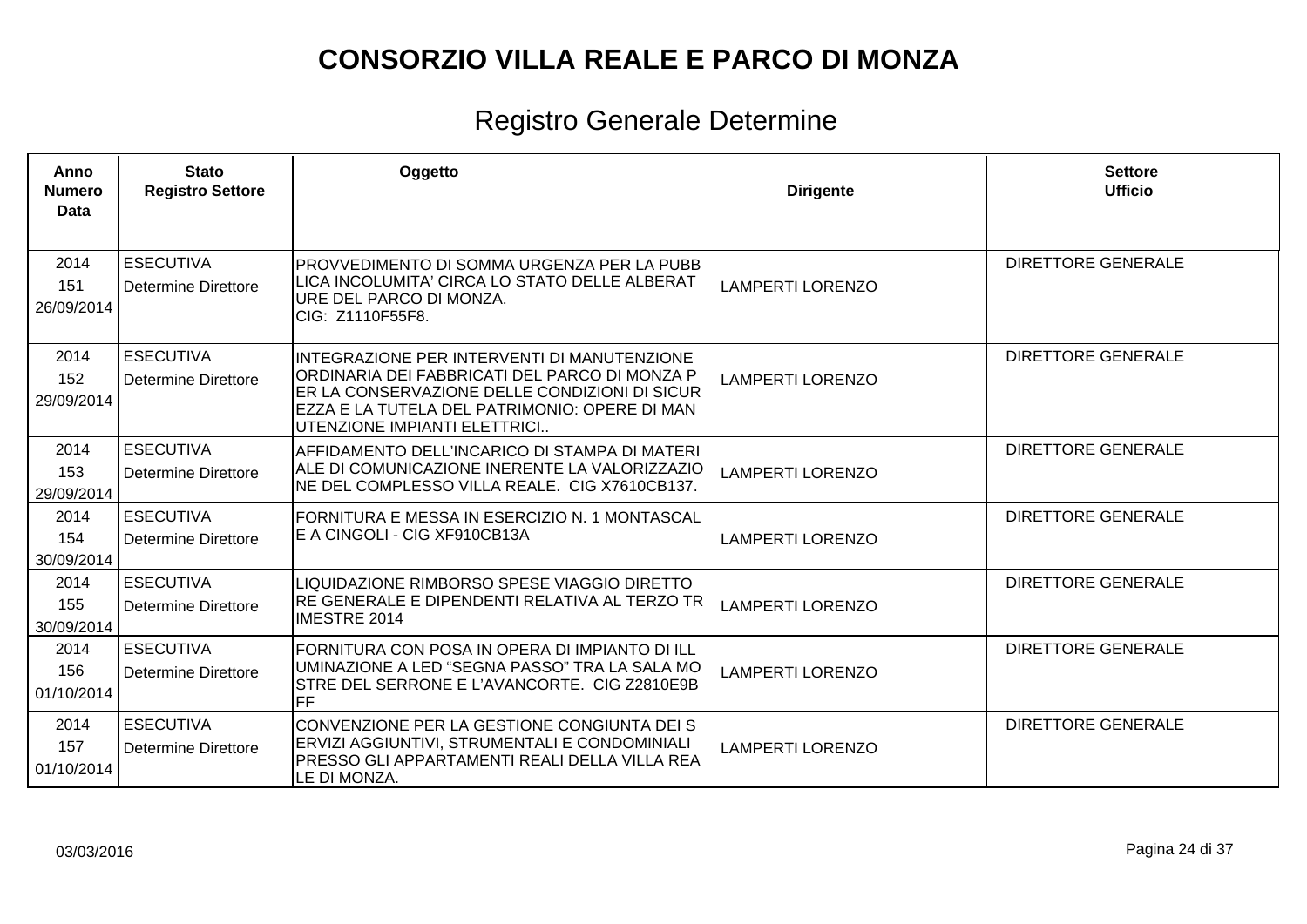| Anno<br><b>Numero</b><br>Data | <b>Stato</b><br><b>Registro Settore</b>        | Oggetto                                                                                                                                                                                                                        | <b>Dirigente</b>        | <b>Settore</b><br><b>Ufficio</b> |
|-------------------------------|------------------------------------------------|--------------------------------------------------------------------------------------------------------------------------------------------------------------------------------------------------------------------------------|-------------------------|----------------------------------|
| 2014<br>151<br>26/09/2014     | <b>ESECUTIVA</b><br>Determine Direttore        | PROVVEDIMENTO DI SOMMA URGENZA PER LA PUBB<br>LICA INCOLUMITA' CIRCA LO STATO DELLE ALBERAT<br>URE DEL PARCO DI MONZA.<br>CIG: Z1110F55F8.                                                                                     | <b>LAMPERTI LORENZO</b> | <b>DIRETTORE GENERALE</b>        |
| 2014<br>152<br>29/09/2014     | <b>ESECUTIVA</b><br><b>Determine Direttore</b> | INTEGRAZIONE PER INTERVENTI DI MANUTENZIONE<br>ORDINARIA DEI FABBRICATI DEL PARCO DI MONZA P<br>ER LA CONSERVAZIONE DELLE CONDIZIONI DI SICUR<br>EZZA E LA TUTELA DEL PATRIMONIO: OPERE DI MAN<br>UTENZIONE IMPIANTI ELETTRICI | <b>LAMPERTI LORENZO</b> | <b>DIRETTORE GENERALE</b>        |
| 2014<br>153<br>29/09/2014     | <b>ESECUTIVA</b><br>Determine Direttore        | AFFIDAMENTO DELL'INCARICO DI STAMPA DI MATERI<br>ALE DI COMUNICAZIONE INERENTE LA VALORIZZAZIO<br>NE DEL COMPLESSO VILLA REALE. CIG X7610CB137.                                                                                | <b>LAMPERTI LORENZO</b> | <b>DIRETTORE GENERALE</b>        |
| 2014<br>154<br>30/09/2014     | <b>ESECUTIVA</b><br>Determine Direttore        | FORNITURA E MESSA IN ESERCIZIO N. 1 MONTASCAL<br>E A CINGOLI - CIG XF910CB13A                                                                                                                                                  | <b>LAMPERTI LORENZO</b> | <b>DIRETTORE GENERALE</b>        |
| 2014<br>155<br>30/09/2014     | <b>ESECUTIVA</b><br><b>Determine Direttore</b> | LIQUIDAZIONE RIMBORSO SPESE VIAGGIO DIRETTO<br>RE GENERALE E DIPENDENTI RELATIVA AL TERZO TR<br><b>IMESTRE 2014</b>                                                                                                            | <b>LAMPERTI LORENZO</b> | <b>DIRETTORE GENERALE</b>        |
| 2014<br>156<br>01/10/2014     | <b>ESECUTIVA</b><br><b>Determine Direttore</b> | FORNITURA CON POSA IN OPERA DI IMPIANTO DI ILL<br>UMINAZIONE A LED "SEGNA PASSO" TRA LA SALA MO<br>STRE DEL SERRONE E L'AVANCORTE. CIG Z2810E9B<br><b>IFF</b>                                                                  | <b>LAMPERTI LORENZO</b> | <b>DIRETTORE GENERALE</b>        |
| 2014<br>157<br>01/10/2014     | <b>ESECUTIVA</b><br><b>Determine Direttore</b> | CONVENZIONE PER LA GESTIONE CONGIUNTA DEI S<br>ERVIZI AGGIUNTIVI, STRUMENTALI E CONDOMINIALI<br>IPRESSO GLI APPARTAMENTI REALI DELLA VILLA REA<br>ile di Monza.                                                                | <b>LAMPERTI LORENZO</b> | <b>DIRETTORE GENERALE</b>        |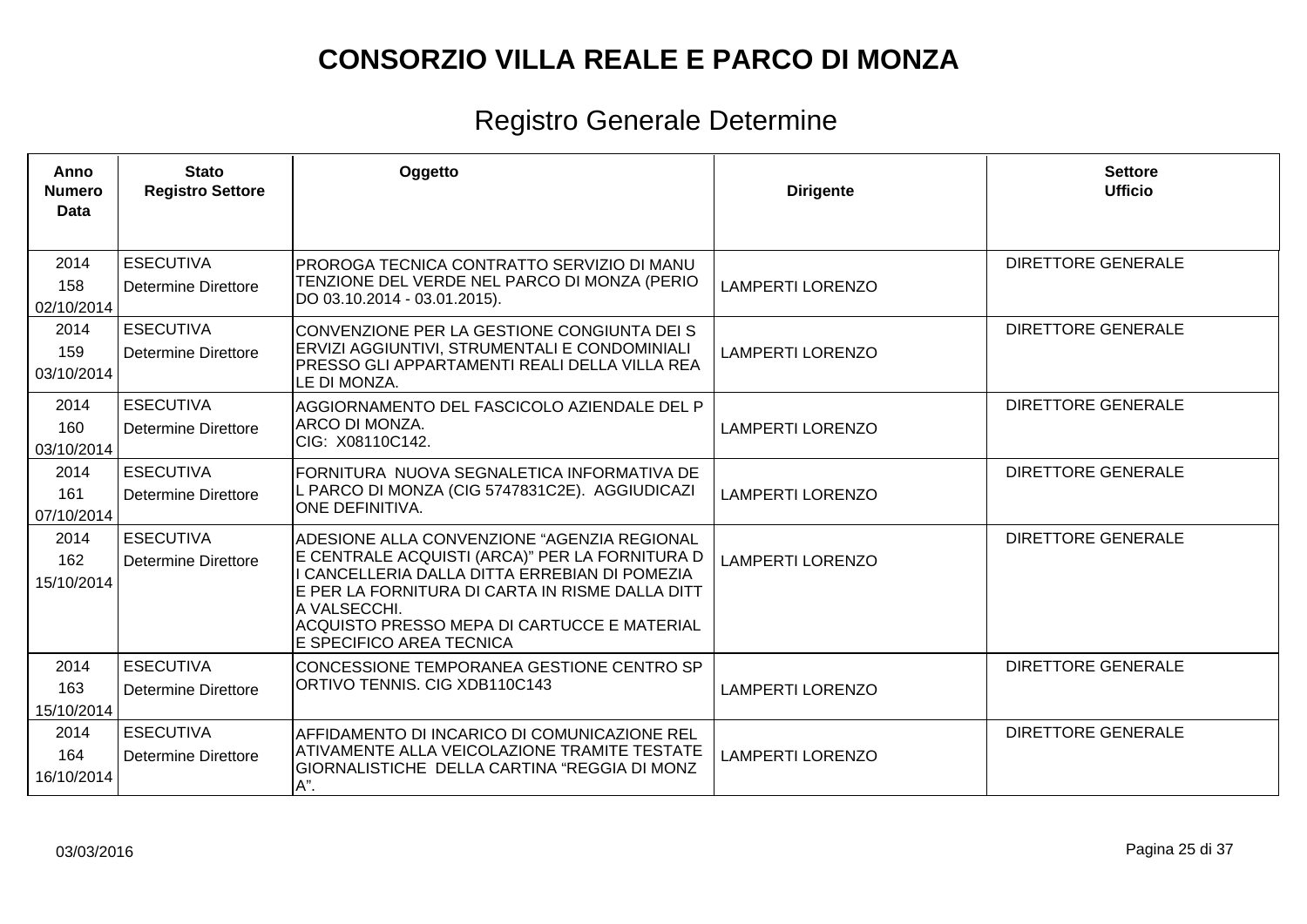| Anno<br><b>Numero</b><br><b>Data</b> | <b>Stato</b><br><b>Registro Settore</b>        | Oggetto                                                                                                                                                                                                                                                                                      | <b>Dirigente</b>        | <b>Settore</b><br><b>Ufficio</b> |
|--------------------------------------|------------------------------------------------|----------------------------------------------------------------------------------------------------------------------------------------------------------------------------------------------------------------------------------------------------------------------------------------------|-------------------------|----------------------------------|
| 2014<br>158<br>02/10/2014            | <b>ESECUTIVA</b><br>Determine Direttore        | IPROROGA TECNICA CONTRATTO SERVIZIO DI MANU<br>TENZIONE DEL VERDE NEL PARCO DI MONZA (PERIO<br>DO 03.10.2014 - 03.01.2015).                                                                                                                                                                  | <b>LAMPERTI LORENZO</b> | <b>DIRETTORE GENERALE</b>        |
| 2014<br>159<br>03/10/2014            | <b>ESECUTIVA</b><br><b>Determine Direttore</b> | CONVENZIONE PER LA GESTIONE CONGIUNTA DEI S<br>ERVIZI AGGIUNTIVI, STRUMENTALI E CONDOMINIALI<br>PRESSO GLI APPARTAMENTI REALI DELLA VILLA REA<br>LE DI MONZA.                                                                                                                                | <b>LAMPERTI LORENZO</b> | <b>DIRETTORE GENERALE</b>        |
| 2014<br>160<br>03/10/2014            | <b>ESECUTIVA</b><br>Determine Direttore        | AGGIORNAMENTO DEL FASCICOLO AZIENDALE DEL P<br>IARCO DI MONZA.<br>CIG: X08110C142.                                                                                                                                                                                                           | <b>LAMPERTI LORENZO</b> | <b>DIRETTORE GENERALE</b>        |
| 2014<br>161<br>07/10/2014            | <b>ESECUTIVA</b><br>Determine Direttore        | FORNITURA NUOVA SEGNALETICA INFORMATIVA DE<br>L PARCO DI MONZA (CIG 5747831C2E). AGGIUDICAZI<br>IONE DEFINITIVA.                                                                                                                                                                             | <b>LAMPERTI LORENZO</b> | <b>DIRETTORE GENERALE</b>        |
| 2014<br>162<br>15/10/2014            | <b>ESECUTIVA</b><br><b>Determine Direttore</b> | ADESIONE ALLA CONVENZIONE "AGENZIA REGIONAL<br>E CENTRALE ACQUISTI (ARCA)" PER LA FORNITURA D<br>I CANCELLERIA DALLA DITTA ÉRREBIAN DI POMEZIA<br>E PER LA FORNITURA DI CARTA IN RISME DALLA DITT<br>A VALSECCHI.<br>ACQUISTO PRESSO MEPA DI CARTUCCE E MATERIAL<br>E SPECIFICO AREA TECNICA | <b>LAMPERTI LORENZO</b> | <b>DIRETTORE GENERALE</b>        |
| 2014<br>163<br>15/10/2014            | <b>ESECUTIVA</b><br><b>Determine Direttore</b> | CONCESSIONE TEMPORANEA GESTIONE CENTRO SP<br>ORTIVO TENNIS. CIG XDB110C143                                                                                                                                                                                                                   | <b>LAMPERTI LORENZO</b> | <b>DIRETTORE GENERALE</b>        |
| 2014<br>164<br>16/10/2014            | <b>ESECUTIVA</b><br><b>Determine Direttore</b> | AFFIDAMENTO DI INCARICO DI COMUNICAZIONE REL<br>ATIVAMENTE ALLA VEICOLAZIONE TRAMITE TESTATE<br>GIORNALISTICHE DELLA CARTINA "REGGIA DI MONZ<br>A".                                                                                                                                          | <b>LAMPERTI LORENZO</b> | <b>DIRETTORE GENERALE</b>        |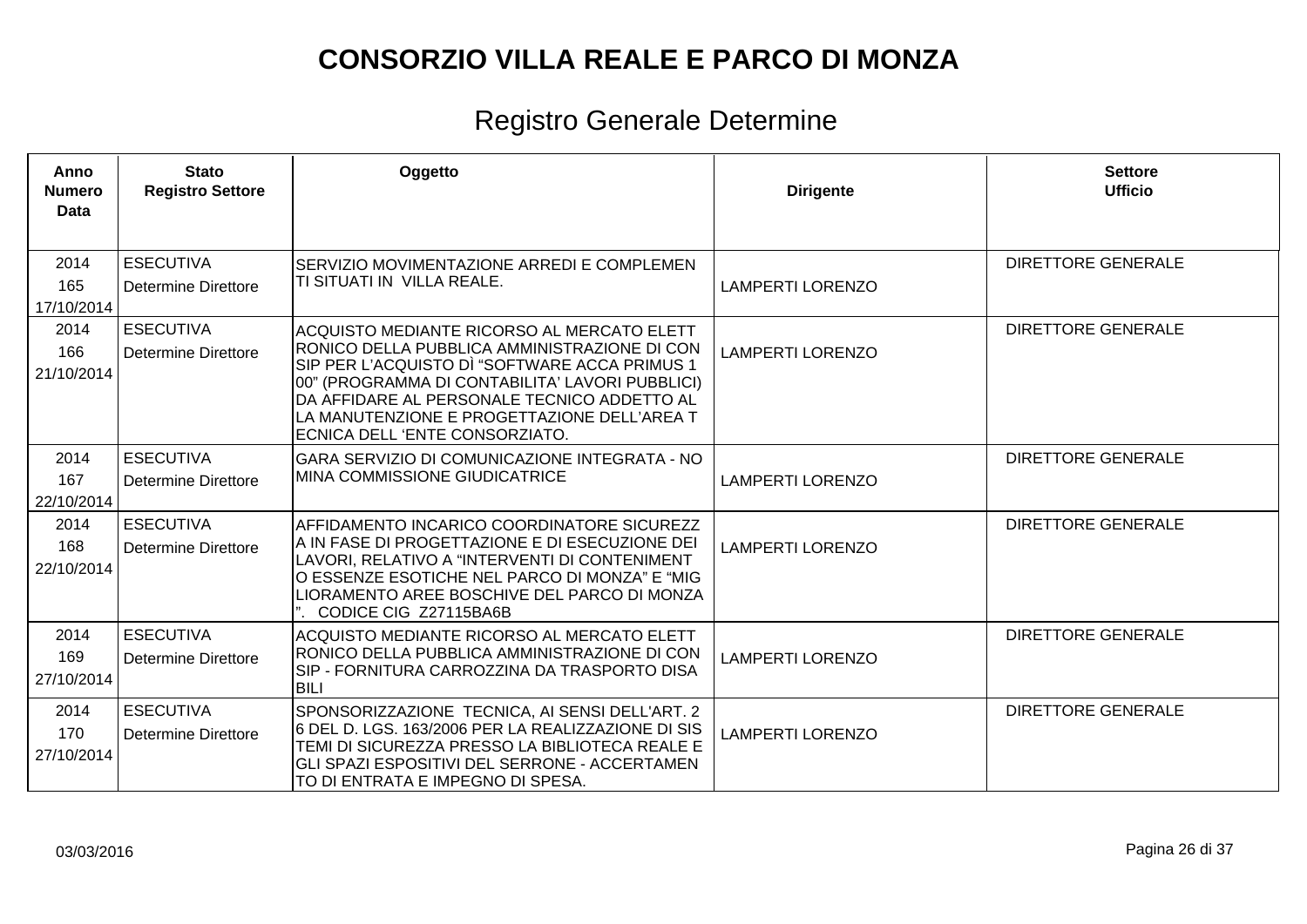| Anno<br><b>Numero</b><br><b>Data</b> | <b>Stato</b><br><b>Registro Settore</b>        | Oggetto                                                                                                                                                                                                                                                                                                                        | <b>Dirigente</b>        | <b>Settore</b><br><b>Ufficio</b> |
|--------------------------------------|------------------------------------------------|--------------------------------------------------------------------------------------------------------------------------------------------------------------------------------------------------------------------------------------------------------------------------------------------------------------------------------|-------------------------|----------------------------------|
| 2014<br>165<br>17/10/2014            | <b>ESECUTIVA</b><br><b>Determine Direttore</b> | SERVIZIO MOVIMENTAZIONE ARREDI E COMPLEMEN<br>TI SITUATI IN VILLA REALE.                                                                                                                                                                                                                                                       | <b>LAMPERTI LORENZO</b> | <b>DIRETTORE GENERALE</b>        |
| 2014<br>166<br>21/10/2014            | <b>ESECUTIVA</b><br><b>Determine Direttore</b> | ACQUISTO MEDIANTE RICORSO AL MERCATO ELETT<br>RONICO DELLA PUBBLICA AMMINISTRAZIONE DI CON<br>SIP PER L'ACQUISTO DÌ "SOFTWARE ACCA PRIMUS 1<br>00" (PROGRAMMA DI CONTABILITA' LAVORI PUBBLICI)<br>DA AFFIDARE AL PERSONALE TECNICO ADDETTO AL<br>LA MANUTENZIONE E PROGETTAZIONE DELL'AREA T<br>ECNICA DELL 'ENTE CONSORZIATO. | <b>LAMPERTI LORENZO</b> | <b>DIRETTORE GENERALE</b>        |
| 2014<br>167<br>22/10/2014            | <b>ESECUTIVA</b><br><b>Determine Direttore</b> | GARA SERVIZIO DI COMUNICAZIONE INTEGRATA - NO<br><b>MINA COMMISSIONE GIUDICATRICE</b>                                                                                                                                                                                                                                          | <b>LAMPERTI LORENZO</b> | <b>DIRETTORE GENERALE</b>        |
| 2014<br>168<br>22/10/2014            | <b>ESECUTIVA</b><br><b>Determine Direttore</b> | AFFIDAMENTO INCARICO COORDINATORE SICUREZZ<br>A IN FASE DI PROGETTAZIONE E DI ESECUZIONE DEI<br>LAVORI, RELATIVO A "INTERVENTI DI CONTENIMENT<br>O ESSENZE ESOTICHE NEL PARCO DI MONZA" E "MIG<br>LIORAMENTO AREE BOSCHIVE DEL PARCO DI MONZA<br>CODICE CIG Z27115BA6B                                                         | <b>LAMPERTI LORENZO</b> | <b>DIRETTORE GENERALE</b>        |
| 2014<br>169<br>27/10/2014            | <b>ESECUTIVA</b><br><b>Determine Direttore</b> | ACQUISTO MEDIANTE RICORSO AL MERCATO ELETT<br>RONICO DELLA PUBBLICA AMMINISTRAZIONE DI CON<br>ISIP - FORNITURA CARROZZINA DA TRASPORTO DISA<br>İBILI                                                                                                                                                                           | <b>LAMPERTI LORENZO</b> | <b>DIRETTORE GENERALE</b>        |
| 2014<br>170<br>27/10/2014            | <b>ESECUTIVA</b><br><b>Determine Direttore</b> | SPONSORIZZAZIONE TECNICA, AI SENSI DELL'ART. 2<br>6 DEL D. LGS. 163/2006 PER LA REALIZZAZIONE DI SIS<br>TEMI DI SICUREZZA PRESSO LA BIBLIOTECA REALE E<br>GLI SPAZI ESPOSITIVI DEL SERRONE - ACCERTAMEN<br>TO DI ENTRATA E IMPEGNO DI SPESA.                                                                                   | <b>LAMPERTI LORENZO</b> | <b>DIRETTORE GENERALE</b>        |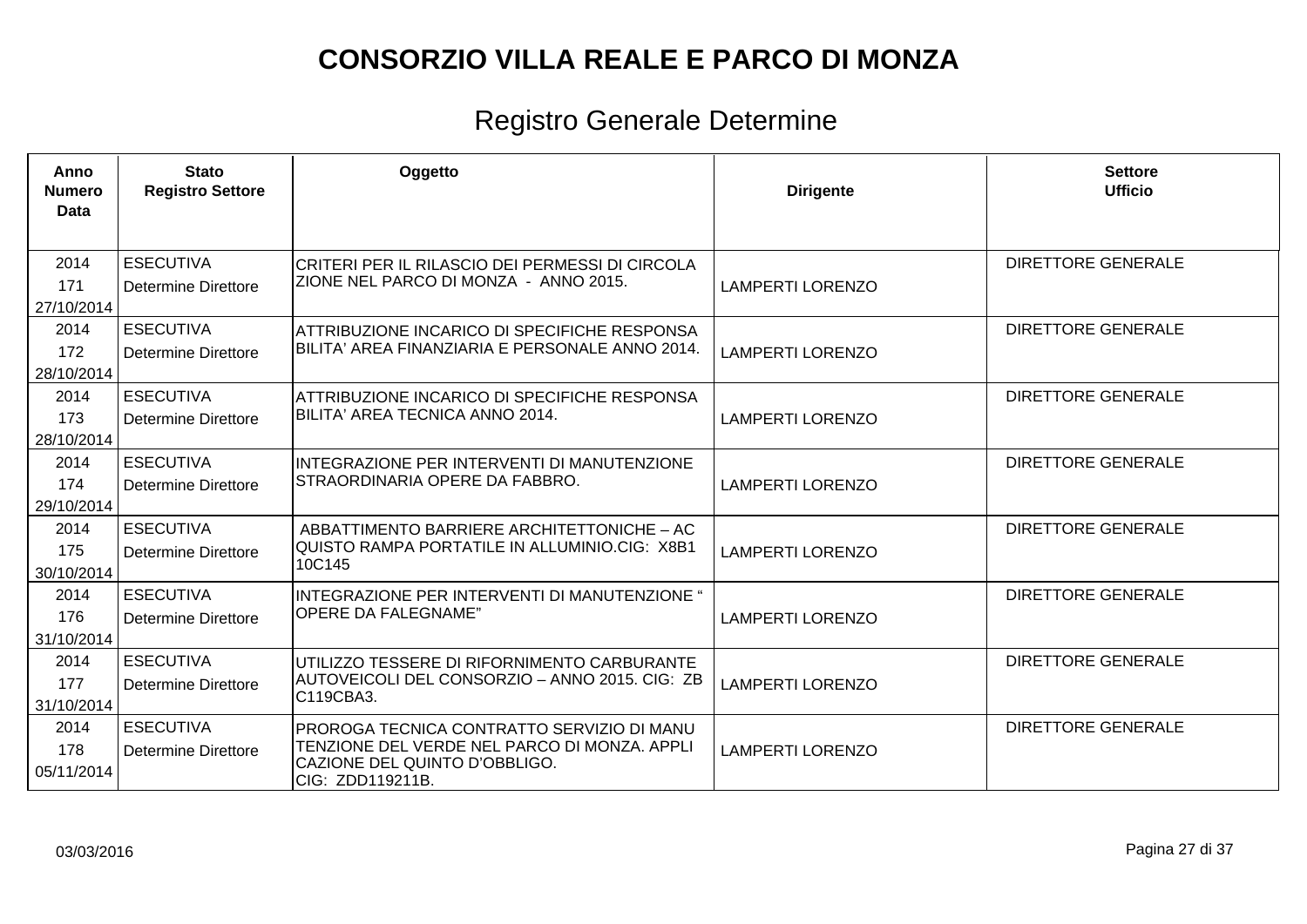| Anno<br><b>Numero</b><br><b>Data</b> | <b>Stato</b><br><b>Registro Settore</b>        | Oggetto                                                                                                                                         | <b>Dirigente</b>        | <b>Settore</b><br><b>Ufficio</b> |
|--------------------------------------|------------------------------------------------|-------------------------------------------------------------------------------------------------------------------------------------------------|-------------------------|----------------------------------|
| 2014<br>171<br>27/10/2014            | <b>ESECUTIVA</b><br>Determine Direttore        | CRITERI PER IL RILASCIO DEI PERMESSI DI CIRCOLA<br>ZIONE NEL PARCO DI MONZA - ANNO 2015.                                                        | <b>LAMPERTI LORENZO</b> | <b>DIRETTORE GENERALE</b>        |
| 2014<br>172<br>28/10/2014            | <b>ESECUTIVA</b><br>Determine Direttore        | ATTRIBUZIONE INCARICO DI SPECIFICHE RESPONSA<br>BILITA' AREA FINANZIARIA E PERSONALE ANNO 2014.                                                 | <b>LAMPERTI LORENZO</b> | <b>DIRETTORE GENERALE</b>        |
| 2014<br>173<br>28/10/2014            | <b>ESECUTIVA</b><br>Determine Direttore        | ATTRIBUZIONE INCARICO DI SPECIFICHE RESPONSA<br>BILITA' AREA TECNICA ANNO 2014.                                                                 | <b>LAMPERTI LORENZO</b> | <b>DIRETTORE GENERALE</b>        |
| 2014<br>174<br>29/10/2014            | <b>ESECUTIVA</b><br><b>Determine Direttore</b> | INTEGRAZIONE PER INTERVENTI DI MANUTENZIONE<br>STRAORDINARIA OPERE DA FABBRO.                                                                   | <b>LAMPERTI LORENZO</b> | <b>DIRETTORE GENERALE</b>        |
| 2014<br>175<br>30/10/2014            | <b>ESECUTIVA</b><br><b>Determine Direttore</b> | ABBATTIMENTO BARRIERE ARCHITETTONICHE - AC<br> QUISTO RAMPA PORTATILE IN ALLUMINIO.CIG: X8B1<br>10C145                                          | <b>LAMPERTI LORENZO</b> | <b>DIRETTORE GENERALE</b>        |
| 2014<br>176<br>31/10/2014            | <b>ESECUTIVA</b><br>Determine Direttore        | INTEGRAZIONE PER INTERVENTI DI MANUTENZIONE "<br><b>OPERE DA FALEGNAME"</b>                                                                     | <b>LAMPERTI LORENZO</b> | <b>DIRETTORE GENERALE</b>        |
| 2014<br>177<br>31/10/2014            | <b>ESECUTIVA</b><br>Determine Direttore        | UTILIZZO TESSERE DI RIFORNIMENTO CARBURANTE<br>AUTOVEICOLI DEL CONSORZIO – ANNO 2015. CIG: ZB<br>C119CBA3.                                      | <b>LAMPERTI LORENZO</b> | <b>DIRETTORE GENERALE</b>        |
| 2014<br>178<br>05/11/2014            | <b>ESECUTIVA</b><br>Determine Direttore        | PROROGA TECNICA CONTRATTO SERVIZIO DI MANU<br>TENZIONE DEL VERDE NEL PARCO DI MONZA. APPLI<br>CAZIONE DEL QUINTO D'OBBLIGO.<br>CIG: ZDD119211B. | <b>LAMPERTI LORENZO</b> | <b>DIRETTORE GENERALE</b>        |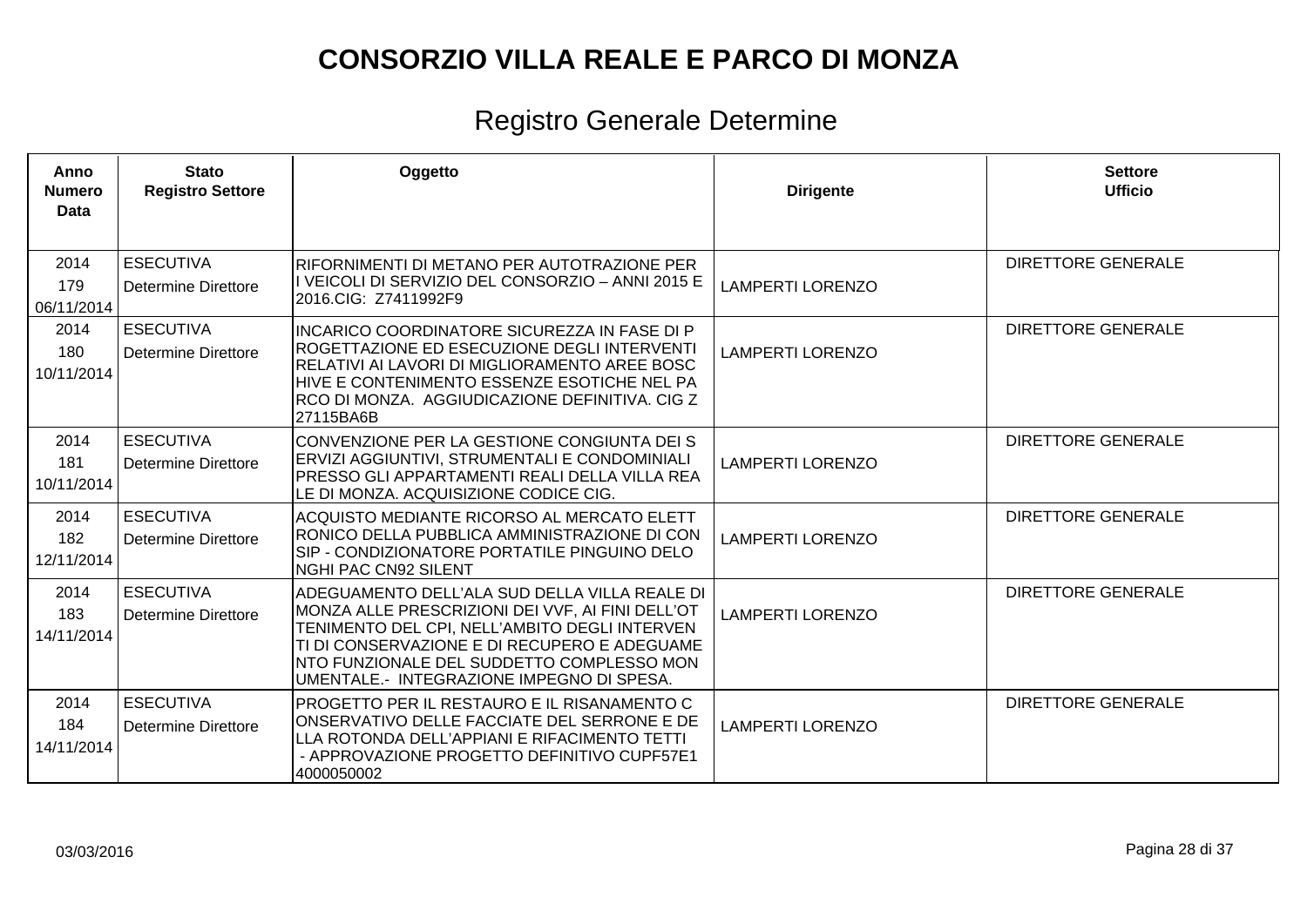| Anno<br><b>Numero</b><br>Data | <b>Stato</b><br><b>Registro Settore</b>        | Oggetto                                                                                                                                                                                                                                                                                       | <b>Dirigente</b>        | <b>Settore</b><br><b>Ufficio</b> |
|-------------------------------|------------------------------------------------|-----------------------------------------------------------------------------------------------------------------------------------------------------------------------------------------------------------------------------------------------------------------------------------------------|-------------------------|----------------------------------|
| 2014<br>179<br>06/11/2014     | <b>ESECUTIVA</b><br>Determine Direttore        | RIFORNIMENTI DI METANO PER AUTOTRAZIONE PER<br>I VEICOLI DI SERVIZIO DEL CONSORZIO – ANNI 2015 E<br>2016.CIG: Z7411992F9                                                                                                                                                                      | <b>LAMPERTI LORENZO</b> | <b>DIRETTORE GENERALE</b>        |
| 2014<br>180<br>10/11/2014     | <b>ESECUTIVA</b><br><b>Determine Direttore</b> | INCARICO COORDINATORE SICUREZZA IN FASE DI P<br>ROGETTAZIONE ED ESECUZIONE DEGLI INTERVENTI<br>RELATIVI AI LAVORI DI MIGLIORAMENTO AREE BOSC<br>HIVE E CONTENIMENTO ESSENZE ESOTICHE NEL PA<br>RCO DI MONZA. AGGIUDICAZIONE DEFINITIVA. CIG Z<br>27115BA6B                                    | <b>LAMPERTI LORENZO</b> | <b>DIRETTORE GENERALE</b>        |
| 2014<br>181<br>10/11/2014     | <b>ESECUTIVA</b><br>Determine Direttore        | CONVENZIONE PER LA GESTIONE CONGIUNTA DEI S<br>ERVIZI AGGIUNTIVI, STRUMENTALI E CONDOMINIALI<br>PRESSO GLI APPARTAMENTI REALI DELLA VILLA REA<br>LE DI MONZA. ACQUISIZIONE CODICE CIG.                                                                                                        | <b>LAMPERTI LORENZO</b> | <b>DIRETTORE GENERALE</b>        |
| 2014<br>182<br>12/11/2014     | <b>ESECUTIVA</b><br>Determine Direttore        | ACQUISTO MEDIANTE RICORSO AL MERCATO ELETT<br>RONICO DELLA PUBBLICA AMMINISTRAZIONE DI CON<br>SIP - CONDIZIONATORE PORTATILE PINGUINO DELO<br>NGHI PAC CN92 SILENT                                                                                                                            | <b>LAMPERTI LORENZO</b> | <b>DIRETTORE GENERALE</b>        |
| 2014<br>183<br>14/11/2014     | <b>ESECUTIVA</b><br><b>Determine Direttore</b> | IADEGUAMENTO DELL'ALA SUD DELLA VILLA REALE DI<br>MONZA ALLE PRESCRIZIONI DEI VVF, AI FINI DELL'OT<br>TENIMENTO DEL CPI, NELL'AMBITO DEGLI INTERVEN<br>TI DI CONSERVAZIONE E DI RECUPERO E ADEGUAME<br>NTO FUNZIONALE DEL SUDDETTO COMPLESSO MON<br>UMENTALE.- INTEGRAZIONE IMPEGNO DI SPESA. | <b>LAMPERTI LORENZO</b> | <b>DIRETTORE GENERALE</b>        |
| 2014<br>184<br>14/11/2014     | <b>ESECUTIVA</b><br>Determine Direttore        | PROGETTO PER IL RESTAURO E IL RISANAMENTO C<br> ONSERVATIVO DELLE FACCIATE DEL SERRONE E DE<br>LLA ROTONDA DELL'APPIANI E RIFACIMENTO TETTI<br>- APPROVAZIONE PROGETTO DEFINITIVO CUPF57E1<br>4000050002                                                                                      | <b>LAMPERTI LORENZO</b> | <b>DIRETTORE GENERALE</b>        |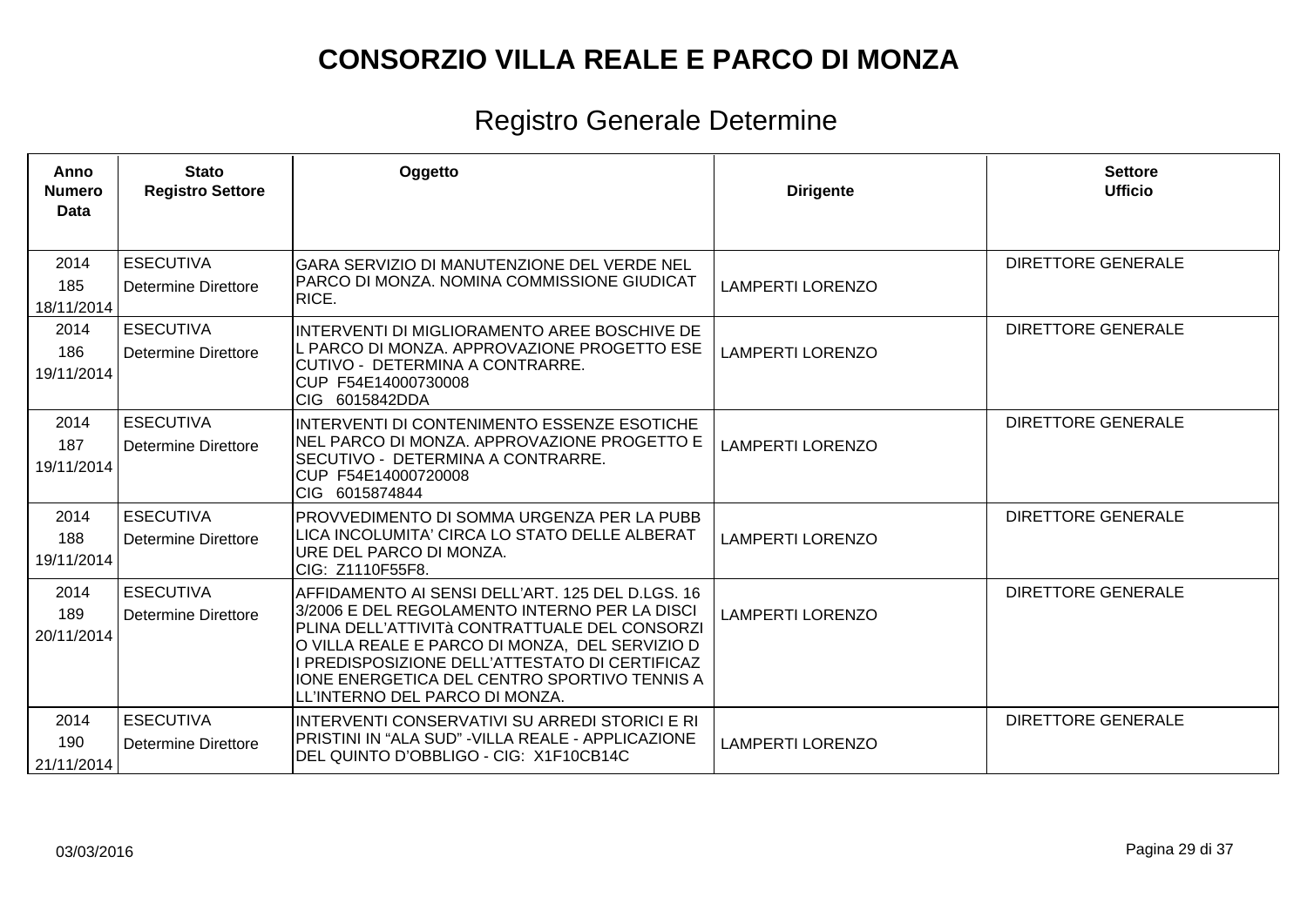| Anno<br><b>Numero</b><br>Data | <b>Stato</b><br><b>Registro Settore</b> | Oggetto                                                                                                                                                                                                                                                                                                                                   | <b>Dirigente</b>        | <b>Settore</b><br><b>Ufficio</b> |
|-------------------------------|-----------------------------------------|-------------------------------------------------------------------------------------------------------------------------------------------------------------------------------------------------------------------------------------------------------------------------------------------------------------------------------------------|-------------------------|----------------------------------|
| 2014<br>185<br>18/11/2014     | <b>ESECUTIVA</b><br>Determine Direttore | GARA SERVIZIO DI MANUTENZIONE DEL VERDE NEL<br>PARCO DI MONZA. NOMINA COMMISSIONE GIUDICAT<br>RICE.                                                                                                                                                                                                                                       | <b>LAMPERTI LORENZO</b> | <b>DIRETTORE GENERALE</b>        |
| 2014<br>186<br>19/11/2014     | <b>ESECUTIVA</b><br>Determine Direttore | INTERVENTI DI MIGLIORAMENTO AREE BOSCHIVE DE<br>L PARCO DI MONZA. APPROVAZIONE PROGETTO ESE<br>CUTIVO - DETERMINA A CONTRARRE.<br>ICUP F54E14000730008<br>CIG 6015842DDA                                                                                                                                                                  | <b>LAMPERTI LORENZO</b> | <b>DIRETTORE GENERALE</b>        |
| 2014<br>187<br>19/11/2014     | <b>ESECUTIVA</b><br>Determine Direttore | INTERVENTI DI CONTENIMENTO ESSENZE ESOTICHE<br>NEL PARCO DI MONZA. APPROVAZIONE PROGETTO E<br>SECUTIVO - DETERMINA A CONTRARRE.<br>ICUP F54E14000720008<br>CIG 6015874844                                                                                                                                                                 | <b>LAMPERTI LORENZO</b> | <b>DIRETTORE GENERALE</b>        |
| 2014<br>188<br>19/11/2014     | <b>ESECUTIVA</b><br>Determine Direttore | PROVVEDIMENTO DI SOMMA URGENZA PER LA PUBB<br>LICA INCOLUMITA' CIRCA LO STATO DELLE ALBERAT<br>lURE DEL PARCO DI MONZA.<br>CIG: Z1110F55F8.                                                                                                                                                                                               | <b>LAMPERTI LORENZO</b> | <b>DIRETTORE GENERALE</b>        |
| 2014<br>189<br>20/11/2014     | <b>ESECUTIVA</b><br>Determine Direttore | AFFIDAMENTO AI SENSI DELL'ART. 125 DEL D.LGS. 16<br>3/2006 E DEL REGOLAMENTO INTERNO PER LA DISCI<br>PLINA DELL'ATTIVITà CONTRATTUALE DEL CONSORZI<br>O VILLA REALE E PARCO DI MONZA, DEL SERVIZIO D<br>I PREDISPOSIZIONE DELL'ATTESTATO DI CERTIFICAZ<br>IONE ENERGETICA DEL CENTRO SPORTIVO TENNIS A<br> LL'INTERNO DEL PARCO DI MONZA. | <b>LAMPERTI LORENZO</b> | <b>DIRETTORE GENERALE</b>        |
| 2014<br>190<br>21/11/2014     | <b>ESECUTIVA</b><br>Determine Direttore | INTERVENTI CONSERVATIVI SU ARREDI STORICI E RI<br>PRISTINI IN "ALA SUD" -VILLA REALE - APPLICAZIONE<br>DEL QUINTO D'OBBLIGO - CIG: X1F10CB14C                                                                                                                                                                                             | <b>LAMPERTI LORENZO</b> | <b>DIRETTORE GENERALE</b>        |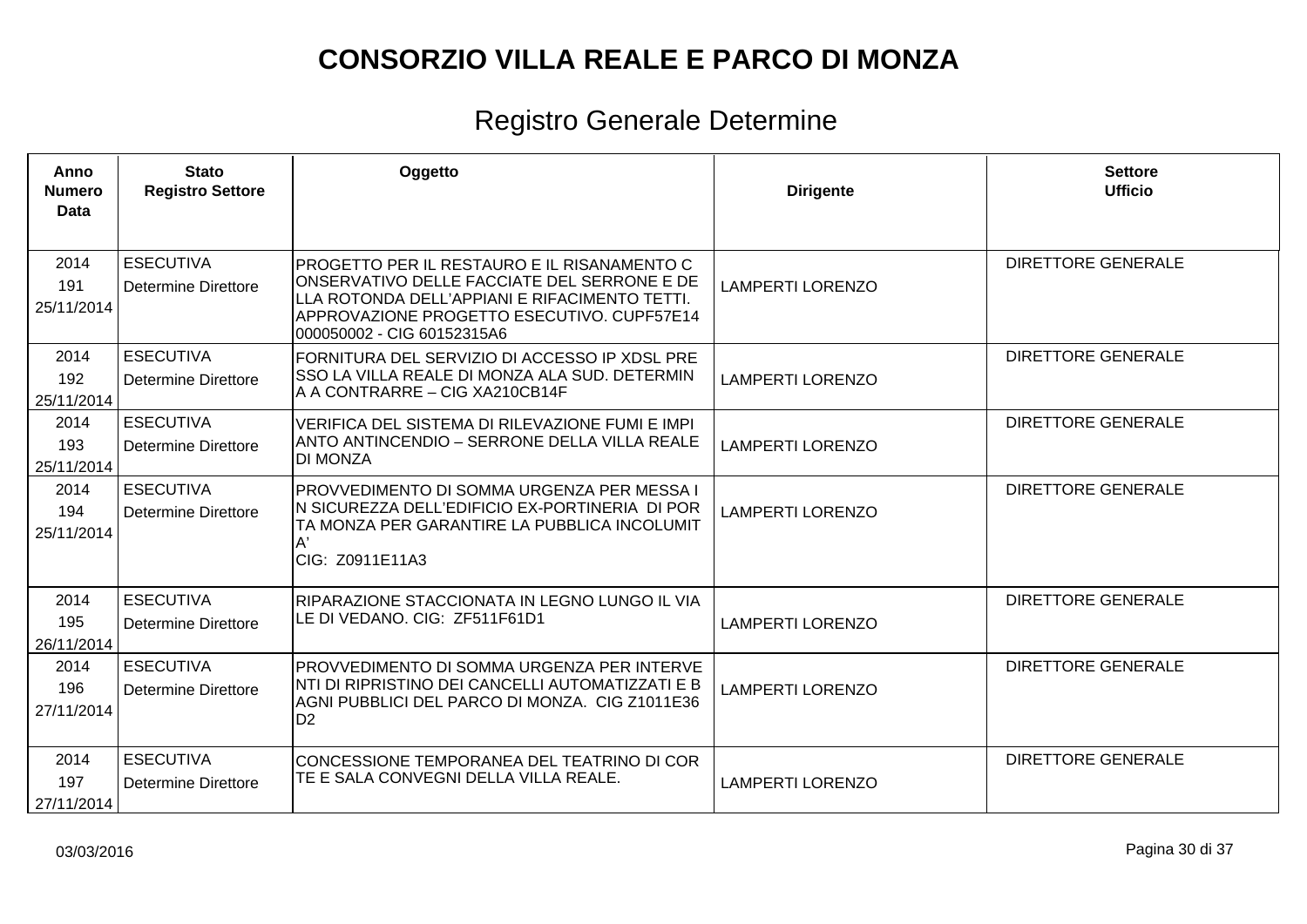| Anno<br><b>Numero</b><br><b>Data</b> | <b>Stato</b><br><b>Registro Settore</b> | Oggetto                                                                                                                                                                                                                 | <b>Dirigente</b>        | <b>Settore</b><br><b>Ufficio</b> |
|--------------------------------------|-----------------------------------------|-------------------------------------------------------------------------------------------------------------------------------------------------------------------------------------------------------------------------|-------------------------|----------------------------------|
| 2014<br>191<br>25/11/2014            | <b>ESECUTIVA</b><br>Determine Direttore | PROGETTO PER IL RESTAURO E IL RISANAMENTO C<br>ONSERVATIVO DELLE FACCIATE DEL SERRONE E DE<br>LLA ROTONDA DELL'APPIANI E RIFACIMENTO TETTI.<br>APPROVAZIONE PROGETTO ESECUTIVO. CUPF57E14<br>000050002 - CIG 60152315A6 | <b>LAMPERTI LORENZO</b> | <b>DIRETTORE GENERALE</b>        |
| 2014<br>192<br>25/11/2014            | <b>ESECUTIVA</b><br>Determine Direttore | FORNITURA DEL SERVIZIO DI ACCESSO IP XDSL PRE<br>SSO LA VILLA REALE DI MONZA ALA SUD. DETERMIN<br>A A CONTRARRE - CIG XA210CB14F                                                                                        | <b>LAMPERTI LORENZO</b> | <b>DIRETTORE GENERALE</b>        |
| 2014<br>193<br>25/11/2014            | <b>ESECUTIVA</b><br>Determine Direttore | VERIFICA DEL SISTEMA DI RILEVAZIONE FUMI E IMPI<br>ANTO ANTINCENDIO – SERRONE DELLA VILLA REALE<br>DI MONZA                                                                                                             | <b>LAMPERTI LORENZO</b> | <b>DIRETTORE GENERALE</b>        |
| 2014<br>194<br>25/11/2014            | <b>ESECUTIVA</b><br>Determine Direttore | PROVVEDIMENTO DI SOMMA URGENZA PER MESSA I<br>N SICUREZZA DELL'EDIFICIO EX-PORTINERIA DI POR<br>TA MONZA PER GARANTIRE LA PUBBLICA INCOLUMIT<br>A'<br>CIG: Z0911E11A3                                                   | <b>LAMPERTI LORENZO</b> | <b>DIRETTORE GENERALE</b>        |
| 2014<br>195<br>26/11/2014            | <b>ESECUTIVA</b><br>Determine Direttore | RIPARAZIONE STACCIONATA IN LEGNO LUNGO IL VIA<br>LE DI VEDANO. CIG: ZF511F61D1                                                                                                                                          | <b>LAMPERTI LORENZO</b> | <b>DIRETTORE GENERALE</b>        |
| 2014<br>196<br>27/11/2014            | <b>ESECUTIVA</b><br>Determine Direttore | PROVVEDIMENTO DI SOMMA URGENZA PER INTERVE<br>NTI DI RIPRISTINO DEI CANCELLI AUTOMATIZZATI E B<br>AGNI PUBBLICI DEL PARCO DI MONZA. CIG Z1011E36<br>D <sub>2</sub>                                                      | <b>LAMPERTI LORENZO</b> | <b>DIRETTORE GENERALE</b>        |
| 2014<br>197<br>27/11/2014            | <b>ESECUTIVA</b><br>Determine Direttore | CONCESSIONE TEMPORANEA DEL TEATRINO DI COR<br>TE E SALA CONVEGNI DELLA VILLA REALE.                                                                                                                                     | <b>LAMPERTI LORENZO</b> | <b>DIRETTORE GENERALE</b>        |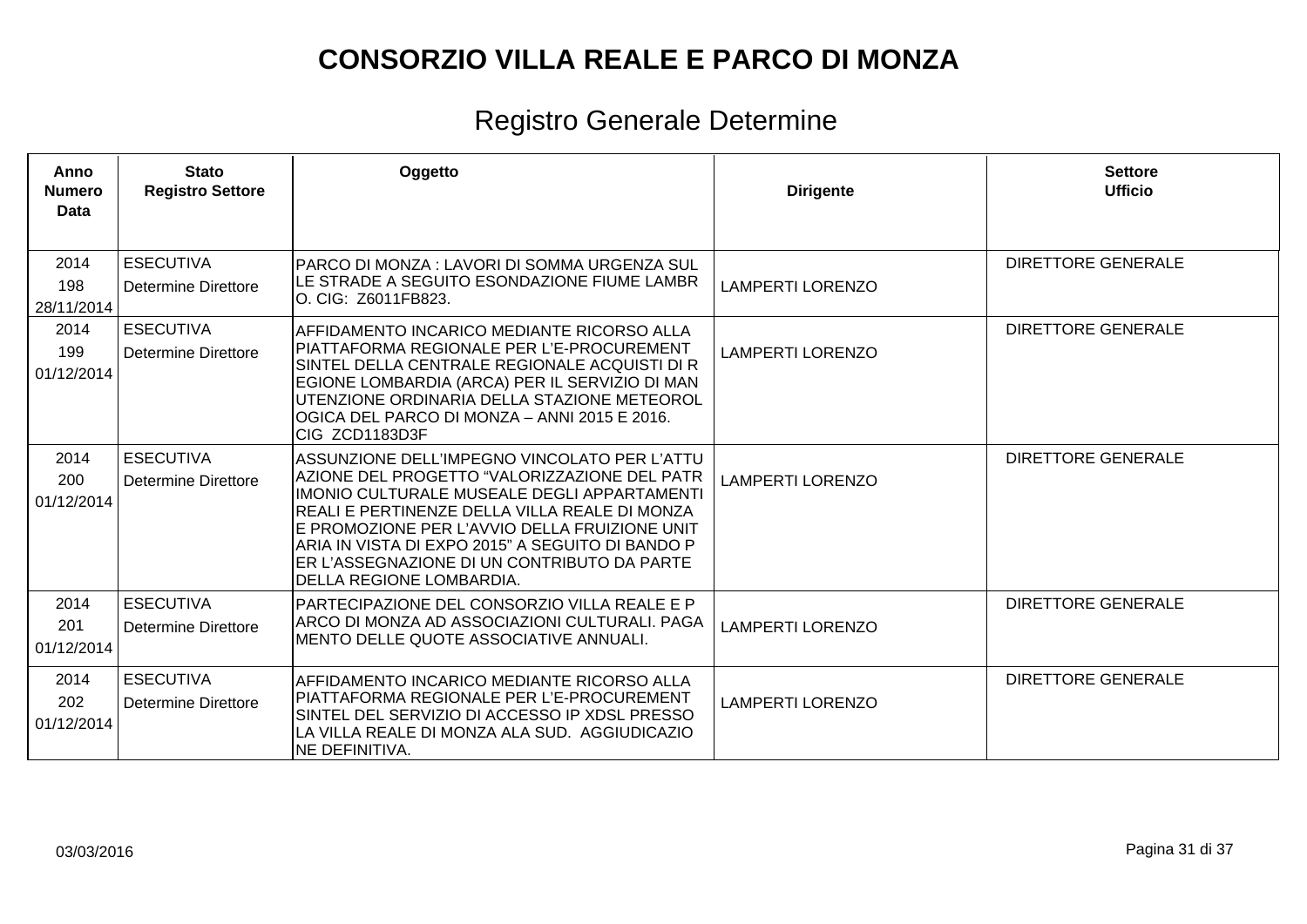| Anno<br><b>Numero</b><br>Data | <b>Stato</b><br><b>Registro Settore</b> | Oggetto                                                                                                                                                                                                                                                                                                                                                                       | <b>Dirigente</b>        | <b>Settore</b><br><b>Ufficio</b> |
|-------------------------------|-----------------------------------------|-------------------------------------------------------------------------------------------------------------------------------------------------------------------------------------------------------------------------------------------------------------------------------------------------------------------------------------------------------------------------------|-------------------------|----------------------------------|
| 2014<br>198<br>28/11/2014     | <b>ESECUTIVA</b><br>Determine Direttore | PARCO DI MONZA : LAVORI DI SOMMA URGENZA SUL<br>LE STRADE A SEGUITO ESONDAZIONE FIUME LAMBR<br>O. CIG: Z6011FB823.                                                                                                                                                                                                                                                            | <b>LAMPERTI LORENZO</b> | <b>DIRETTORE GENERALE</b>        |
| 2014<br>199<br>01/12/2014     | <b>ESECUTIVA</b><br>Determine Direttore | AFFIDAMENTO INCARICO MEDIANTE RICORSO ALLA<br> PIATTAFORMA REGIONALE PER L'E-PROCUREMENT<br>SINTEL DELLA CENTRALE REGIONALE ACQUISTI DI R<br>EGIONE LOMBARDIA (ARCA) PER IL SERVIZIO DI MAN<br>UTENZIONE ORDINARIA DELLA STAZIONE METEOROL<br>OGICA DEL PARCO DI MONZA – ANNI 2015 E 2016.<br>CIG ZCD1183D3F                                                                  | <b>LAMPERTI LORENZO</b> | <b>DIRETTORE GENERALE</b>        |
| 2014<br>200<br>01/12/2014     | <b>ESECUTIVA</b><br>Determine Direttore | ASSUNZIONE DELL'IMPEGNO VINCOLATO PER L'ATTU<br>AZIONE DEL PROGETTO "VALORIZZAZIONE DEL PATR<br>IMONIO CULTURALE MUSEALE DEGLI APPARTAMENTI<br>REALI E PERTINENZE DELLA VILLA REALE DI MONZA<br>E PROMOZIONE PER L'AVVIO DELLA FRUIZIONE UNIT<br> ARIA IN VISTA DI EXPO 2015" A SEGUITO DI BANDO P<br>ER L'ASSEGNAZIONE DI UN CONTRIBUTO DA PARTE<br>DELLA REGIONE LOMBARDIA. | <b>LAMPERTI LORENZO</b> | <b>DIRETTORE GENERALE</b>        |
| 2014<br>201<br>01/12/2014     | <b>ESECUTIVA</b><br>Determine Direttore | PARTECIPAZIONE DEL CONSORZIO VILLA REALE E P<br>ARCO DI MONZA AD ASSOCIAZIONI CULTURALI. PAGA<br>MENTO DELLE QUOTE ASSOCIATIVE ANNUALI.                                                                                                                                                                                                                                       | <b>LAMPERTI LORENZO</b> | <b>DIRETTORE GENERALE</b>        |
| 2014<br>202<br>01/12/2014     | <b>ESECUTIVA</b><br>Determine Direttore | AFFIDAMENTO INCARICO MEDIANTE RICORSO ALLA<br>PIATTAFORMA REGIONALE PER L'E-PROCUREMENT <br>SINTEL DEL SERVIZIO DI ACCESSO IP XDSL PRESSO<br>LA VILLA REALE DI MONZA ALA SUD. AGGIUDICAZIO<br>NE DEFINITIVA.                                                                                                                                                                  | <b>LAMPERTI LORENZO</b> | <b>DIRETTORE GENERALE</b>        |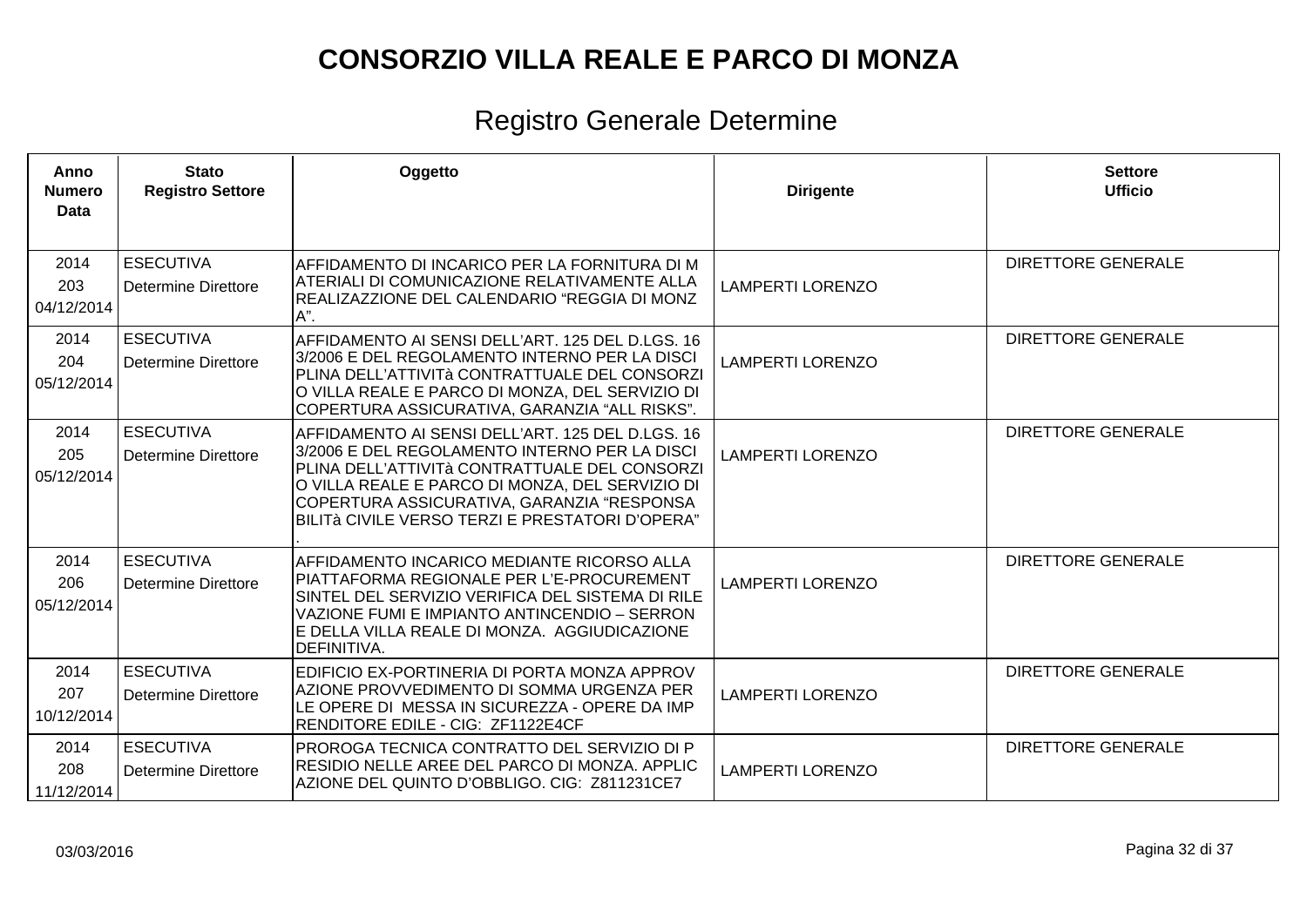| Anno<br><b>Numero</b><br><b>Data</b> | <b>Stato</b><br><b>Registro Settore</b>        | Oggetto                                                                                                                                                                                                                                                                                                | <b>Dirigente</b>        | <b>Settore</b><br><b>Ufficio</b> |
|--------------------------------------|------------------------------------------------|--------------------------------------------------------------------------------------------------------------------------------------------------------------------------------------------------------------------------------------------------------------------------------------------------------|-------------------------|----------------------------------|
| 2014<br>203<br>04/12/2014            | <b>ESECUTIVA</b><br><b>Determine Direttore</b> | AFFIDAMENTO DI INCARICO PER LA FORNITURA DI M<br>ATERIALI DI COMUNICAZIONE RELATIVAMENTE ALLA<br>REALIZAZZIONE DEL CALENDARIO "REGGIA DI MONZ<br>A".                                                                                                                                                   | <b>LAMPERTI LORENZO</b> | <b>DIRETTORE GENERALE</b>        |
| 2014<br>204<br>05/12/2014            | <b>ESECUTIVA</b><br>Determine Direttore        | AFFIDAMENTO AI SENSI DELL'ART. 125 DEL D.LGS. 16<br>3/2006 E DEL REGOLAMENTO INTERNO PER LA DISCI<br>PLINA DELL'ATTIVITà CONTRATTUALE DEL CONSORZI<br>O VILLA REALE E PARCO DI MONZA, DEL SERVIZIO DI<br>COPERTURA ASSICURATIVA, GARANZIA "ALL RISKS".                                                 | <b>LAMPERTI LORENZO</b> | <b>DIRETTORE GENERALE</b>        |
| 2014<br>205<br>05/12/2014            | <b>ESECUTIVA</b><br><b>Determine Direttore</b> | AFFIDAMENTO AI SENSI DELL'ART. 125 DEL D.LGS. 16<br>3/2006 E DEL REGOLAMENTO INTERNO PER LA DISCI<br>PLINA DELL'ATTIVITà CONTRATTUALE DEL CONSORZI<br>O VILLA REALE E PARCO DI MONZA, DEL SERVIZIO DI<br>COPERTURA ASSICURATIVA, GARANZIA "RESPONSA<br>BILITÀ CIVILE VERSO TERZI E PRESTATORI D'OPERA" | <b>LAMPERTI LORENZO</b> | <b>DIRETTORE GENERALE</b>        |
| 2014<br>206<br>05/12/2014            | <b>ESECUTIVA</b><br>Determine Direttore        | AFFIDAMENTO INCARICO MEDIANTE RICORSO ALLA<br>PIATTAFORMA REGIONALE PER L'E-PROCUREMENT<br>SINTEL DEL SERVIZIO VERIFICA DEL SISTEMA DI RILE<br>VAZIONE FUMI E IMPIANTO ANTINCENDIO - SERRON<br>E DELLA VILLA REALE DI MONZA. AGGIUDICAZIONE<br>IDEFINITIVA.                                            | <b>LAMPERTI LORENZO</b> | <b>DIRETTORE GENERALE</b>        |
| 2014<br>207<br>10/12/2014            | <b>ESECUTIVA</b><br><b>Determine Direttore</b> | EDIFICIO EX-PORTINERIA DI PORTA MONZA APPROV<br>AZIONE PROVVEDIMENTO DI SOMMA URGENZA PER<br>LE OPERE DI MESSA IN SICUREZZA - OPERE DA IMP<br>RENDITORE EDILE - CIG: ZF1122E4CF                                                                                                                        | <b>LAMPERTI LORENZO</b> | <b>DIRETTORE GENERALE</b>        |
| 2014<br>208<br>11/12/2014            | <b>ESECUTIVA</b><br>Determine Direttore        | PROROGA TECNICA CONTRATTO DEL SERVIZIO DI P<br>RESIDIO NELLE AREE DEL PARCO DI MONZA. APPLIC<br>AZIONE DEL QUINTO D'OBBLIGO. CIG: Z811231CE7                                                                                                                                                           | <b>LAMPERTI LORENZO</b> | <b>DIRETTORE GENERALE</b>        |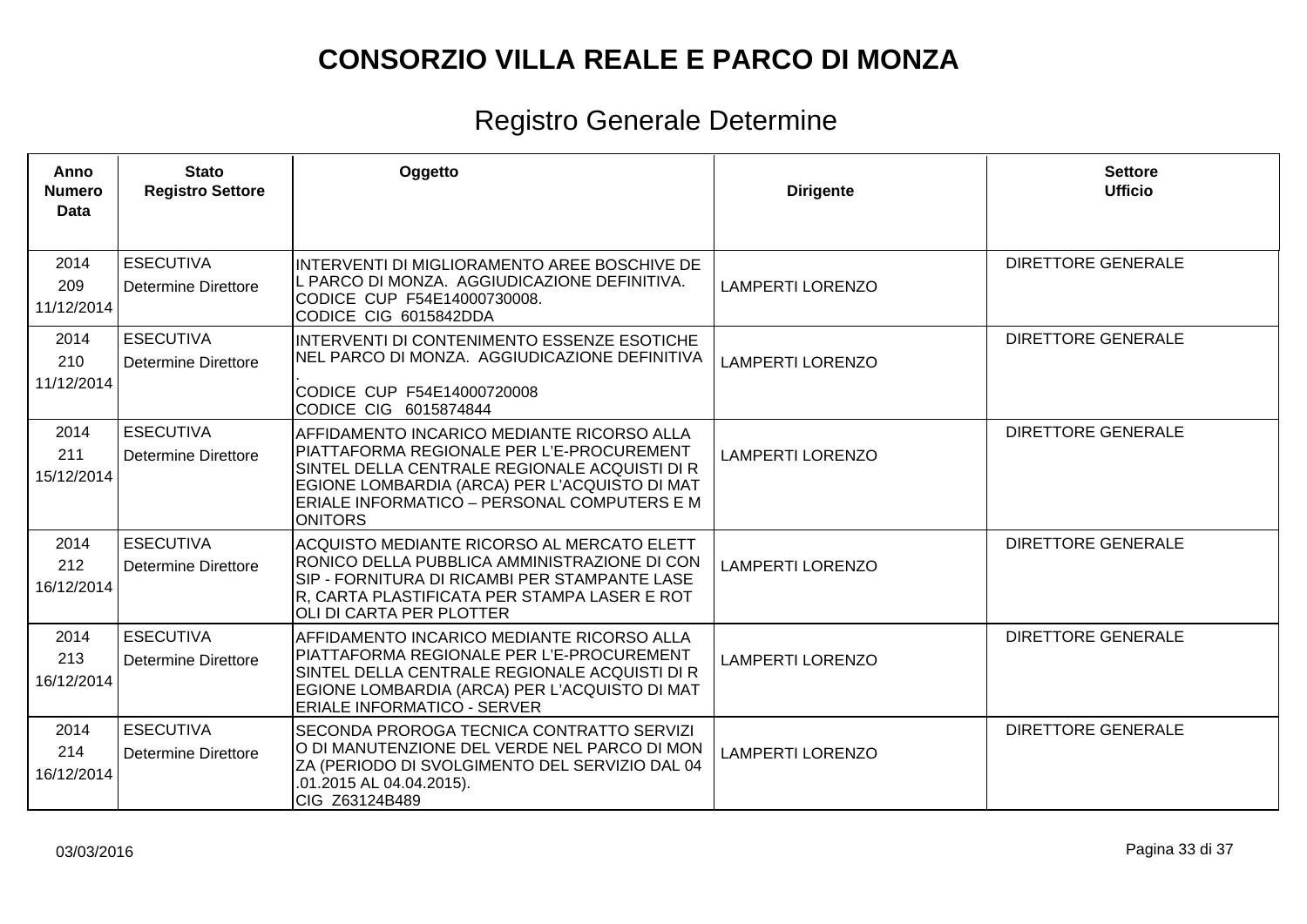| Anno<br><b>Numero</b><br><b>Data</b> | <b>Stato</b><br><b>Registro Settore</b>        | Oggetto                                                                                                                                                                                                                                                    | <b>Dirigente</b>        | <b>Settore</b><br><b>Ufficio</b> |
|--------------------------------------|------------------------------------------------|------------------------------------------------------------------------------------------------------------------------------------------------------------------------------------------------------------------------------------------------------------|-------------------------|----------------------------------|
| 2014<br>209<br>11/12/2014            | <b>ESECUTIVA</b><br><b>Determine Direttore</b> | INTERVENTI DI MIGLIORAMENTO AREE BOSCHIVE DE<br>L PARCO DI MONZA. AGGIUDICAZIONE DEFINITIVA.<br>CODICE CUP F54E14000730008.<br>CODICE CIG 6015842DDA                                                                                                       | <b>LAMPERTI LORENZO</b> | <b>DIRETTORE GENERALE</b>        |
| 2014<br>210<br>11/12/2014            | <b>ESECUTIVA</b><br>Determine Direttore        | INTERVENTI DI CONTENIMENTO ESSENZE ESOTICHE<br>NEL PARCO DI MONZA. AGGIUDICAZIONE DEFINITIVA<br>CODICE CUP F54E14000720008<br>CODICE CIG 6015874844                                                                                                        | <b>LAMPERTI LORENZO</b> | <b>DIRETTORE GENERALE</b>        |
| 2014<br>211<br>15/12/2014            | <b>ESECUTIVA</b><br><b>Determine Direttore</b> | AFFIDAMENTO INCARICO MEDIANTE RICORSO ALLA<br>PIATTAFORMA REGIONALE PER L'E-PROCUREMENT<br>SINTEL DELLA CENTRALE REGIONALE ACQUISTI DI R<br>EGIONE LOMBARDIA (ARCA) PER L'ACQUISTO DI MAT<br>ERIALE INFORMATICO - PERSONAL COMPUTERS E M<br><b>ONITORS</b> | <b>LAMPERTI LORENZO</b> | <b>DIRETTORE GENERALE</b>        |
| 2014<br>212<br>16/12/2014            | <b>ESECUTIVA</b><br>Determine Direttore        | ACQUISTO MEDIANTE RICORSO AL MERCATO ELETT<br>RONICO DELLA PUBBLICA AMMINISTRAZIONE DI CON<br>SIP - FORNITURA DI RICAMBI PER STAMPANTE LASE<br>R, CARTA PLASTIFICATA PER STAMPA LASER E ROT<br>OLI DI CARTA PER PLOTTER                                    | <b>LAMPERTI LORENZO</b> | <b>DIRETTORE GENERALE</b>        |
| 2014<br>213<br>16/12/2014            | <b>ESECUTIVA</b><br><b>Determine Direttore</b> | AFFIDAMENTO INCARICO MEDIANTE RICORSO ALLA<br>PIATTAFORMA REGIONALE PER L'E-PROCUREMENT<br>SINTEL DELLA CENTRALE REGIONALE ACQUISTI DI R<br>EGIONE LOMBARDIA (ARCA) PER L'ACQUISTO DI MAT<br><b>ERIALE INFORMATICO - SERVER</b>                            | <b>LAMPERTI LORENZO</b> | <b>DIRETTORE GENERALE</b>        |
| 2014<br>214<br>16/12/2014            | <b>ESECUTIVA</b><br>Determine Direttore        | SECONDA PROROGA TECNICA CONTRATTO SERVIZI<br>O DI MANUTENZIONE DEL VERDE NEL PARCO DI MON<br>ZA (PERIODO DI SVOLGIMENTO DEL SERVIZIO DAL 04<br>.01.2015 AL 04.04.2015).<br>CIG Z63124B489                                                                  | <b>LAMPERTI LORENZO</b> | <b>DIRETTORE GENERALE</b>        |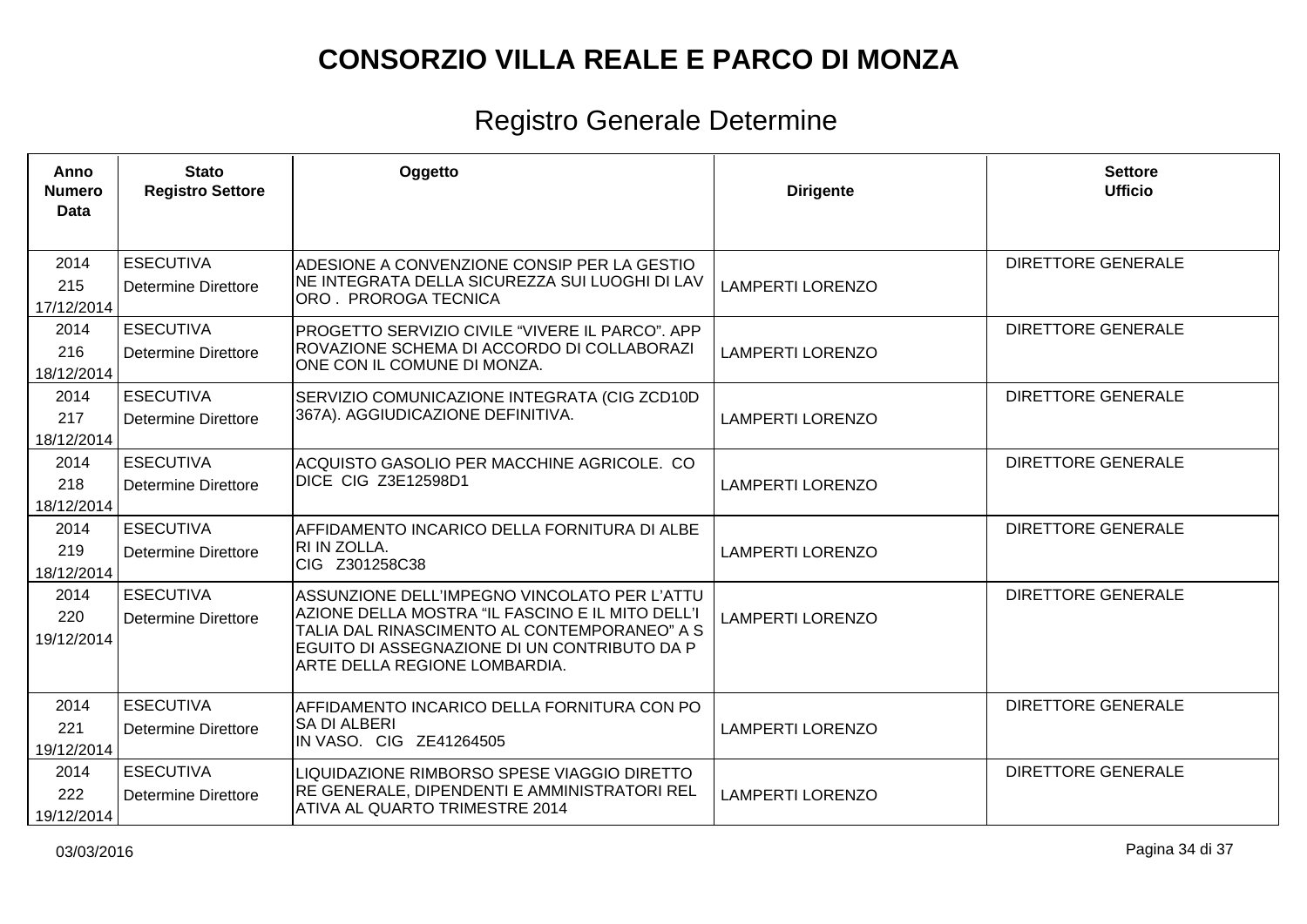| Anno<br><b>Numero</b><br><b>Data</b> | <b>Stato</b><br><b>Registro Settore</b>        | Oggetto                                                                                                                                                                                                                           | <b>Dirigente</b>        | <b>Settore</b><br><b>Ufficio</b> |
|--------------------------------------|------------------------------------------------|-----------------------------------------------------------------------------------------------------------------------------------------------------------------------------------------------------------------------------------|-------------------------|----------------------------------|
| 2014<br>215<br>17/12/2014            | <b>ESECUTIVA</b><br>Determine Direttore        | ADESIONE A CONVENZIONE CONSIP PER LA GESTIO<br>NE INTEGRATA DELLA SICUREZZA SUI LUOGHI DI LAV<br>IORO .  PROROGA TECNICA                                                                                                          | <b>LAMPERTI LORENZO</b> | <b>DIRETTORE GENERALE</b>        |
| 2014<br>216<br>18/12/2014            | <b>ESECUTIVA</b><br><b>Determine Direttore</b> | PROGETTO SERVIZIO CIVILE "VIVERE IL PARCO". APP<br>ROVAZIONE SCHEMA DI ACCORDO DI COLLABORAZI<br>ONE CON IL COMUNE DI MONZA.                                                                                                      | <b>LAMPERTI LORENZO</b> | <b>DIRETTORE GENERALE</b>        |
| 2014<br>217<br>18/12/2014            | <b>ESECUTIVA</b><br>Determine Direttore        | SERVIZIO COMUNICAZIONE INTEGRATA (CIG ZCD10D<br>367A). AGGIUDICAZIONE DEFINITIVA.                                                                                                                                                 | <b>LAMPERTI LORENZO</b> | <b>DIRETTORE GENERALE</b>        |
| 2014<br>218<br>18/12/2014            | <b>ESECUTIVA</b><br>Determine Direttore        | ACQUISTO GASOLIO PER MACCHINE AGRICOLE. CO<br>DICE CIG Z3E12598D1                                                                                                                                                                 | <b>LAMPERTI LORENZO</b> | <b>DIRETTORE GENERALE</b>        |
| 2014<br>219<br>18/12/2014            | <b>ESECUTIVA</b><br>Determine Direttore        | AFFIDAMENTO INCARICO DELLA FORNITURA DI ALBE<br>RI IN ZOLLA.<br>CIG Z301258C38                                                                                                                                                    | <b>LAMPERTI LORENZO</b> | <b>DIRETTORE GENERALE</b>        |
| 2014<br>220<br>19/12/2014            | <b>ESECUTIVA</b><br><b>Determine Direttore</b> | ASSUNZIONE DELL'IMPEGNO VINCOLATO PER L'ATTU<br>AZIONE DELLA MOSTRA "IL FASCINO E IL MITO DELL'I<br>TALIA DAL RINASCIMENTO AL CONTEMPORANEO" A S<br>EGUITO DI ASSEGNAZIONE DI UN CONTRIBUTO DA P<br>ARTE DELLA REGIONE LOMBARDIA. | <b>LAMPERTI LORENZO</b> | <b>DIRETTORE GENERALE</b>        |
| 2014<br>221<br>19/12/2014            | <b>ESECUTIVA</b><br>Determine Direttore        | AFFIDAMENTO INCARICO DELLA FORNITURA CON PO<br>ISA DI ALBERI<br>IN VASO. CIG ZE41264505                                                                                                                                           | <b>LAMPERTI LORENZO</b> | <b>DIRETTORE GENERALE</b>        |
| 2014<br>222<br>19/12/2014            | <b>ESECUTIVA</b><br>Determine Direttore        | LIQUIDAZIONE RIMBORSO SPESE VIAGGIO DIRETTO<br>RE GENERALE, DIPENDENTI E AMMINISTRATORI REL<br>ATIVA AL QUARTO TRIMESTRE 2014                                                                                                     | <b>LAMPERTI LORENZO</b> | <b>DIRETTORE GENERALE</b>        |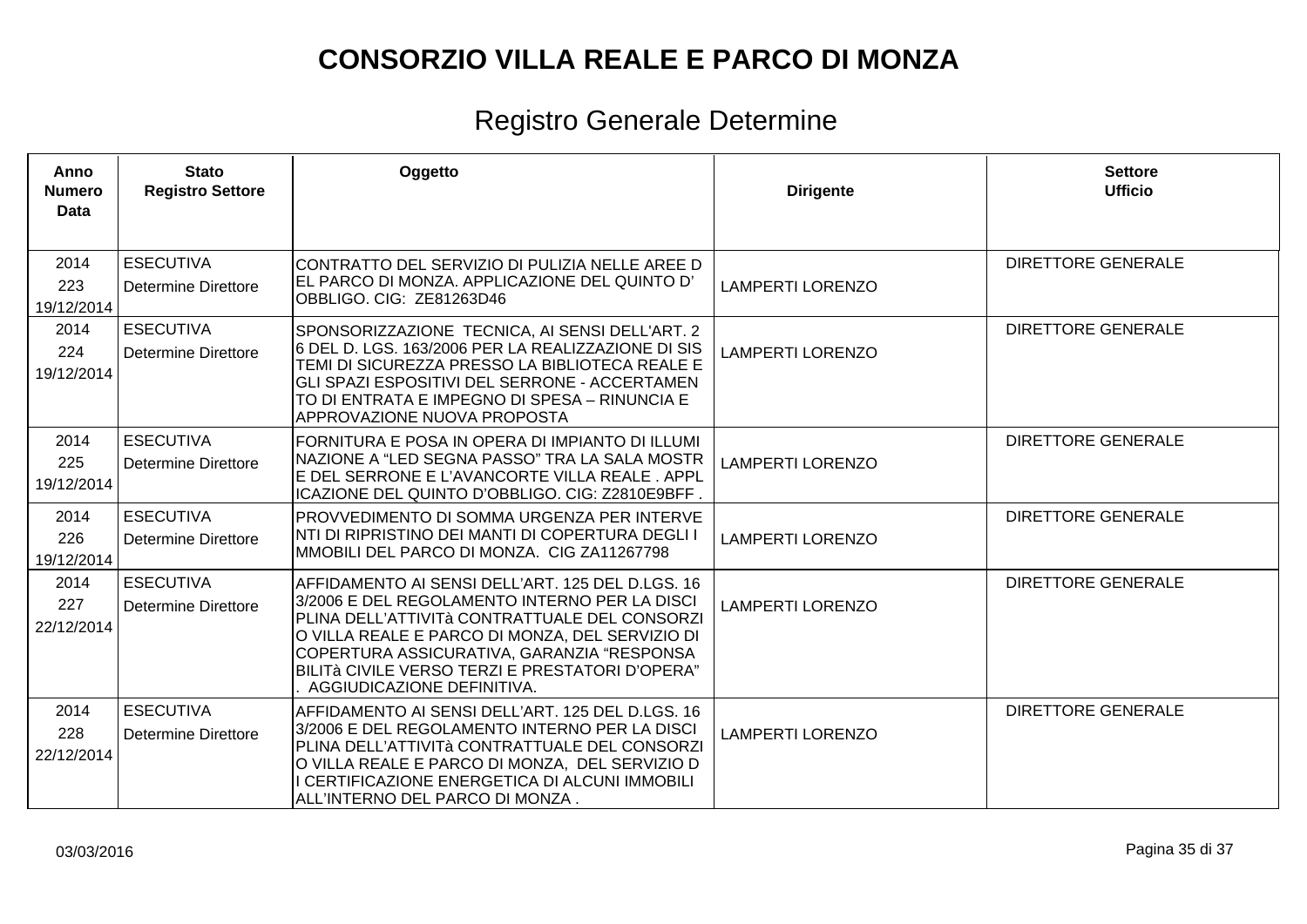| Anno<br><b>Numero</b><br><b>Data</b> | <b>Stato</b><br><b>Registro Settore</b>        | Oggetto                                                                                                                                                                                                                                                                                                                              | <b>Dirigente</b>        | <b>Settore</b><br><b>Ufficio</b> |
|--------------------------------------|------------------------------------------------|--------------------------------------------------------------------------------------------------------------------------------------------------------------------------------------------------------------------------------------------------------------------------------------------------------------------------------------|-------------------------|----------------------------------|
| 2014<br>223<br>19/12/2014            | <b>ESECUTIVA</b><br><b>Determine Direttore</b> | CONTRATTO DEL SERVIZIO DI PULIZIA NELLE AREE D<br>EL PARCO DI MONZA. APPLICAZIONE DEL QUINTO D'<br>OBBLIGO. CIG: ZE81263D46                                                                                                                                                                                                          | <b>LAMPERTI LORENZO</b> | <b>DIRETTORE GENERALE</b>        |
| 2014<br>224<br>19/12/2014            | <b>ESECUTIVA</b><br>Determine Direttore        | SPONSORIZZAZIONE TECNICA, AI SENSI DELL'ART. 2<br>6 DEL D. LGS. 163/2006 PER LA REALIZZAZIONE DI SIS<br>TEMI DI SICUREZZA PRESSO LA BIBLIOTECA REALE E<br>GLI SPAZI ESPOSITIVI DEL SERRONE - ACCERTAMEN<br>TO DI ENTRATA E IMPEGNO DI SPESA – RINUNCIA E<br><b>APPROVAZIONE NUOVA PROPOSTA</b>                                       | <b>LAMPERTI LORENZO</b> | <b>DIRETTORE GENERALE</b>        |
| 2014<br>225<br>19/12/2014            | <b>ESECUTIVA</b><br><b>Determine Direttore</b> | FORNITURA E POSA IN OPERA DI IMPIANTO DI ILLUMI<br>NAZIONE A "LED SEGNA PASSO" TRA LA SALA MOSTR<br>E DEL SERRONE E L'AVANCORTE VILLA REALE . APPL<br>ICAZIONE DEL QUINTO D'OBBLIGO. CIG: Z2810E9BFF.                                                                                                                                | <b>LAMPERTI LORENZO</b> | <b>DIRETTORE GENERALE</b>        |
| 2014<br>226<br>19/12/2014            | <b>ESECUTIVA</b><br>Determine Direttore        | PROVVEDIMENTO DI SOMMA URGENZA PER INTERVE<br>NTI DI RIPRISTINO DEI MANTI DI COPERTURA DEGLI I<br>MMOBILI DEL PARCO DI MONZA. CIG ZA11267798                                                                                                                                                                                         | <b>LAMPERTI LORENZO</b> | <b>DIRETTORE GENERALE</b>        |
| 2014<br>227<br>22/12/2014            | <b>ESECUTIVA</b><br><b>Determine Direttore</b> | AFFIDAMENTO AI SENSI DELL'ART. 125 DEL D.LGS. 16<br>3/2006 E DEL REGOLAMENTO INTERNO PER LA DISCI<br>PLINA DELL'ATTIVITà CONTRATTUALE DEL CONSORZI<br>O VILLA REALE E PARCO DI MONZA, DEL SERVIZIO DI<br>COPERTURA ASSICURATIVA, GARANZIA "RESPONSA<br>BILITà CIVILE VERSO TERZI E PRESTATORI D'OPERA"<br>AGGIUDICAZIONE DEFINITIVA. | <b>LAMPERTI LORENZO</b> | <b>DIRETTORE GENERALE</b>        |
| 2014<br>228<br>22/12/2014            | <b>ESECUTIVA</b><br><b>Determine Direttore</b> | AFFIDAMENTO AI SENSI DELL'ART. 125 DEL D.LGS. 16<br>3/2006 E DEL REGOLAMENTO INTERNO PER LA DISCI<br>PLINA DELL'ATTIVITà CONTRATTUALE DEL CONSORZI<br>O VILLA REALE E PARCO DI MONZA, DEL SERVIZIO D<br>I CERTIFICAZIONE ENERGETICA DI ALCUNI IMMOBILI<br>ALL'INTERNO DEL PARCO DI MONZA .                                           | <b>LAMPERTI LORENZO</b> | <b>DIRETTORE GENERALE</b>        |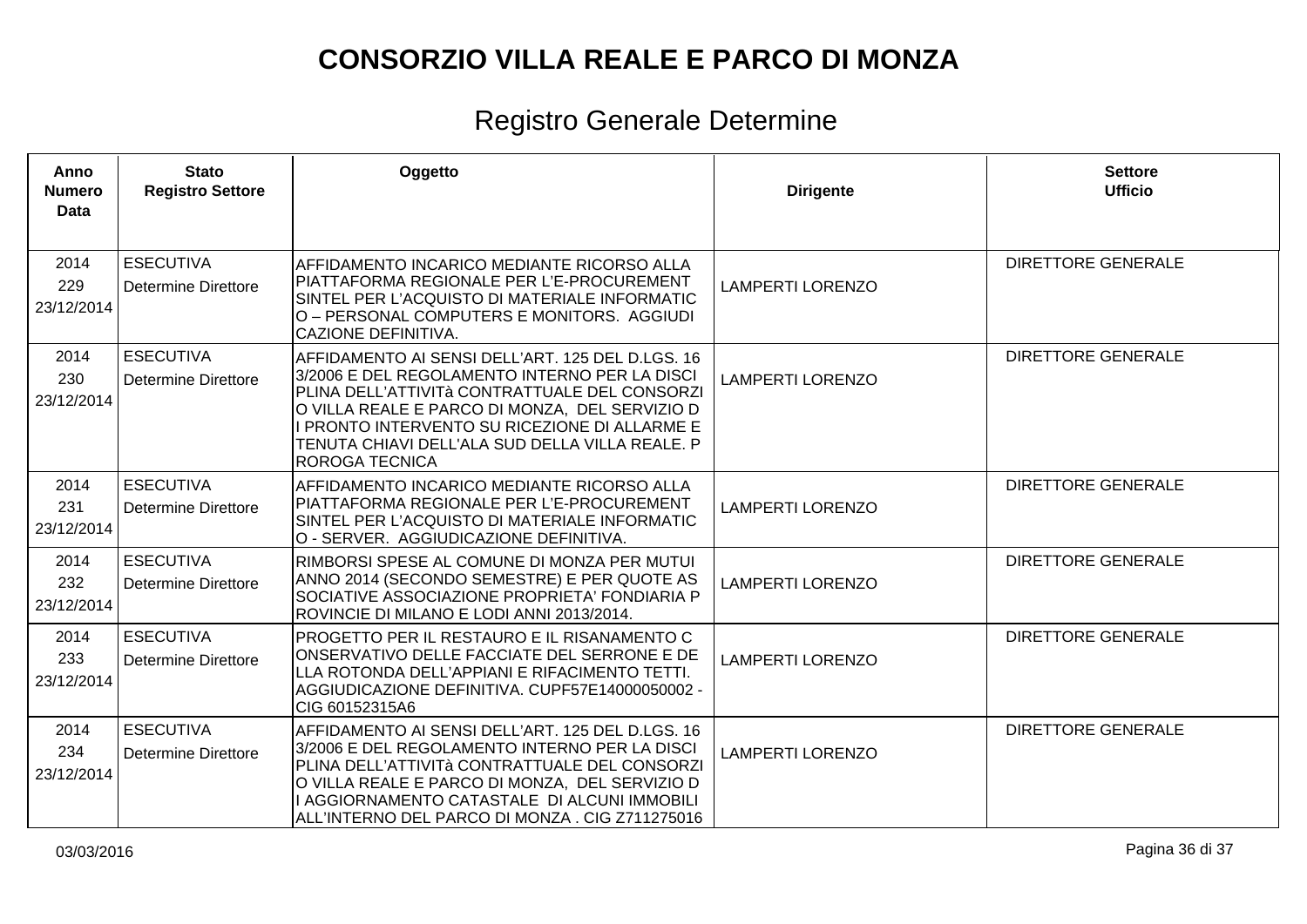| Anno<br><b>Numero</b><br>Data | <b>Stato</b><br><b>Registro Settore</b>        | Oggetto                                                                                                                                                                                                                                                                                                                    | <b>Dirigente</b>        | <b>Settore</b><br><b>Ufficio</b> |
|-------------------------------|------------------------------------------------|----------------------------------------------------------------------------------------------------------------------------------------------------------------------------------------------------------------------------------------------------------------------------------------------------------------------------|-------------------------|----------------------------------|
| 2014<br>229<br>23/12/2014     | <b>ESECUTIVA</b><br>Determine Direttore        | AFFIDAMENTO INCARICO MEDIANTE RICORSO ALLA<br>PIATTAFORMA REGIONALE PER L'E-PROCUREMENT<br>SINTEL PER L'ACQUISTO DI MATERIALE INFORMATIC<br>O – PERSONAL COMPUTERS E MONITORS. AGGIUDI<br>CAZIONE DEFINITIVA.                                                                                                              | <b>LAMPERTI LORENZO</b> | <b>DIRETTORE GENERALE</b>        |
| 2014<br>230<br>23/12/2014     | <b>ESECUTIVA</b><br><b>Determine Direttore</b> | AFFIDAMENTO AI SENSI DELL'ART. 125 DEL D.LGS. 16<br>3/2006 E DEL REGOLAMENTO INTERNO PER LA DISCI<br>PLINA DELL'ATTIVITà CONTRATTUALE DEL CONSORZI<br>O VILLA REALE E PARCO DI MONZA, DEL SERVIZIO D<br>I PRONTO INTERVENTO SU RICEZIONE DI ALLARME E<br>TENUTA CHIAVI DELL'ALA SUD DELLA VILLA REALE. P<br>ROROGA TECNICA | <b>LAMPERTI LORENZO</b> | <b>DIRETTORE GENERALE</b>        |
| 2014<br>231<br>23/12/2014     | <b>ESECUTIVA</b><br><b>Determine Direttore</b> | AFFIDAMENTO INCARICO MEDIANTE RICORSO ALLA<br>PIATTAFORMA REGIONALE PER L'E-PROCUREMENT<br>SINTEL PER L'ACQUISTO DI MATERIALE INFORMATIC<br>O - SERVER. AGGIUDICAZIONE DEFINITIVA.                                                                                                                                         | <b>LAMPERTI LORENZO</b> | <b>DIRETTORE GENERALE</b>        |
| 2014<br>232<br>23/12/2014     | <b>ESECUTIVA</b><br><b>Determine Direttore</b> | RIMBORSI SPESE AL COMUNE DI MONZA PER MUTUI<br>ANNO 2014 (SECONDO SEMESTRE) E PER QUOTE AS<br>SOCIATIVE ASSOCIAZIONE PROPRIETA' FONDIARIA P<br>ROVINCIE DI MILANO E LODI ANNI 2013/2014.                                                                                                                                   | <b>LAMPERTI LORENZO</b> | <b>DIRETTORE GENERALE</b>        |
| 2014<br>233<br>23/12/2014     | <b>ESECUTIVA</b><br><b>Determine Direttore</b> | PROGETTO PER IL RESTAURO E IL RISANAMENTO C<br>ONSERVATIVO DELLE FACCIATE DEL SERRONE E DE<br>LLA ROTONDA DELL'APPIANI E RIFACIMENTO TETTI.<br>AGGIUDICAZIONE DEFINITIVA. CUPF57E14000050002 -<br>CIG 60152315A6                                                                                                           | <b>LAMPERTI LORENZO</b> | <b>DIRETTORE GENERALE</b>        |
| 2014<br>234<br>23/12/2014     | <b>ESECUTIVA</b><br><b>Determine Direttore</b> | AFFIDAMENTO AI SENSI DELL'ART. 125 DEL D.LGS. 16<br>3/2006 E DEL REGOLAMENTO INTERNO PER LA DISCI<br>PLINA DELL'ATTIVITà CONTRATTUALE DEL CONSORZI<br>O VILLA REALE E PARCO DI MONZA, DEL SERVIZIO D<br>I AGGIORNAMENTO CATASTALE DI ALCUNI IMMOBILI<br>ALL'INTERNO DEL PARCO DI MONZA . CIG Z711275016                    | <b>LAMPERTI LORENZO</b> | <b>DIRETTORE GENERALE</b>        |